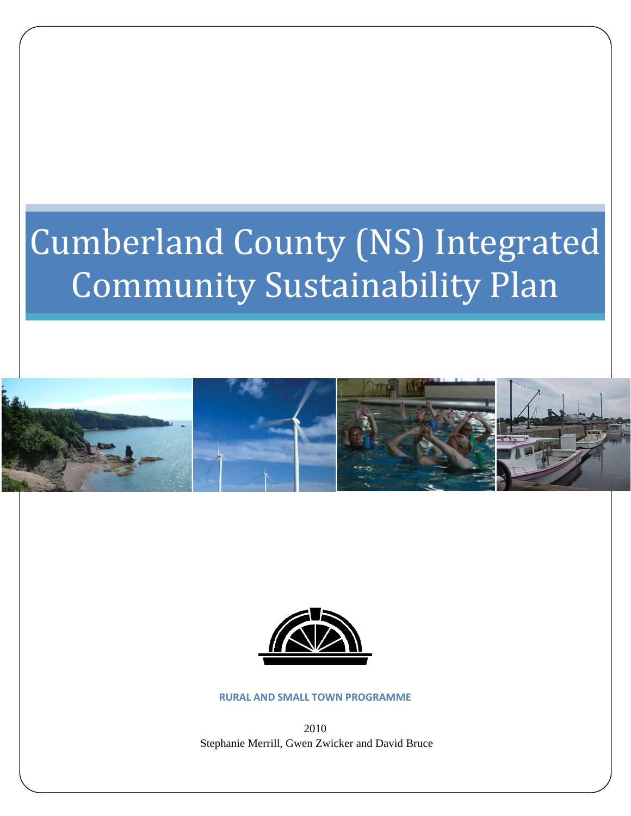# Cumberland County (NS) Integrated Community Sustainability Plan





**RURAL AND SMALL TOWN PROGRAMME**

2010 Stephanie Merrill, Gwen Zwicker and David Bruce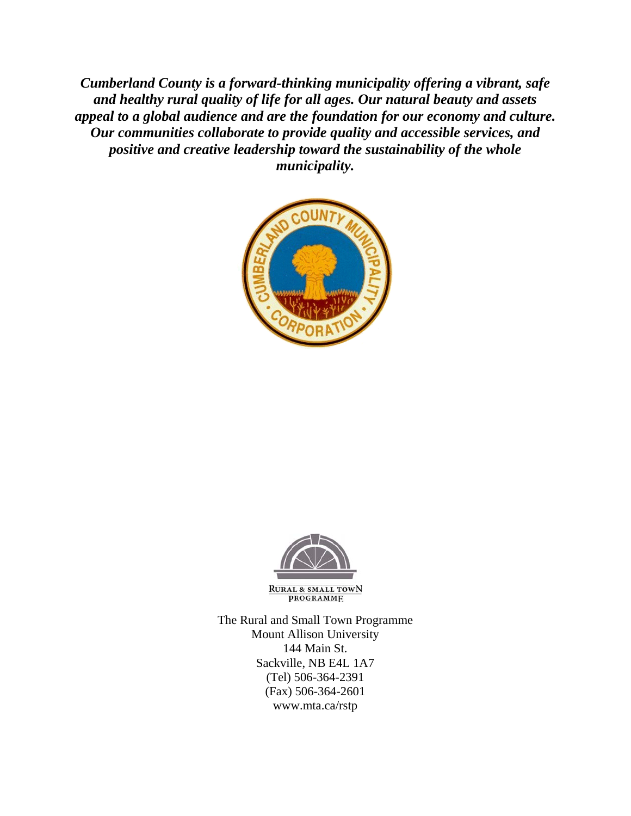*Cumberland County is a forward-thinking municipality offering a vibrant, safe and healthy rural quality of life for all ages. Our natural beauty and assets appeal to a global audience and are the foundation for our economy and culture. Our communities collaborate to provide quality and accessible services, and positive and creative leadership toward the sustainability of the whole municipality.* 





**RURAL & SMALL TOWN PROGRAMME** 

The Rural and Small Town Programme Mount Allison University 144 Main St. Sackville, NB E4L 1A7 (Tel) 506-364-2391 (Fax) 506-364-2601 www.mta.ca/rstp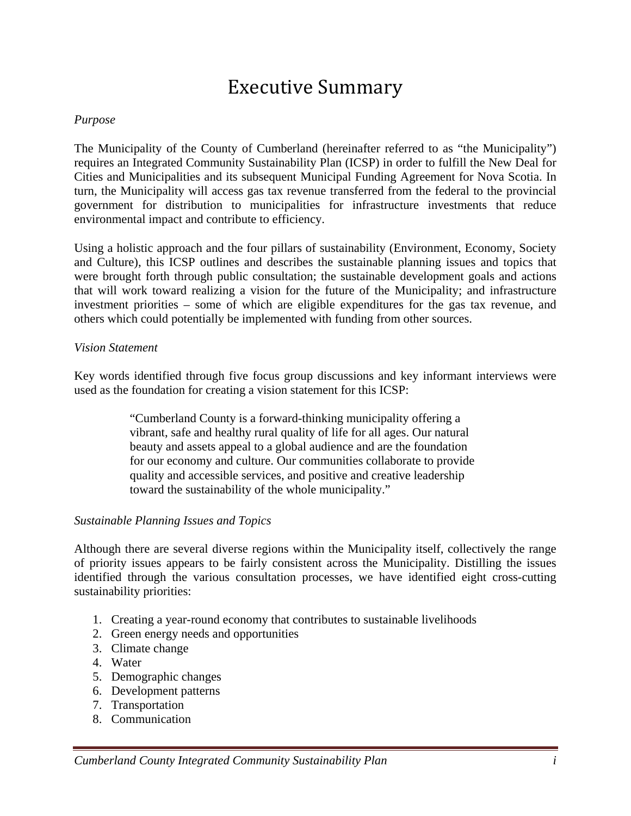## Executive Summary

## *Purpose*

The Municipality of the County of Cumberland (hereinafter referred to as "the Municipality") requires an Integrated Community Sustainability Plan (ICSP) in order to fulfill the New Deal for Cities and Municipalities and its subsequent Municipal Funding Agreement for Nova Scotia. In turn, the Municipality will access gas tax revenue transferred from the federal to the provincial government for distribution to municipalities for infrastructure investments that reduce environmental impact and contribute to efficiency.

Using a holistic approach and the four pillars of sustainability (Environment, Economy, Society and Culture), this ICSP outlines and describes the sustainable planning issues and topics that were brought forth through public consultation; the sustainable development goals and actions that will work toward realizing a vision for the future of the Municipality; and infrastructure investment priorities – some of which are eligible expenditures for the gas tax revenue, and others which could potentially be implemented with funding from other sources.

## *Vision Statement*

Key words identified through five focus group discussions and key informant interviews were used as the foundation for creating a vision statement for this ICSP:

> "Cumberland County is a forward-thinking municipality offering a vibrant, safe and healthy rural quality of life for all ages. Our natural beauty and assets appeal to a global audience and are the foundation for our economy and culture. Our communities collaborate to provide quality and accessible services, and positive and creative leadership toward the sustainability of the whole municipality."

## *Sustainable Planning Issues and Topics*

Although there are several diverse regions within the Municipality itself, collectively the range of priority issues appears to be fairly consistent across the Municipality. Distilling the issues identified through the various consultation processes, we have identified eight cross-cutting sustainability priorities:

- 1. Creating a year-round economy that contributes to sustainable livelihoods
- 2. Green energy needs and opportunities
- 3. Climate change
- 4. Water
- 5. Demographic changes
- 6. Development patterns
- 7. Transportation
- 8. Communication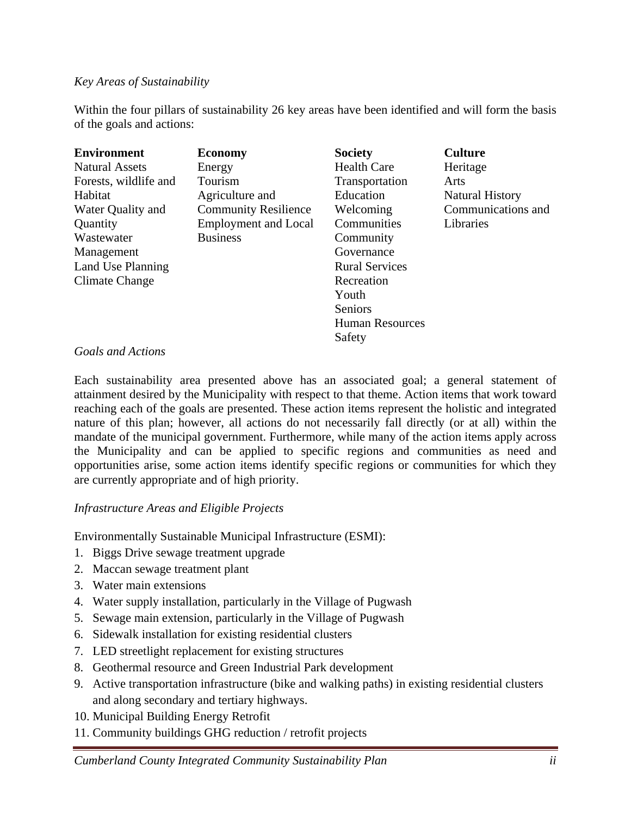## *Key Areas of Sustainability*

Within the four pillars of sustainability 26 key areas have been identified and will form the basis of the goals and actions:

| <b>Environment</b>    | <b>Economy</b>              | <b>Society</b>         | <b>Culture</b>         |
|-----------------------|-----------------------------|------------------------|------------------------|
| <b>Natural Assets</b> | Energy                      | <b>Health Care</b>     | Heritage               |
| Forests, wildlife and | Tourism                     | Transportation         | Arts                   |
| Habitat               | Agriculture and             | Education              | <b>Natural History</b> |
| Water Quality and     | <b>Community Resilience</b> | Welcoming              | Communications and     |
| Quantity              | <b>Employment and Local</b> | Communities            | Libraries              |
| Wastewater            | <b>Business</b>             | Community              |                        |
| Management            |                             | Governance             |                        |
| Land Use Planning     |                             | <b>Rural Services</b>  |                        |
| Climate Change        |                             | Recreation             |                        |
|                       |                             | Youth                  |                        |
|                       |                             | Seniors                |                        |
|                       |                             | <b>Human Resources</b> |                        |
|                       |                             | Safety                 |                        |

## *Goals and Actions*

Each sustainability area presented above has an associated goal; a general statement of attainment desired by the Municipality with respect to that theme. Action items that work toward reaching each of the goals are presented. These action items represent the holistic and integrated nature of this plan; however, all actions do not necessarily fall directly (or at all) within the mandate of the municipal government. Furthermore, while many of the action items apply across the Municipality and can be applied to specific regions and communities as need and opportunities arise, some action items identify specific regions or communities for which they are currently appropriate and of high priority.

## *Infrastructure Areas and Eligible Projects*

Environmentally Sustainable Municipal Infrastructure (ESMI):

- 1. Biggs Drive sewage treatment upgrade
- 2. Maccan sewage treatment plant
- 3. Water main extensions
- 4. Water supply installation, particularly in the Village of Pugwash
- 5. Sewage main extension, particularly in the Village of Pugwash
- 6. Sidewalk installation for existing residential clusters
- 7. LED streetlight replacement for existing structures
- 8. Geothermal resource and Green Industrial Park development
- 9. Active transportation infrastructure (bike and walking paths) in existing residential clusters and along secondary and tertiary highways.
- 10. Municipal Building Energy Retrofit
- 11. Community buildings GHG reduction / retrofit projects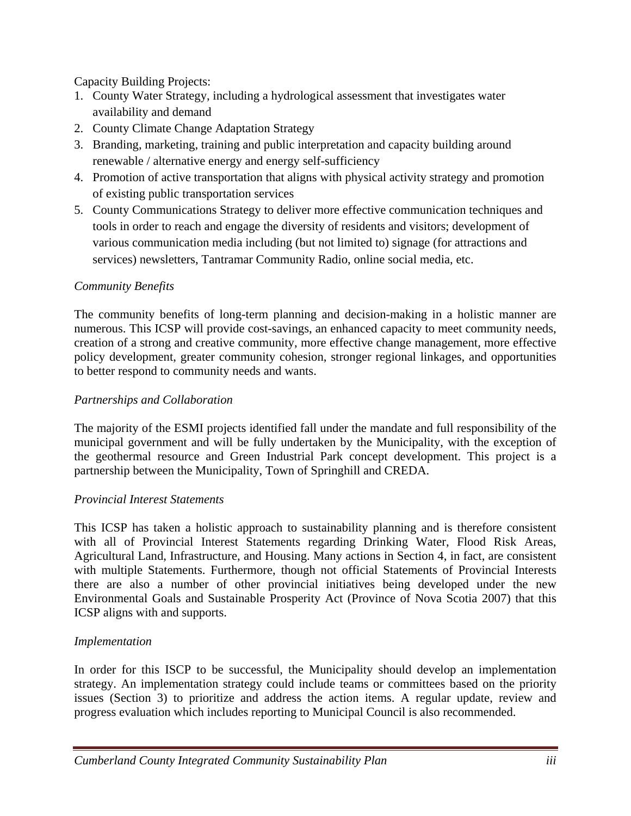Capacity Building Projects:

- 1. County Water Strategy, including a hydrological assessment that investigates water availability and demand
- 2. County Climate Change Adaptation Strategy
- 3. Branding, marketing, training and public interpretation and capacity building around renewable / alternative energy and energy self-sufficiency
- 4. Promotion of active transportation that aligns with physical activity strategy and promotion of existing public transportation services
- 5. County Communications Strategy to deliver more effective communication techniques and tools in order to reach and engage the diversity of residents and visitors; development of various communication media including (but not limited to) signage (for attractions and services) newsletters, Tantramar Community Radio, online social media, etc.

## *Community Benefits*

The community benefits of long-term planning and decision-making in a holistic manner are numerous. This ICSP will provide cost-savings, an enhanced capacity to meet community needs, creation of a strong and creative community, more effective change management, more effective policy development, greater community cohesion, stronger regional linkages, and opportunities to better respond to community needs and wants.

## *Partnerships and Collaboration*

The majority of the ESMI projects identified fall under the mandate and full responsibility of the municipal government and will be fully undertaken by the Municipality, with the exception of the geothermal resource and Green Industrial Park concept development. This project is a partnership between the Municipality, Town of Springhill and CREDA.

## *Provincial Interest Statements*

This ICSP has taken a holistic approach to sustainability planning and is therefore consistent with all of Provincial Interest Statements regarding Drinking Water, Flood Risk Areas, Agricultural Land, Infrastructure, and Housing. Many actions in Section 4, in fact, are consistent with multiple Statements. Furthermore, though not official Statements of Provincial Interests there are also a number of other provincial initiatives being developed under the new Environmental Goals and Sustainable Prosperity Act (Province of Nova Scotia 2007) that this ICSP aligns with and supports.

## *Implementation*

In order for this ISCP to be successful, the Municipality should develop an implementation strategy. An implementation strategy could include teams or committees based on the priority issues (Section 3) to prioritize and address the action items. A regular update, review and progress evaluation which includes reporting to Municipal Council is also recommended.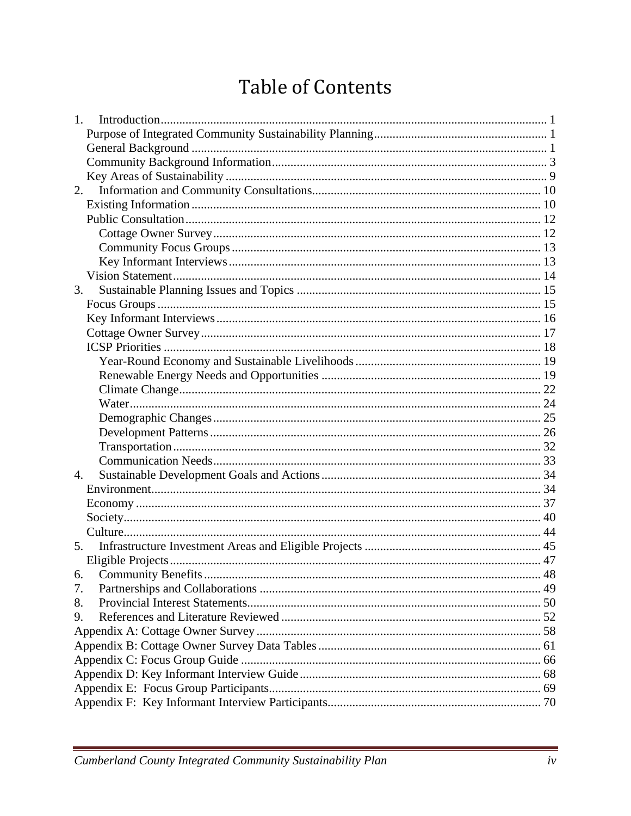## **Table of Contents**

| $1_{-}$          |  |
|------------------|--|
|                  |  |
|                  |  |
|                  |  |
|                  |  |
| 2.               |  |
|                  |  |
|                  |  |
|                  |  |
|                  |  |
|                  |  |
|                  |  |
| 3.               |  |
|                  |  |
|                  |  |
|                  |  |
|                  |  |
|                  |  |
|                  |  |
|                  |  |
|                  |  |
|                  |  |
|                  |  |
|                  |  |
|                  |  |
| $\overline{4}$ . |  |
|                  |  |
|                  |  |
|                  |  |
|                  |  |
| 5.               |  |
|                  |  |
|                  |  |
| 7.               |  |
| 8.               |  |
| 9.               |  |
|                  |  |
|                  |  |
|                  |  |
|                  |  |
|                  |  |
|                  |  |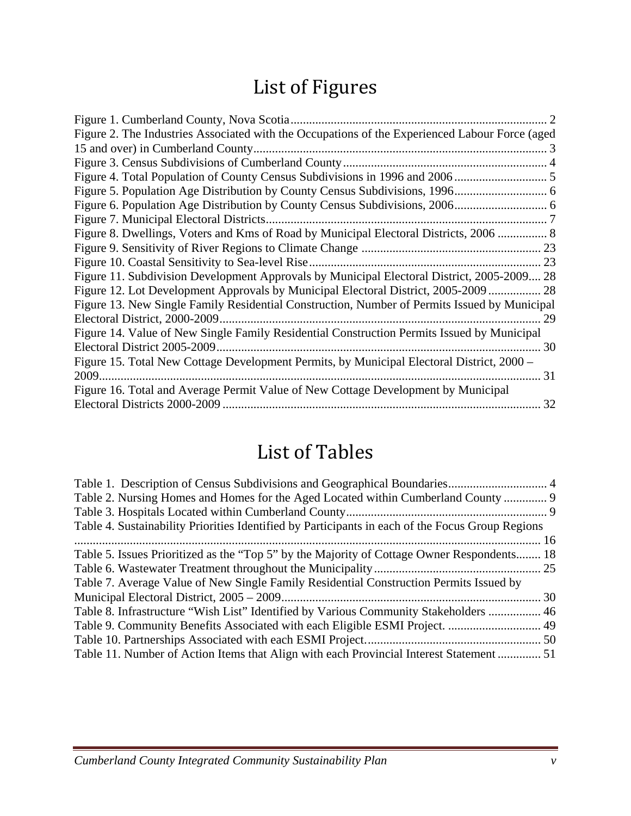## List of Figures

| Figure 1. Cumberland County, Nova Scotia.                                                      |
|------------------------------------------------------------------------------------------------|
| Figure 2. The Industries Associated with the Occupations of the Experienced Labour Force (aged |
|                                                                                                |
|                                                                                                |
|                                                                                                |
|                                                                                                |
|                                                                                                |
|                                                                                                |
| Figure 8. Dwellings, Voters and Kms of Road by Municipal Electoral Districts, 2006  8          |
|                                                                                                |
|                                                                                                |
| Figure 11. Subdivision Development Approvals by Municipal Electoral District, 2005-2009 28     |
| Figure 12. Lot Development Approvals by Municipal Electoral District, 2005-2009  28            |
| Figure 13. New Single Family Residential Construction, Number of Permits Issued by Municipal   |
| 29                                                                                             |
| Figure 14. Value of New Single Family Residential Construction Permits Issued by Municipal     |
|                                                                                                |
| Figure 15. Total New Cottage Development Permits, by Municipal Electoral District, 2000 –      |
|                                                                                                |
| Figure 16. Total and Average Permit Value of New Cottage Development by Municipal              |
| 32                                                                                             |

## List of Tables

| Table 2. Nursing Homes and Homes for the Aged Located within Cumberland County  9                |  |
|--------------------------------------------------------------------------------------------------|--|
|                                                                                                  |  |
| Table 4. Sustainability Priorities Identified by Participants in each of the Focus Group Regions |  |
|                                                                                                  |  |
| Table 5. Issues Prioritized as the "Top 5" by the Majority of Cottage Owner Respondents 18       |  |
|                                                                                                  |  |
| Table 7. Average Value of New Single Family Residential Construction Permits Issued by           |  |
|                                                                                                  |  |
| Table 8. Infrastructure "Wish List" Identified by Various Community Stakeholders  46             |  |
| Table 9. Community Benefits Associated with each Eligible ESMI Project.  49                      |  |
|                                                                                                  |  |
| Table 11. Number of Action Items that Align with each Provincial Interest Statement  51          |  |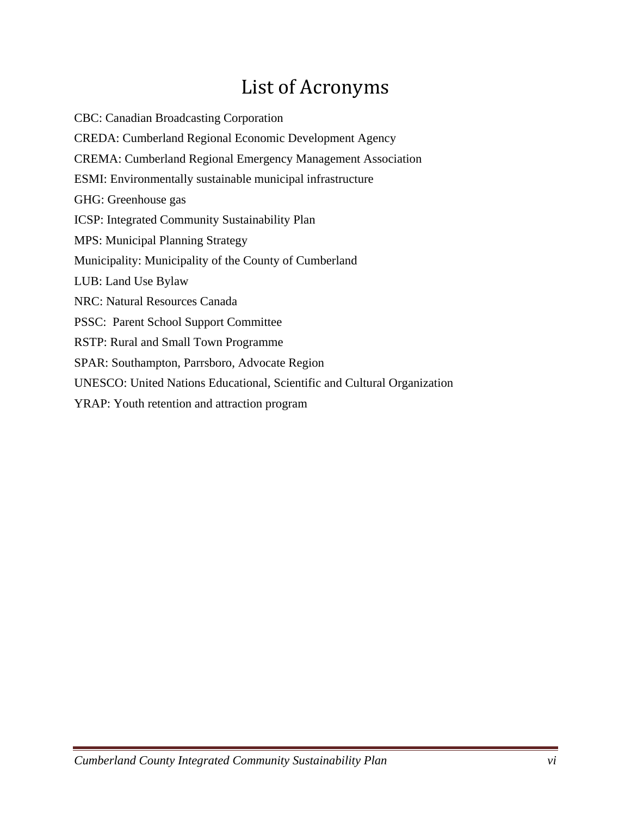## List of Acronyms

CBC: Canadian Broadcasting Corporation CREDA: Cumberland Regional Economic Development Agency CREMA: Cumberland Regional Emergency Management Association ESMI: Environmentally sustainable municipal infrastructure GHG: Greenhouse gas ICSP: Integrated Community Sustainability Plan MPS: Municipal Planning Strategy Municipality: Municipality of the County of Cumberland LUB: Land Use Bylaw NRC: Natural Resources Canada PSSC: Parent School Support Committee RSTP: Rural and Small Town Programme SPAR: Southampton, Parrsboro, Advocate Region UNESCO: United Nations Educational, Scientific and Cultural Organization YRAP: Youth retention and attraction program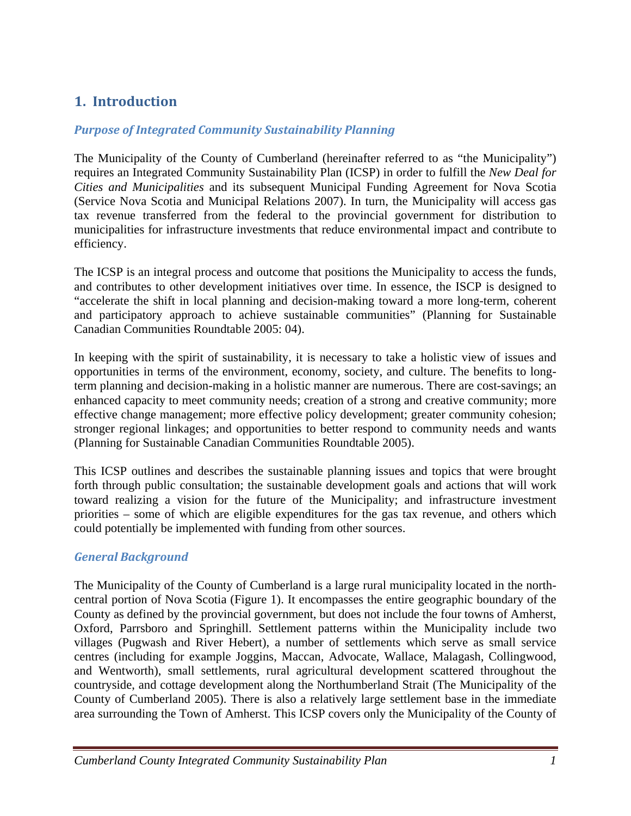## **1. Introduction**

## *Purpose of Integrated Community Sustainability Planning*

The Municipality of the County of Cumberland (hereinafter referred to as "the Municipality") requires an Integrated Community Sustainability Plan (ICSP) in order to fulfill the *New Deal for Cities and Municipalities* and its subsequent Municipal Funding Agreement for Nova Scotia (Service Nova Scotia and Municipal Relations 2007). In turn, the Municipality will access gas tax revenue transferred from the federal to the provincial government for distribution to municipalities for infrastructure investments that reduce environmental impact and contribute to efficiency.

The ICSP is an integral process and outcome that positions the Municipality to access the funds, and contributes to other development initiatives over time. In essence, the ISCP is designed to "accelerate the shift in local planning and decision-making toward a more long-term, coherent and participatory approach to achieve sustainable communities" (Planning for Sustainable Canadian Communities Roundtable 2005: 04).

In keeping with the spirit of sustainability, it is necessary to take a holistic view of issues and opportunities in terms of the environment, economy, society, and culture. The benefits to longterm planning and decision-making in a holistic manner are numerous. There are cost-savings; an enhanced capacity to meet community needs; creation of a strong and creative community; more effective change management; more effective policy development; greater community cohesion; stronger regional linkages; and opportunities to better respond to community needs and wants (Planning for Sustainable Canadian Communities Roundtable 2005).

This ICSP outlines and describes the sustainable planning issues and topics that were brought forth through public consultation; the sustainable development goals and actions that will work toward realizing a vision for the future of the Municipality; and infrastructure investment priorities – some of which are eligible expenditures for the gas tax revenue, and others which could potentially be implemented with funding from other sources.

## *General Background*

The Municipality of the County of Cumberland is a large rural municipality located in the northcentral portion of Nova Scotia (Figure 1). It encompasses the entire geographic boundary of the County as defined by the provincial government, but does not include the four towns of Amherst, Oxford, Parrsboro and Springhill. Settlement patterns within the Municipality include two villages (Pugwash and River Hebert), a number of settlements which serve as small service centres (including for example Joggins, Maccan, Advocate, Wallace, Malagash, Collingwood, and Wentworth), small settlements, rural agricultural development scattered throughout the countryside, and cottage development along the Northumberland Strait (The Municipality of the County of Cumberland 2005). There is also a relatively large settlement base in the immediate area surrounding the Town of Amherst. This ICSP covers only the Municipality of the County of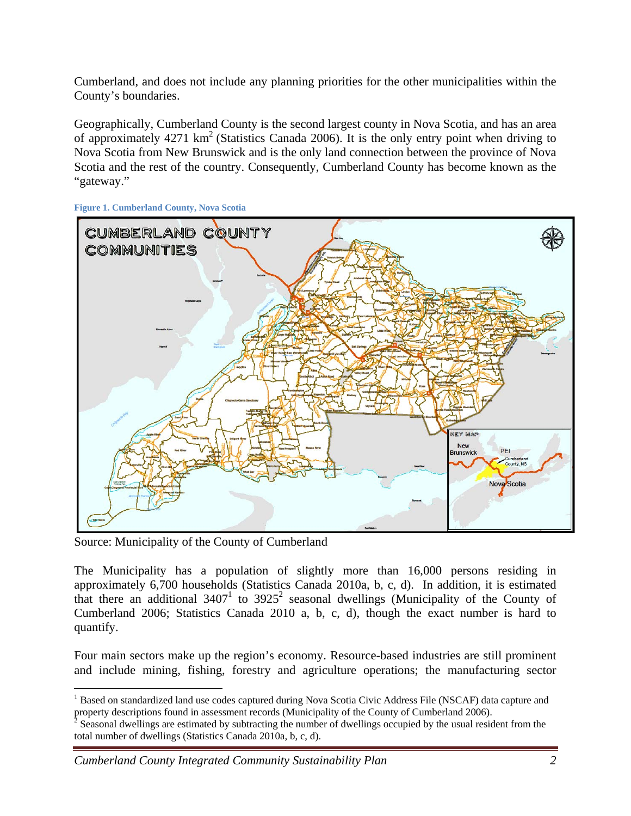Cumberland, and does not include any planning priorities for the other municipalities within the County's boundaries.

Geographically, Cumberland County is the second largest county in Nova Scotia, and has an area of approximately  $4271 \text{ km}^2$  (Statistics Canada 2006). It is the only entry point when driving to Nova Scotia from New Brunswick and is the only land connection between the province of Nova Scotia and the rest of the country. Consequently, Cumberland County has become known as the "gateway."



**Figure 1. Cumberland County, Nova Scotia** 

Source: Municipality of the County of Cumberland

 $\overline{a}$ 

The Municipality has a population of slightly more than 16,000 persons residing in approximately 6,700 households (Statistics Canada 2010a, b, c, d). In addition, it is estimated that there an additional  $3407<sup>1</sup>$  to  $3925<sup>2</sup>$  seasonal dwellings (Municipality of the County of Cumberland 2006; Statistics Canada 2010 a, b, c, d), though the exact number is hard to quantify.

Four main sectors make up the region's economy. Resource-based industries are still prominent and include mining, fishing, forestry and agriculture operations; the manufacturing sector

<sup>&</sup>lt;sup>1</sup> Based on standardized land use codes captured during Nova Scotia Civic Address File (NSCAF) data capture and

property descriptions found in assessment records (Municipality of the County of Cumberland 2006).<br><sup>2</sup> Seasonal dwellings are estimated by subtracting the number of dwellings occupied by the usual resident from the total number of dwellings (Statistics Canada 2010a, b, c, d).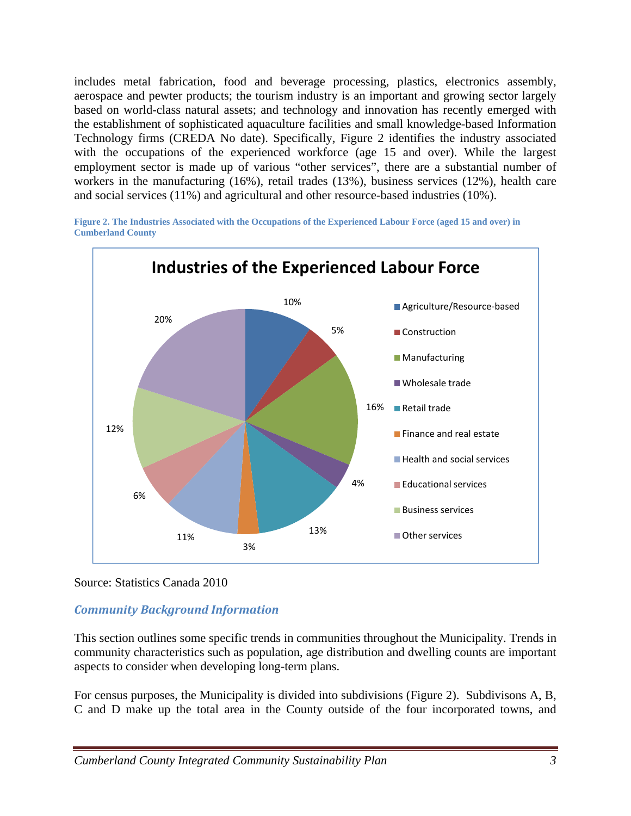includes metal fabrication, food and beverage processing, plastics, electronics assembly, aerospace and pewter products; the tourism industry is an important and growing sector largely based on world-class natural assets; and technology and innovation has recently emerged with the establishment of sophisticated aquaculture facilities and small knowledge-based Information Technology firms (CREDA No date). Specifically, Figure 2 identifies the industry associated with the occupations of the experienced workforce (age 15 and over). While the largest employment sector is made up of various "other services", there are a substantial number of workers in the manufacturing (16%), retail trades (13%), business services (12%), health care and social services (11%) and agricultural and other resource-based industries (10%).

**Figure 2. The Industries Associated with the Occupations of the Experienced Labour Force (aged 15 and over) in Cumberland County** 



Source: Statistics Canada 2010

## *Community Background Information*

This section outlines some specific trends in communities throughout the Municipality. Trends in community characteristics such as population, age distribution and dwelling counts are important aspects to consider when developing long-term plans.

For census purposes, the Municipality is divided into subdivisions (Figure 2). Subdivisons A, B, C and D make up the total area in the County outside of the four incorporated towns, and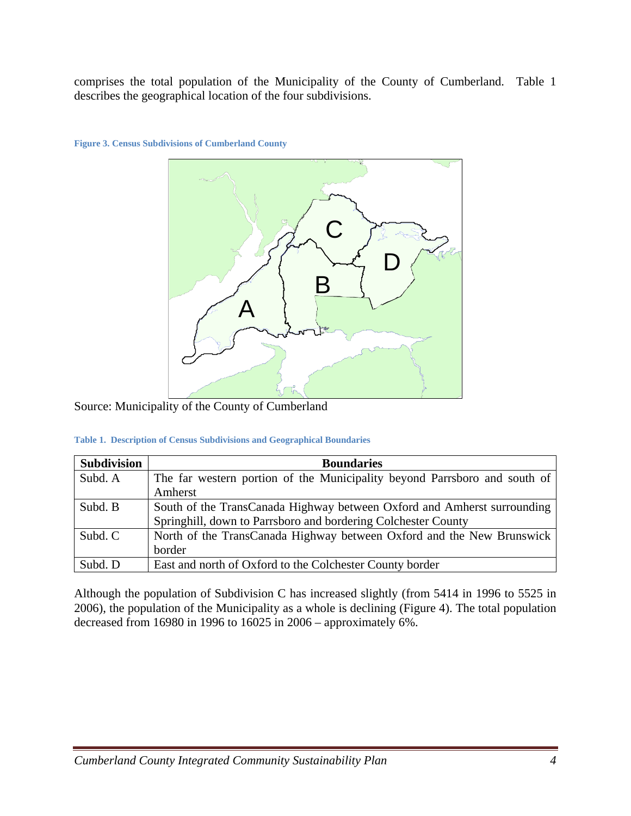comprises the total population of the Municipality of the County of Cumberland. Table 1 describes the geographical location of the four subdivisions.



**Figure 3. Census Subdivisions of Cumberland County** 

Source: Municipality of the County of Cumberland

**Table 1. Description of Census Subdivisions and Geographical Boundaries** 

| <b>Subdivision</b> | <b>Boundaries</b>                                                         |
|--------------------|---------------------------------------------------------------------------|
| Subd. A            | The far western portion of the Municipality beyond Parrsboro and south of |
|                    | Amherst                                                                   |
| Subd. B            | South of the TransCanada Highway between Oxford and Amherst surrounding   |
|                    | Springhill, down to Parrsboro and bordering Colchester County             |
| Subd. C            | North of the TransCanada Highway between Oxford and the New Brunswick     |
|                    | border                                                                    |
| Subd. D            | East and north of Oxford to the Colchester County border                  |

Although the population of Subdivision C has increased slightly (from 5414 in 1996 to 5525 in 2006), the population of the Municipality as a whole is declining (Figure 4). The total population decreased from 16980 in 1996 to 16025 in 2006 – approximately 6%.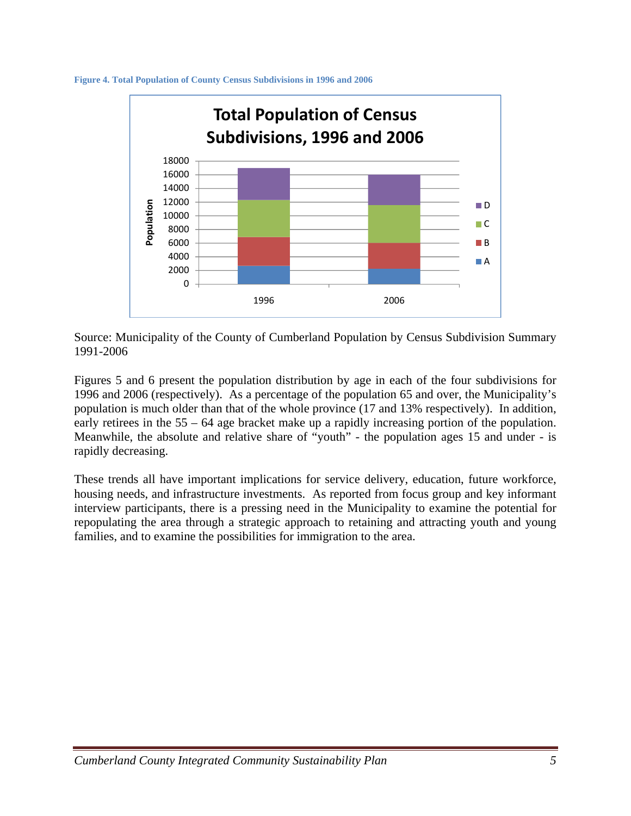



Source: Municipality of the County of Cumberland Population by Census Subdivision Summary 1991-2006

Figures 5 and 6 present the population distribution by age in each of the four subdivisions for 1996 and 2006 (respectively). As a percentage of the population 65 and over, the Municipality's population is much older than that of the whole province (17 and 13% respectively). In addition, early retirees in the 55 – 64 age bracket make up a rapidly increasing portion of the population. Meanwhile, the absolute and relative share of "youth" - the population ages 15 and under - is rapidly decreasing.

These trends all have important implications for service delivery, education, future workforce, housing needs, and infrastructure investments. As reported from focus group and key informant interview participants, there is a pressing need in the Municipality to examine the potential for repopulating the area through a strategic approach to retaining and attracting youth and young families, and to examine the possibilities for immigration to the area.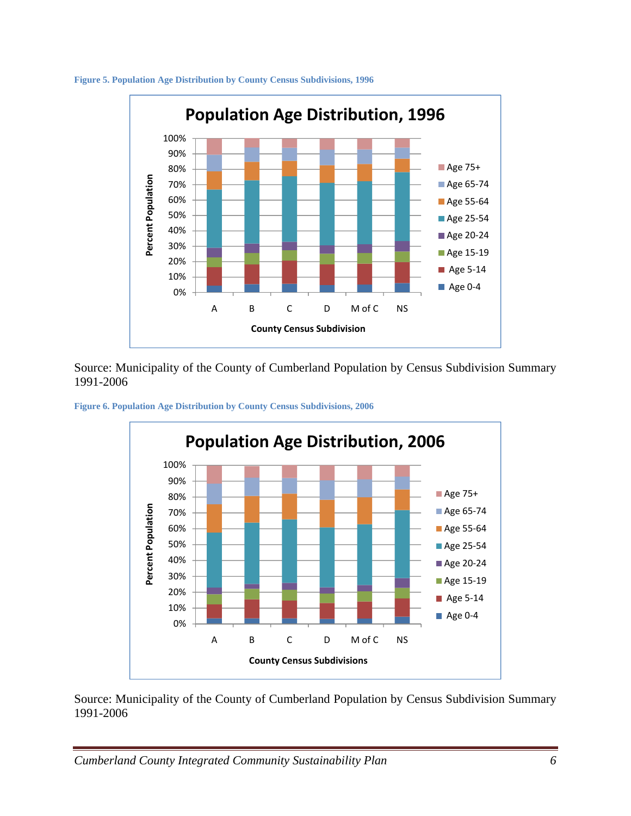

#### **Figure 5. Population Age Distribution by County Census Subdivisions, 1996**

Source: Municipality of the County of Cumberland Population by Census Subdivision Summary 1991-2006





Source: Municipality of the County of Cumberland Population by Census Subdivision Summary 1991-2006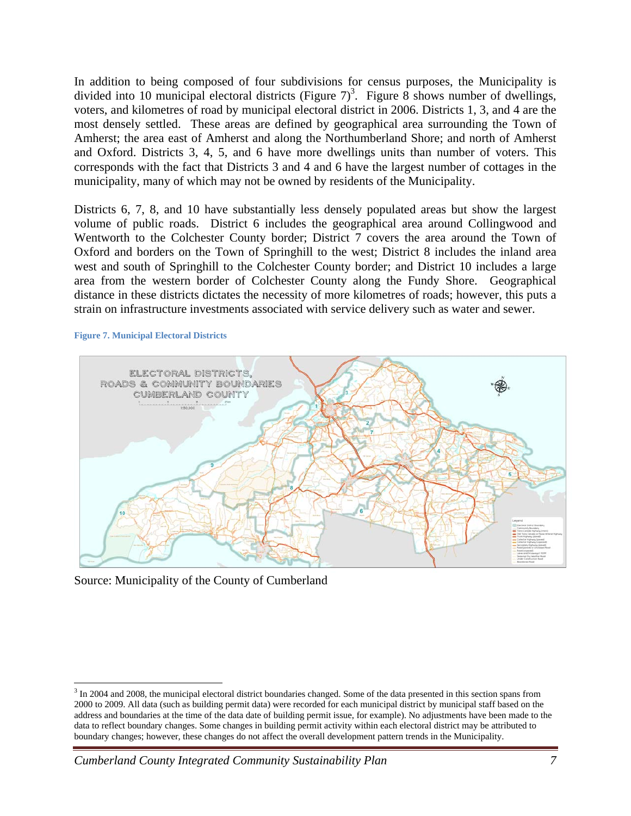In addition to being composed of four subdivisions for census purposes, the Municipality is divided into 10 municipal electoral districts (Figure  $7)^3$ . Figure 8 shows number of dwellings, voters, and kilometres of road by municipal electoral district in 2006. Districts 1, 3, and 4 are the most densely settled. These areas are defined by geographical area surrounding the Town of Amherst; the area east of Amherst and along the Northumberland Shore; and north of Amherst and Oxford. Districts 3, 4, 5, and 6 have more dwellings units than number of voters. This corresponds with the fact that Districts 3 and 4 and 6 have the largest number of cottages in the municipality, many of which may not be owned by residents of the Municipality.

Districts 6, 7, 8, and 10 have substantially less densely populated areas but show the largest volume of public roads. District 6 includes the geographical area around Collingwood and Wentworth to the Colchester County border; District 7 covers the area around the Town of Oxford and borders on the Town of Springhill to the west; District 8 includes the inland area west and south of Springhill to the Colchester County border; and District 10 includes a large area from the western border of Colchester County along the Fundy Shore. Geographical distance in these districts dictates the necessity of more kilometres of roads; however, this puts a strain on infrastructure investments associated with service delivery such as water and sewer.

#### **Figure 7. Municipal Electoral Districts**

 $\overline{a}$ 



Source: Municipality of the County of Cumberland

 $3 \text{ In } 2004$  and 2008, the municipal electoral district boundaries changed. Some of the data presented in this section spans from 2000 to 2009. All data (such as building permit data) were recorded for each municipal district by municipal staff based on the address and boundaries at the time of the data date of building permit issue, for example). No adjustments have been made to the data to reflect boundary changes. Some changes in building permit activity within each electoral district may be attributed to boundary changes; however, these changes do not affect the overall development pattern trends in the Municipality.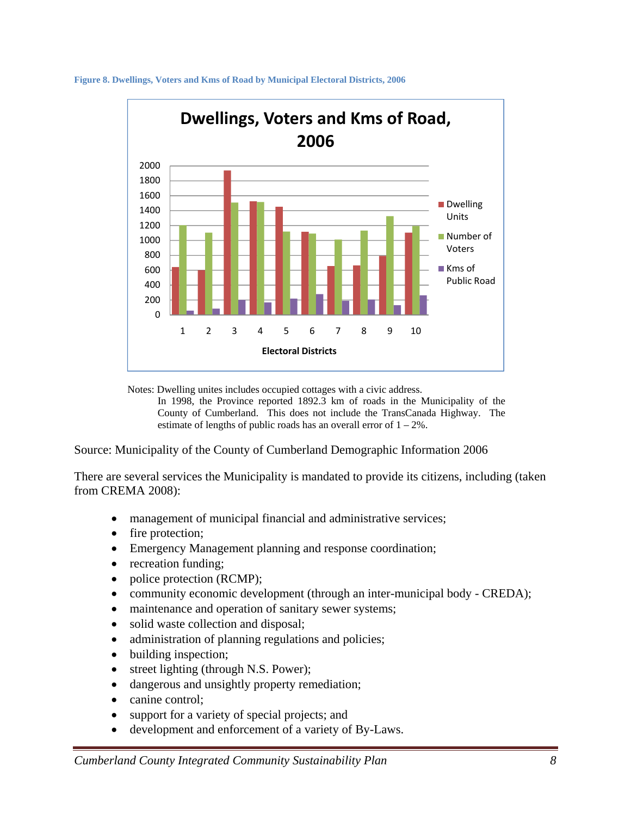

**Figure 8. Dwellings, Voters and Kms of Road by Municipal Electoral Districts, 2006** 

Notes: Dwelling unites includes occupied cottages with a civic address.

In 1998, the Province reported 1892.3 km of roads in the Municipality of the County of Cumberland. This does not include the TransCanada Highway. The estimate of lengths of public roads has an overall error of  $1 - 2\%$ .

Source: Municipality of the County of Cumberland Demographic Information 2006

There are several services the Municipality is mandated to provide its citizens, including (taken from CREMA 2008):

- management of municipal financial and administrative services;
- fire protection;
- Emergency Management planning and response coordination;
- recreation funding;
- police protection (RCMP);
- community economic development (through an inter-municipal body CREDA);
- maintenance and operation of sanitary sewer systems;
- solid waste collection and disposal;
- administration of planning regulations and policies;
- building inspection;
- street lighting (through N.S. Power);
- dangerous and unsightly property remediation;
- canine control;
- support for a variety of special projects; and
- development and enforcement of a variety of By-Laws.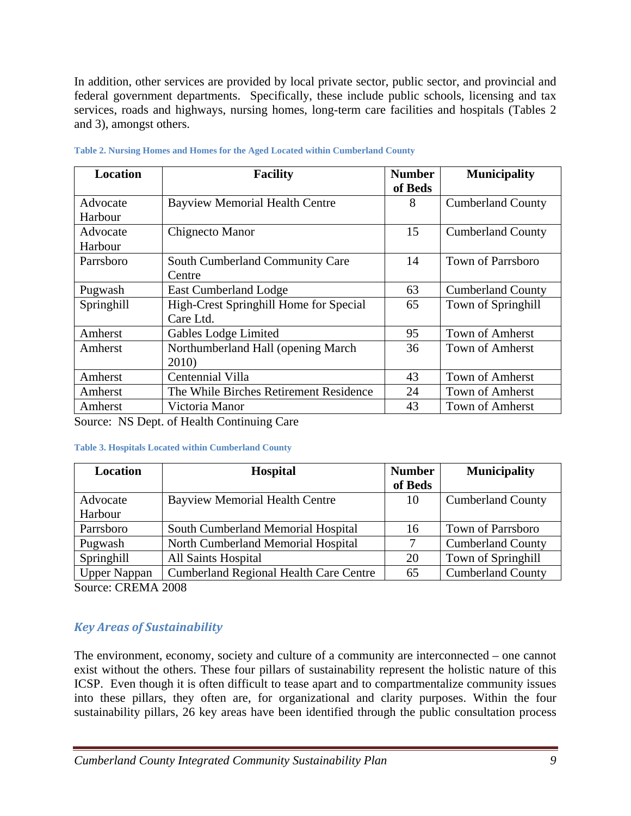In addition, other services are provided by local private sector, public sector, and provincial and federal government departments. Specifically, these include public schools, licensing and tax services, roads and highways, nursing homes, long-term care facilities and hospitals (Tables 2 and 3), amongst others.

| <b>Location</b> | <b>Facility</b>                        | <b>Number</b> | <b>Municipality</b>      |
|-----------------|----------------------------------------|---------------|--------------------------|
|                 |                                        | of Beds       |                          |
| Advocate        | <b>Bayview Memorial Health Centre</b>  | 8             | <b>Cumberland County</b> |
| Harbour         |                                        |               |                          |
| Advocate        | Chignecto Manor                        | 15            | <b>Cumberland County</b> |
| Harbour         |                                        |               |                          |
| Parrsboro       | South Cumberland Community Care        | 14            | <b>Town of Parrsboro</b> |
|                 | Centre                                 |               |                          |
| Pugwash         | <b>East Cumberland Lodge</b>           | 63            | <b>Cumberland County</b> |
| Springhill      | High-Crest Springhill Home for Special | 65            | Town of Springhill       |
|                 | Care Ltd.                              |               |                          |
| Amherst         | Gables Lodge Limited                   | 95            | <b>Town of Amherst</b>   |
| Amherst         | Northumberland Hall (opening March     | 36            | <b>Town of Amherst</b>   |
|                 | 2010)                                  |               |                          |
| Amherst         | Centennial Villa                       | 43            | <b>Town of Amherst</b>   |
| Amherst         | The While Birches Retirement Residence | 24            | <b>Town of Amherst</b>   |
| Amherst         | Victoria Manor                         | 43            | <b>Town of Amherst</b>   |

| Table 2. Nursing Homes and Homes for the Aged Located within Cumberland County |  |  |  |  |
|--------------------------------------------------------------------------------|--|--|--|--|
|                                                                                |  |  |  |  |

Source: NS Dept. of Health Continuing Care

### **Table 3. Hospitals Located within Cumberland County**

| <b>Location</b>     | <b>Hospital</b>                               | <b>Number</b> | <b>Municipality</b>      |
|---------------------|-----------------------------------------------|---------------|--------------------------|
|                     |                                               | of Beds       |                          |
| Advocate            | <b>Bayview Memorial Health Centre</b>         | 10            | <b>Cumberland County</b> |
| Harbour             |                                               |               |                          |
| Parrsboro           | South Cumberland Memorial Hospital            | 16            | <b>Town of Parrsboro</b> |
| Pugwash             | North Cumberland Memorial Hospital            |               | <b>Cumberland County</b> |
| Springhill          | <b>All Saints Hospital</b>                    | 20            | Town of Springhill       |
| <b>Upper Nappan</b> | <b>Cumberland Regional Health Care Centre</b> | 65            | <b>Cumberland County</b> |

Source: CREMA 2008

## *Key Areas of Sustainability*

The environment, economy, society and culture of a community are interconnected – one cannot exist without the others. These four pillars of sustainability represent the holistic nature of this ICSP. Even though it is often difficult to tease apart and to compartmentalize community issues into these pillars, they often are, for organizational and clarity purposes. Within the four sustainability pillars, 26 key areas have been identified through the public consultation process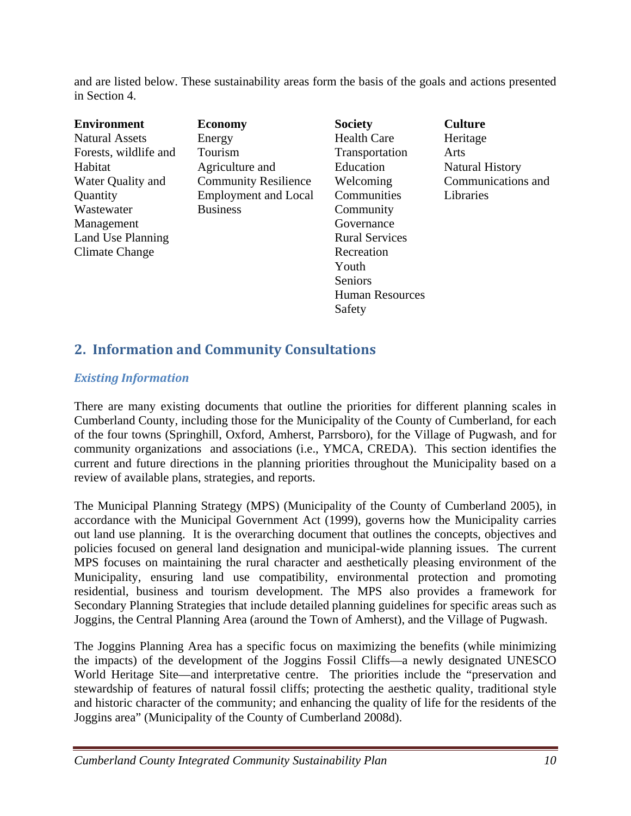and are listed below. These sustainability areas form the basis of the goals and actions presented in Section 4.

| <b>Environment</b>    | <b>Economy</b>              | <b>Society</b>         | <b>Culture</b>         |
|-----------------------|-----------------------------|------------------------|------------------------|
| <b>Natural Assets</b> | Energy                      | <b>Health Care</b>     | Heritage               |
| Forests, wildlife and | Tourism                     | Transportation         | Arts                   |
| Habitat               | Agriculture and             | Education              | <b>Natural History</b> |
| Water Quality and     | <b>Community Resilience</b> | Welcoming              | Communications and     |
| Quantity              | <b>Employment and Local</b> | Communities            | Libraries              |
| Wastewater            | <b>Business</b>             | Community              |                        |
| Management            |                             | Governance             |                        |
| Land Use Planning     |                             | <b>Rural Services</b>  |                        |
| Climate Change        |                             | Recreation             |                        |
|                       |                             | Youth                  |                        |
|                       |                             | Seniors                |                        |
|                       |                             | <b>Human Resources</b> |                        |
|                       |                             | Safety                 |                        |

## **2. Information and Community Consultations**

## *Existing Information*

There are many existing documents that outline the priorities for different planning scales in Cumberland County, including those for the Municipality of the County of Cumberland, for each of the four towns (Springhill, Oxford, Amherst, Parrsboro), for the Village of Pugwash, and for community organizations and associations (i.e., YMCA, CREDA). This section identifies the current and future directions in the planning priorities throughout the Municipality based on a review of available plans, strategies, and reports.

The Municipal Planning Strategy (MPS) (Municipality of the County of Cumberland 2005), in accordance with the Municipal Government Act (1999), governs how the Municipality carries out land use planning. It is the overarching document that outlines the concepts, objectives and policies focused on general land designation and municipal-wide planning issues. The current MPS focuses on maintaining the rural character and aesthetically pleasing environment of the Municipality, ensuring land use compatibility, environmental protection and promoting residential, business and tourism development. The MPS also provides a framework for Secondary Planning Strategies that include detailed planning guidelines for specific areas such as Joggins, the Central Planning Area (around the Town of Amherst), and the Village of Pugwash.

The Joggins Planning Area has a specific focus on maximizing the benefits (while minimizing the impacts) of the development of the Joggins Fossil Cliffs—a newly designated UNESCO World Heritage Site—and interpretative centre. The priorities include the "preservation and stewardship of features of natural fossil cliffs; protecting the aesthetic quality, traditional style and historic character of the community; and enhancing the quality of life for the residents of the Joggins area" (Municipality of the County of Cumberland 2008d).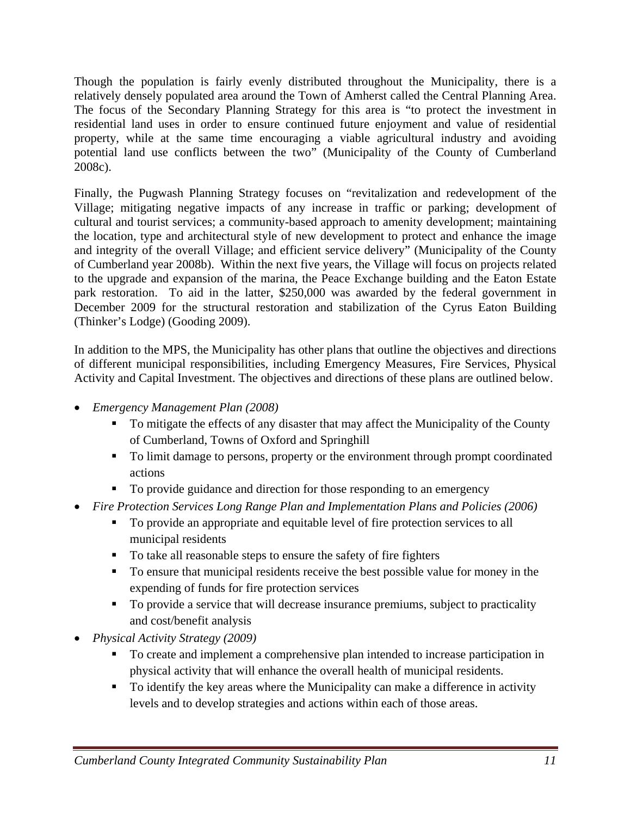Though the population is fairly evenly distributed throughout the Municipality, there is a relatively densely populated area around the Town of Amherst called the Central Planning Area. The focus of the Secondary Planning Strategy for this area is "to protect the investment in residential land uses in order to ensure continued future enjoyment and value of residential property, while at the same time encouraging a viable agricultural industry and avoiding potential land use conflicts between the two" (Municipality of the County of Cumberland 2008c).

Finally, the Pugwash Planning Strategy focuses on "revitalization and redevelopment of the Village; mitigating negative impacts of any increase in traffic or parking; development of cultural and tourist services; a community-based approach to amenity development; maintaining the location, type and architectural style of new development to protect and enhance the image and integrity of the overall Village; and efficient service delivery" (Municipality of the County of Cumberland year 2008b). Within the next five years, the Village will focus on projects related to the upgrade and expansion of the marina, the Peace Exchange building and the Eaton Estate park restoration. To aid in the latter, \$250,000 was awarded by the federal government in December 2009 for the structural restoration and stabilization of the Cyrus Eaton Building (Thinker's Lodge) (Gooding 2009).

In addition to the MPS, the Municipality has other plans that outline the objectives and directions of different municipal responsibilities, including Emergency Measures, Fire Services, Physical Activity and Capital Investment. The objectives and directions of these plans are outlined below.

- *Emergency Management Plan (2008)* 
	- To mitigate the effects of any disaster that may affect the Municipality of the County of Cumberland, Towns of Oxford and Springhill
	- To limit damage to persons, property or the environment through prompt coordinated actions
	- To provide guidance and direction for those responding to an emergency
- *Fire Protection Services Long Range Plan and Implementation Plans and Policies (2006)* 
	- To provide an appropriate and equitable level of fire protection services to all municipal residents
	- To take all reasonable steps to ensure the safety of fire fighters
	- To ensure that municipal residents receive the best possible value for money in the expending of funds for fire protection services
	- To provide a service that will decrease insurance premiums, subject to practicality and cost/benefit analysis
- *Physical Activity Strategy (2009)* 
	- To create and implement a comprehensive plan intended to increase participation in physical activity that will enhance the overall health of municipal residents.
	- To identify the key areas where the Municipality can make a difference in activity levels and to develop strategies and actions within each of those areas.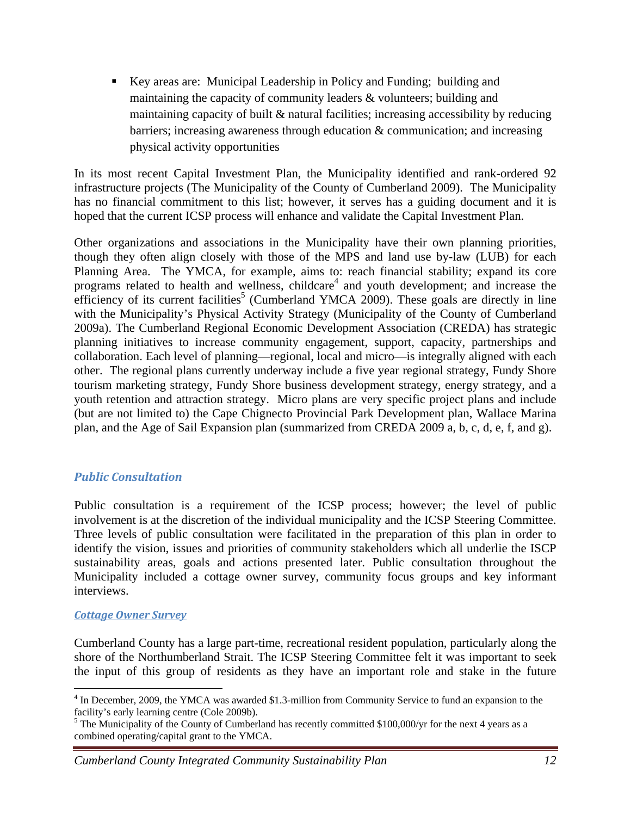Key areas are: Municipal Leadership in Policy and Funding; building and maintaining the capacity of community leaders & volunteers; building and maintaining capacity of built & natural facilities; increasing accessibility by reducing barriers; increasing awareness through education & communication; and increasing physical activity opportunities

In its most recent Capital Investment Plan, the Municipality identified and rank-ordered 92 infrastructure projects (The Municipality of the County of Cumberland 2009). The Municipality has no financial commitment to this list; however, it serves has a guiding document and it is hoped that the current ICSP process will enhance and validate the Capital Investment Plan.

Other organizations and associations in the Municipality have their own planning priorities, though they often align closely with those of the MPS and land use by-law (LUB) for each Planning Area. The YMCA, for example, aims to: reach financial stability; expand its core programs related to health and wellness, childcare<sup>4</sup> and youth development; and increase the efficiency of its current facilities<sup>5</sup> (Cumberland YMCA 2009). These goals are directly in line with the Municipality's Physical Activity Strategy (Municipality of the County of Cumberland 2009a). The Cumberland Regional Economic Development Association (CREDA) has strategic planning initiatives to increase community engagement, support, capacity, partnerships and collaboration. Each level of planning—regional, local and micro—is integrally aligned with each other. The regional plans currently underway include a five year regional strategy, Fundy Shore tourism marketing strategy, Fundy Shore business development strategy, energy strategy, and a youth retention and attraction strategy. Micro plans are very specific project plans and include (but are not limited to) the Cape Chignecto Provincial Park Development plan, Wallace Marina plan, and the Age of Sail Expansion plan (summarized from CREDA 2009 a, b, c, d, e, f, and g).

## *Public Consultation*

Public consultation is a requirement of the ICSP process; however; the level of public involvement is at the discretion of the individual municipality and the ICSP Steering Committee. Three levels of public consultation were facilitated in the preparation of this plan in order to identify the vision, issues and priorities of community stakeholders which all underlie the ISCP sustainability areas, goals and actions presented later. Public consultation throughout the Municipality included a cottage owner survey, community focus groups and key informant interviews.

## *Cottage Owner Survey*

 $\overline{a}$ 

Cumberland County has a large part-time, recreational resident population, particularly along the shore of the Northumberland Strait. The ICSP Steering Committee felt it was important to seek the input of this group of residents as they have an important role and stake in the future

<sup>&</sup>lt;sup>4</sup> In December, 2009, the YMCA was awarded \$1.3-million from Community Service to fund an expansion to the facility's early learning centre (Cole 2009b).

 $<sup>5</sup>$  The Municipality of the County of Cumberland has recently committed \$100,000/yr for the next 4 years as a</sup> combined operating/capital grant to the YMCA.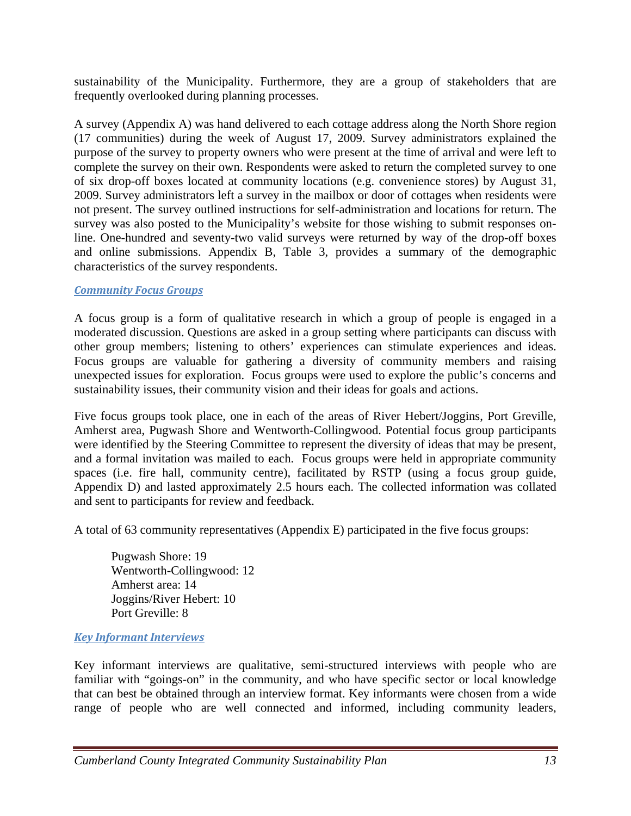sustainability of the Municipality. Furthermore, they are a group of stakeholders that are frequently overlooked during planning processes.

A survey (Appendix A) was hand delivered to each cottage address along the North Shore region (17 communities) during the week of August 17, 2009. Survey administrators explained the purpose of the survey to property owners who were present at the time of arrival and were left to complete the survey on their own. Respondents were asked to return the completed survey to one of six drop-off boxes located at community locations (e.g. convenience stores) by August 31, 2009. Survey administrators left a survey in the mailbox or door of cottages when residents were not present. The survey outlined instructions for self-administration and locations for return. The survey was also posted to the Municipality's website for those wishing to submit responses online. One-hundred and seventy-two valid surveys were returned by way of the drop-off boxes and online submissions. Appendix B, Table 3, provides a summary of the demographic characteristics of the survey respondents.

## *Community Focus Groups*

A focus group is a form of qualitative research in which a group of people is engaged in a moderated discussion. Questions are asked in a group setting where participants can discuss with other group members; listening to others' experiences can stimulate experiences and ideas. Focus groups are valuable for gathering a diversity of community members and raising unexpected issues for exploration. Focus groups were used to explore the public's concerns and sustainability issues, their community vision and their ideas for goals and actions.

Five focus groups took place, one in each of the areas of River Hebert/Joggins, Port Greville, Amherst area, Pugwash Shore and Wentworth-Collingwood. Potential focus group participants were identified by the Steering Committee to represent the diversity of ideas that may be present, and a formal invitation was mailed to each. Focus groups were held in appropriate community spaces (i.e. fire hall, community centre), facilitated by RSTP (using a focus group guide, Appendix D) and lasted approximately 2.5 hours each. The collected information was collated and sent to participants for review and feedback.

A total of 63 community representatives (Appendix E) participated in the five focus groups:

 Pugwash Shore: 19 Wentworth-Collingwood: 12 Amherst area: 14 Joggins/River Hebert: 10 Port Greville: 8

## *Key Informant Interviews*

Key informant interviews are qualitative, semi-structured interviews with people who are familiar with "goings-on" in the community, and who have specific sector or local knowledge that can best be obtained through an interview format. Key informants were chosen from a wide range of people who are well connected and informed, including community leaders,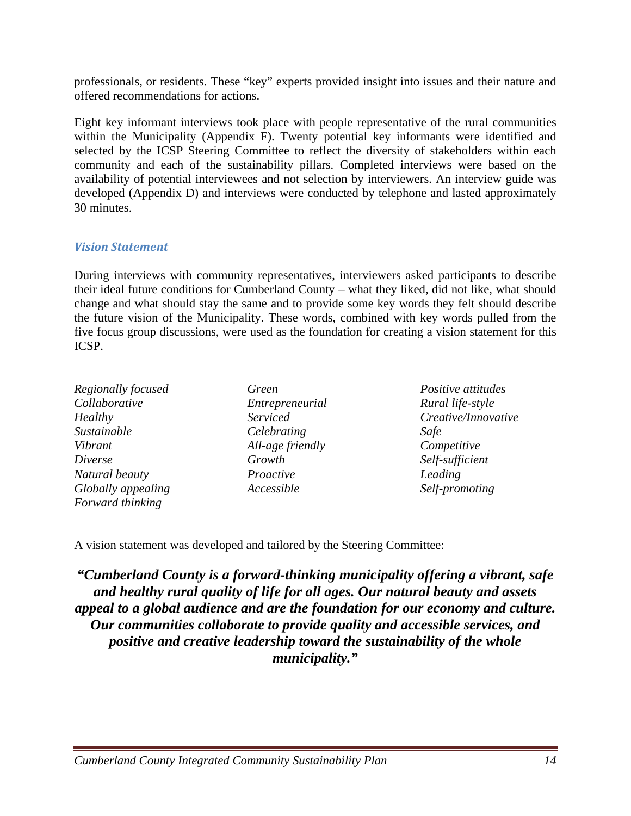professionals, or residents. These "key" experts provided insight into issues and their nature and offered recommendations for actions.

Eight key informant interviews took place with people representative of the rural communities within the Municipality (Appendix F). Twenty potential key informants were identified and selected by the ICSP Steering Committee to reflect the diversity of stakeholders within each community and each of the sustainability pillars. Completed interviews were based on the availability of potential interviewees and not selection by interviewers. An interview guide was developed (Appendix D) and interviews were conducted by telephone and lasted approximately 30 minutes.

## *Vision Statement*

During interviews with community representatives, interviewers asked participants to describe their ideal future conditions for Cumberland County – what they liked, did not like, what should change and what should stay the same and to provide some key words they felt should describe the future vision of the Municipality. These words, combined with key words pulled from the five focus group discussions, were used as the foundation for creating a vision statement for this ICSP.

| Regionally focused | Green            |
|--------------------|------------------|
| Collaborative      | Entrepreneurial  |
| Healthy            | Serviced         |
| Sustainable        | Celebrating      |
| Vibrant            | All-age friendly |
| <i>Diverse</i>     | Growth           |
| Natural beauty     | Proactive        |
| Globally appealing | Accessible       |
| Forward thinking   |                  |

*Positive attitudes Rural life-style Creative/Innovative Safe Competitive Self-sufficient Leading Self-promoting*

A vision statement was developed and tailored by the Steering Committee:

*"Cumberland County is a forward-thinking municipality offering a vibrant, safe and healthy rural quality of life for all ages. Our natural beauty and assets appeal to a global audience and are the foundation for our economy and culture. Our communities collaborate to provide quality and accessible services, and positive and creative leadership toward the sustainability of the whole municipality."*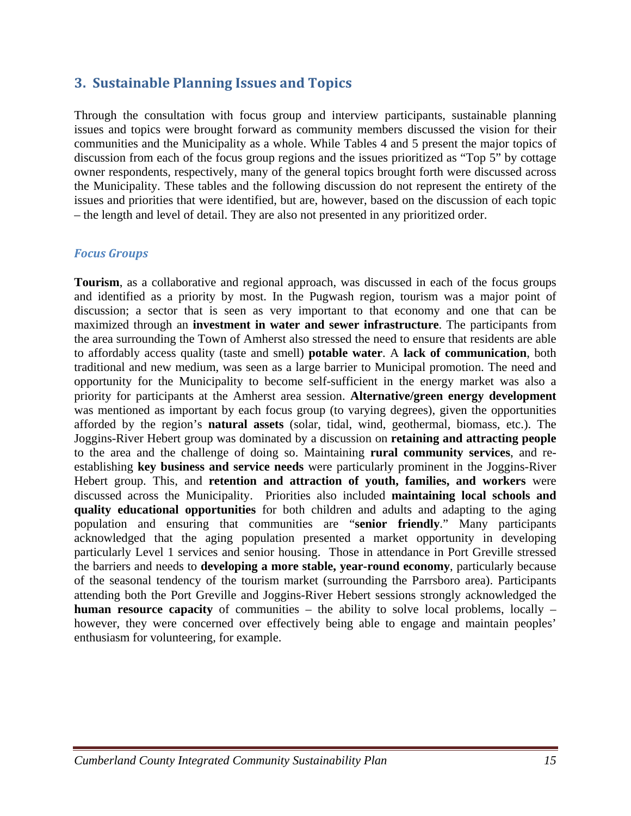## **3. Sustainable Planning Issues and Topics**

Through the consultation with focus group and interview participants, sustainable planning issues and topics were brought forward as community members discussed the vision for their communities and the Municipality as a whole. While Tables 4 and 5 present the major topics of discussion from each of the focus group regions and the issues prioritized as "Top 5" by cottage owner respondents, respectively, many of the general topics brought forth were discussed across the Municipality. These tables and the following discussion do not represent the entirety of the issues and priorities that were identified, but are, however, based on the discussion of each topic – the length and level of detail. They are also not presented in any prioritized order.

## *Focus Groups*

**Tourism**, as a collaborative and regional approach, was discussed in each of the focus groups and identified as a priority by most. In the Pugwash region, tourism was a major point of discussion; a sector that is seen as very important to that economy and one that can be maximized through an **investment in water and sewer infrastructure**. The participants from the area surrounding the Town of Amherst also stressed the need to ensure that residents are able to affordably access quality (taste and smell) **potable water**. A **lack of communication**, both traditional and new medium, was seen as a large barrier to Municipal promotion. The need and opportunity for the Municipality to become self-sufficient in the energy market was also a priority for participants at the Amherst area session. **Alternative/green energy development** was mentioned as important by each focus group (to varying degrees), given the opportunities afforded by the region's **natural assets** (solar, tidal, wind, geothermal, biomass, etc.). The Joggins-River Hebert group was dominated by a discussion on **retaining and attracting people** to the area and the challenge of doing so. Maintaining **rural community services**, and reestablishing **key business and service needs** were particularly prominent in the Joggins-River Hebert group. This, and **retention and attraction of youth, families, and workers** were discussed across the Municipality. Priorities also included **maintaining local schools and quality educational opportunities** for both children and adults and adapting to the aging population and ensuring that communities are "**senior friendly**." Many participants acknowledged that the aging population presented a market opportunity in developing particularly Level 1 services and senior housing. Those in attendance in Port Greville stressed the barriers and needs to **developing a more stable, year-round economy**, particularly because of the seasonal tendency of the tourism market (surrounding the Parrsboro area). Participants attending both the Port Greville and Joggins-River Hebert sessions strongly acknowledged the **human resource capacity** of communities – the ability to solve local problems, locally – however, they were concerned over effectively being able to engage and maintain peoples' enthusiasm for volunteering, for example.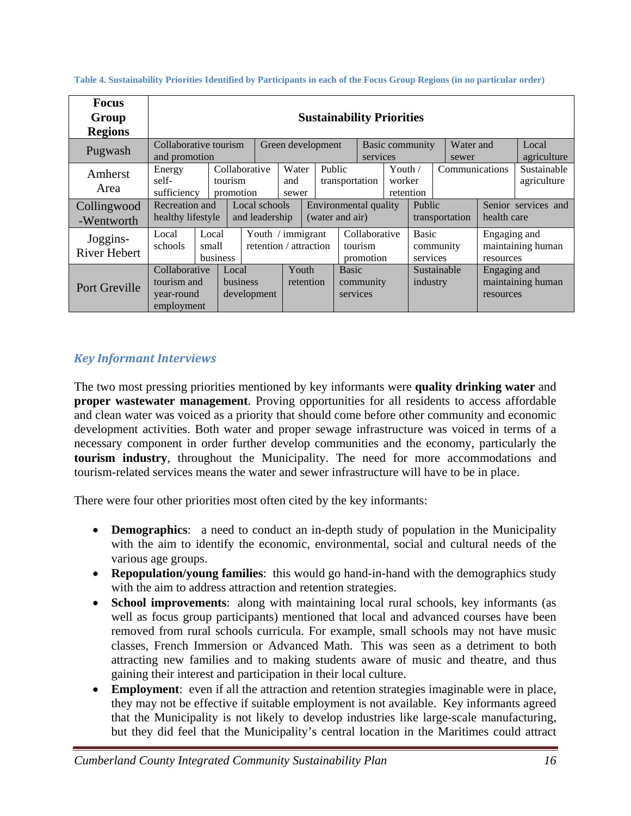| <b>Focus</b><br>Group<br><b>Regions</b>      | <b>Sustainability Priorities</b>                                      |                                        |                      |                                                  |                                                  |  |                                                                      |                                       |                                  |                          |                                                                  |                           |                                                   |
|----------------------------------------------|-----------------------------------------------------------------------|----------------------------------------|----------------------|--------------------------------------------------|--------------------------------------------------|--|----------------------------------------------------------------------|---------------------------------------|----------------------------------|--------------------------|------------------------------------------------------------------|---------------------------|---------------------------------------------------|
| Pugwash                                      |                                                                       | Collaborative tourism<br>and promotion |                      |                                                  | Green development<br>Basic community<br>services |  |                                                                      | Water and<br>sewer                    |                                  |                          | Local<br>agriculture                                             |                           |                                                   |
| Amherst<br>Area<br>Collingwood<br>-Wentworth | Energy<br>self-<br>sufficiency<br>Recreation and<br>healthy lifestyle |                                        | tourism<br>promotion | Collaborative<br>Local schools<br>and leadership | Water<br>and<br>sewer                            |  | Public<br>transportation<br>Environmental quality<br>(water and air) |                                       | Youth $/$<br>worker<br>retention |                          | Communications<br><b>Public</b><br>health care<br>transportation |                           | Sustainable<br>agriculture<br>Senior services and |
| Joggins-<br><b>River Hebert</b>              | Local<br>schools                                                      | Local<br>small<br>business             |                      |                                                  | Youth / immigrant<br>retention / attraction      |  |                                                                      | Collaborative<br>tourism<br>promotion |                                  | <b>Basic</b><br>services | community                                                        | Engaging and<br>resources | maintaining human                                 |
| Port Greville                                | Collaborative<br>tourism and<br>year-round<br>employment              |                                        | Local<br>business    | development                                      | Youth<br>retention                               |  |                                                                      | <b>Basic</b><br>community<br>services |                                  | industry                 | Sustainable                                                      | Engaging and<br>resources | maintaining human                                 |

**Table 4. Sustainability Priorities Identified by Participants in each of the Focus Group Regions (in no particular order)** 

## *Key Informant Interviews*

The two most pressing priorities mentioned by key informants were **quality drinking water** and **proper wastewater management**. Proving opportunities for all residents to access affordable and clean water was voiced as a priority that should come before other community and economic development activities. Both water and proper sewage infrastructure was voiced in terms of a necessary component in order further develop communities and the economy, particularly the **tourism industry**, throughout the Municipality. The need for more accommodations and tourism-related services means the water and sewer infrastructure will have to be in place.

There were four other priorities most often cited by the key informants:

- **Demographics**: a need to conduct an in-depth study of population in the Municipality with the aim to identify the economic, environmental, social and cultural needs of the various age groups.
- **Repopulation/young families**: this would go hand-in-hand with the demographics study with the aim to address attraction and retention strategies.
- **School improvements**: along with maintaining local rural schools, key informants (as well as focus group participants) mentioned that local and advanced courses have been removed from rural schools curricula. For example, small schools may not have music classes, French Immersion or Advanced Math. This was seen as a detriment to both attracting new families and to making students aware of music and theatre, and thus gaining their interest and participation in their local culture.
- **Employment**: even if all the attraction and retention strategies imaginable were in place, they may not be effective if suitable employment is not available. Key informants agreed that the Municipality is not likely to develop industries like large-scale manufacturing, but they did feel that the Municipality's central location in the Maritimes could attract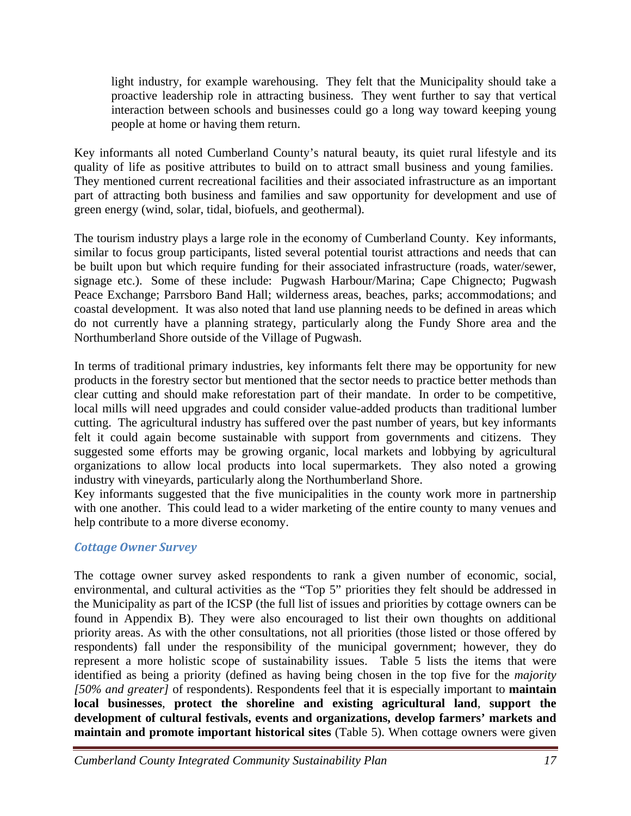light industry, for example warehousing. They felt that the Municipality should take a proactive leadership role in attracting business. They went further to say that vertical interaction between schools and businesses could go a long way toward keeping young people at home or having them return.

Key informants all noted Cumberland County's natural beauty, its quiet rural lifestyle and its quality of life as positive attributes to build on to attract small business and young families. They mentioned current recreational facilities and their associated infrastructure as an important part of attracting both business and families and saw opportunity for development and use of green energy (wind, solar, tidal, biofuels, and geothermal).

The tourism industry plays a large role in the economy of Cumberland County. Key informants, similar to focus group participants, listed several potential tourist attractions and needs that can be built upon but which require funding for their associated infrastructure (roads, water/sewer, signage etc.). Some of these include: Pugwash Harbour/Marina; Cape Chignecto; Pugwash Peace Exchange; Parrsboro Band Hall; wilderness areas, beaches, parks; accommodations; and coastal development. It was also noted that land use planning needs to be defined in areas which do not currently have a planning strategy, particularly along the Fundy Shore area and the Northumberland Shore outside of the Village of Pugwash.

In terms of traditional primary industries, key informants felt there may be opportunity for new products in the forestry sector but mentioned that the sector needs to practice better methods than clear cutting and should make reforestation part of their mandate. In order to be competitive, local mills will need upgrades and could consider value-added products than traditional lumber cutting. The agricultural industry has suffered over the past number of years, but key informants felt it could again become sustainable with support from governments and citizens. They suggested some efforts may be growing organic, local markets and lobbying by agricultural organizations to allow local products into local supermarkets. They also noted a growing industry with vineyards, particularly along the Northumberland Shore.

Key informants suggested that the five municipalities in the county work more in partnership with one another. This could lead to a wider marketing of the entire county to many venues and help contribute to a more diverse economy.

## *Cottage Owner Survey*

The cottage owner survey asked respondents to rank a given number of economic, social, environmental, and cultural activities as the "Top 5" priorities they felt should be addressed in the Municipality as part of the ICSP (the full list of issues and priorities by cottage owners can be found in Appendix B). They were also encouraged to list their own thoughts on additional priority areas. As with the other consultations, not all priorities (those listed or those offered by respondents) fall under the responsibility of the municipal government; however, they do represent a more holistic scope of sustainability issues. Table 5 lists the items that were identified as being a priority (defined as having being chosen in the top five for the *majority [50% and greater]* of respondents). Respondents feel that it is especially important to **maintain local businesses**, **protect the shoreline and existing agricultural land**, **support the development of cultural festivals, events and organizations, develop farmers' markets and maintain and promote important historical sites** (Table 5). When cottage owners were given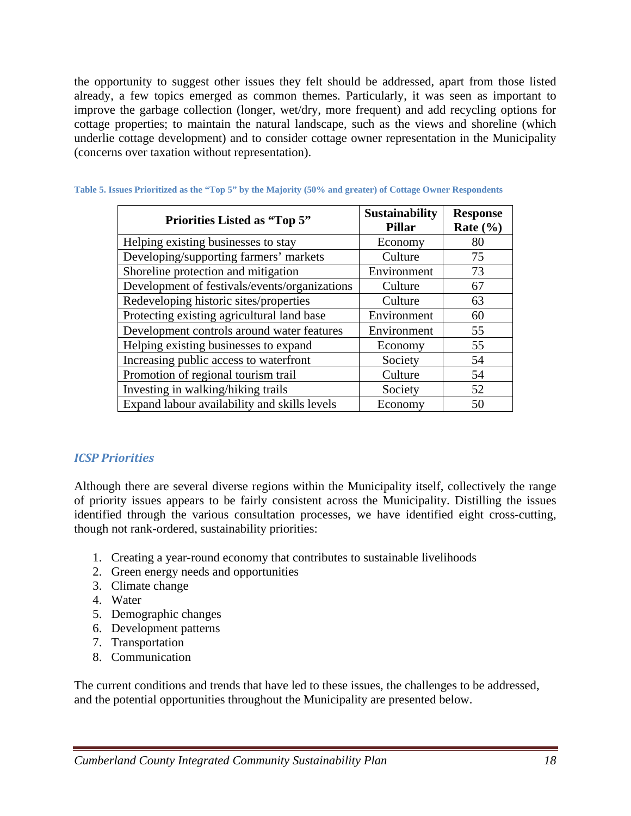the opportunity to suggest other issues they felt should be addressed, apart from those listed already, a few topics emerged as common themes. Particularly, it was seen as important to improve the garbage collection (longer, wet/dry, more frequent) and add recycling options for cottage properties; to maintain the natural landscape, such as the views and shoreline (which underlie cottage development) and to consider cottage owner representation in the Municipality (concerns over taxation without representation).

| <b>Priorities Listed as "Top 5"</b>           | <b>Sustainability</b><br><b>Pillar</b> | <b>Response</b><br>Rate $(\% )$ |
|-----------------------------------------------|----------------------------------------|---------------------------------|
| Helping existing businesses to stay           | Economy                                | 80                              |
| Developing/supporting farmers' markets        | Culture                                | 75                              |
| Shoreline protection and mitigation           | Environment                            | 73                              |
| Development of festivals/events/organizations | Culture                                | 67                              |
| Redeveloping historic sites/properties        | Culture                                | 63                              |
| Protecting existing agricultural land base    | Environment                            | 60                              |
| Development controls around water features    | Environment                            | 55                              |
| Helping existing businesses to expand         | Economy                                | 55                              |
| Increasing public access to waterfront        | Society                                | 54                              |
| Promotion of regional tourism trail           | Culture                                | 54                              |
| Investing in walking/hiking trails            | Society                                | 52                              |
| Expand labour availability and skills levels  | Economy                                | 50                              |

| Table 5. Issues Prioritized as the "Top 5" by the Majority (50% and greater) of Cottage Owner Respondents |  |  |  |  |  |
|-----------------------------------------------------------------------------------------------------------|--|--|--|--|--|
|-----------------------------------------------------------------------------------------------------------|--|--|--|--|--|

## *ICSP Priorities*

Although there are several diverse regions within the Municipality itself, collectively the range of priority issues appears to be fairly consistent across the Municipality. Distilling the issues identified through the various consultation processes, we have identified eight cross-cutting, though not rank-ordered, sustainability priorities:

- 1. Creating a year-round economy that contributes to sustainable livelihoods
- 2. Green energy needs and opportunities
- 3. Climate change
- 4. Water
- 5. Demographic changes
- 6. Development patterns
- 7. Transportation
- 8. Communication

The current conditions and trends that have led to these issues, the challenges to be addressed, and the potential opportunities throughout the Municipality are presented below.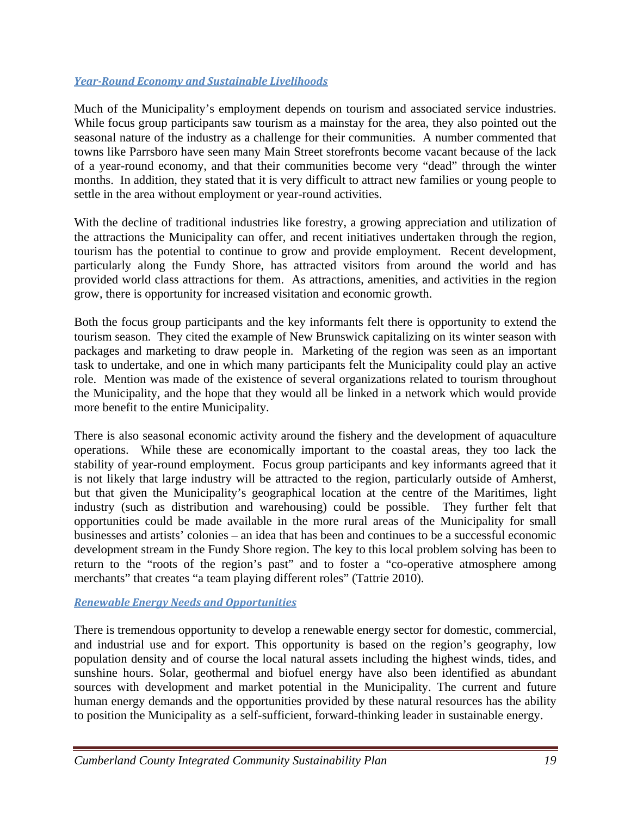## *YearRound Economy and Sustainable Livelihoods*

Much of the Municipality's employment depends on tourism and associated service industries. While focus group participants saw tourism as a mainstay for the area, they also pointed out the seasonal nature of the industry as a challenge for their communities. A number commented that towns like Parrsboro have seen many Main Street storefronts become vacant because of the lack of a year-round economy, and that their communities become very "dead" through the winter months. In addition, they stated that it is very difficult to attract new families or young people to settle in the area without employment or year-round activities.

With the decline of traditional industries like forestry, a growing appreciation and utilization of the attractions the Municipality can offer, and recent initiatives undertaken through the region, tourism has the potential to continue to grow and provide employment. Recent development, particularly along the Fundy Shore, has attracted visitors from around the world and has provided world class attractions for them. As attractions, amenities, and activities in the region grow, there is opportunity for increased visitation and economic growth.

Both the focus group participants and the key informants felt there is opportunity to extend the tourism season. They cited the example of New Brunswick capitalizing on its winter season with packages and marketing to draw people in. Marketing of the region was seen as an important task to undertake, and one in which many participants felt the Municipality could play an active role. Mention was made of the existence of several organizations related to tourism throughout the Municipality, and the hope that they would all be linked in a network which would provide more benefit to the entire Municipality.

There is also seasonal economic activity around the fishery and the development of aquaculture operations. While these are economically important to the coastal areas, they too lack the stability of year-round employment. Focus group participants and key informants agreed that it is not likely that large industry will be attracted to the region, particularly outside of Amherst, but that given the Municipality's geographical location at the centre of the Maritimes, light industry (such as distribution and warehousing) could be possible. They further felt that opportunities could be made available in the more rural areas of the Municipality for small businesses and artists' colonies – an idea that has been and continues to be a successful economic development stream in the Fundy Shore region. The key to this local problem solving has been to return to the "roots of the region's past" and to foster a "co-operative atmosphere among merchants" that creates "a team playing different roles" (Tattrie 2010).

## *Renewable Energy Needs and Opportunities*

There is tremendous opportunity to develop a renewable energy sector for domestic, commercial, and industrial use and for export. This opportunity is based on the region's geography, low population density and of course the local natural assets including the highest winds, tides, and sunshine hours. Solar, geothermal and biofuel energy have also been identified as abundant sources with development and market potential in the Municipality. The current and future human energy demands and the opportunities provided by these natural resources has the ability to position the Municipality as a self-sufficient, forward-thinking leader in sustainable energy.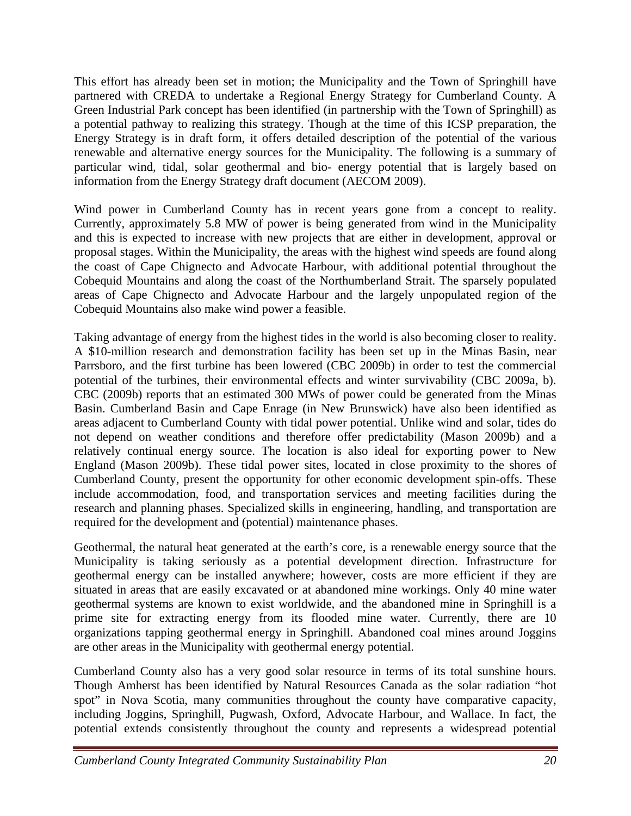This effort has already been set in motion; the Municipality and the Town of Springhill have partnered with CREDA to undertake a Regional Energy Strategy for Cumberland County. A Green Industrial Park concept has been identified (in partnership with the Town of Springhill) as a potential pathway to realizing this strategy. Though at the time of this ICSP preparation, the Energy Strategy is in draft form, it offers detailed description of the potential of the various renewable and alternative energy sources for the Municipality. The following is a summary of particular wind, tidal, solar geothermal and bio- energy potential that is largely based on information from the Energy Strategy draft document (AECOM 2009).

Wind power in Cumberland County has in recent years gone from a concept to reality. Currently, approximately 5.8 MW of power is being generated from wind in the Municipality and this is expected to increase with new projects that are either in development, approval or proposal stages. Within the Municipality, the areas with the highest wind speeds are found along the coast of Cape Chignecto and Advocate Harbour, with additional potential throughout the Cobequid Mountains and along the coast of the Northumberland Strait. The sparsely populated areas of Cape Chignecto and Advocate Harbour and the largely unpopulated region of the Cobequid Mountains also make wind power a feasible.

Taking advantage of energy from the highest tides in the world is also becoming closer to reality. A \$10-million research and demonstration facility has been set up in the Minas Basin, near Parrsboro, and the first turbine has been lowered (CBC 2009b) in order to test the commercial potential of the turbines, their environmental effects and winter survivability (CBC 2009a, b). CBC (2009b) reports that an estimated 300 MWs of power could be generated from the Minas Basin. Cumberland Basin and Cape Enrage (in New Brunswick) have also been identified as areas adjacent to Cumberland County with tidal power potential. Unlike wind and solar, tides do not depend on weather conditions and therefore offer predictability (Mason 2009b) and a relatively continual energy source. The location is also ideal for exporting power to New England (Mason 2009b). These tidal power sites, located in close proximity to the shores of Cumberland County, present the opportunity for other economic development spin-offs. These include accommodation, food, and transportation services and meeting facilities during the research and planning phases. Specialized skills in engineering, handling, and transportation are required for the development and (potential) maintenance phases.

Geothermal, the natural heat generated at the earth's core, is a renewable energy source that the Municipality is taking seriously as a potential development direction. Infrastructure for geothermal energy can be installed anywhere; however, costs are more efficient if they are situated in areas that are easily excavated or at abandoned mine workings. Only 40 mine water geothermal systems are known to exist worldwide, and the abandoned mine in Springhill is a prime site for extracting energy from its flooded mine water. Currently, there are 10 organizations tapping geothermal energy in Springhill. Abandoned coal mines around Joggins are other areas in the Municipality with geothermal energy potential.

Cumberland County also has a very good solar resource in terms of its total sunshine hours. Though Amherst has been identified by Natural Resources Canada as the solar radiation "hot spot" in Nova Scotia, many communities throughout the county have comparative capacity, including Joggins, Springhill, Pugwash, Oxford, Advocate Harbour, and Wallace. In fact, the potential extends consistently throughout the county and represents a widespread potential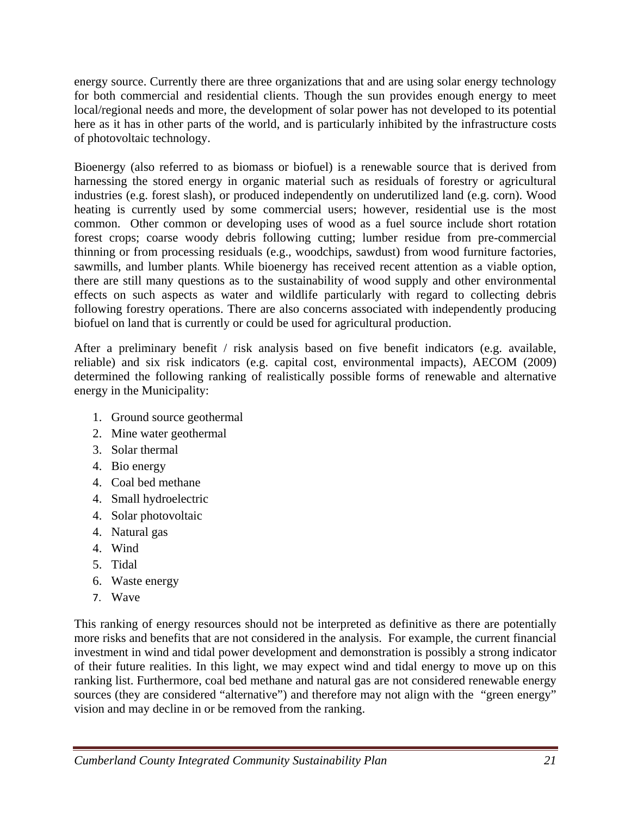energy source. Currently there are three organizations that and are using solar energy technology for both commercial and residential clients. Though the sun provides enough energy to meet local/regional needs and more, the development of solar power has not developed to its potential here as it has in other parts of the world, and is particularly inhibited by the infrastructure costs of photovoltaic technology.

Bioenergy (also referred to as biomass or biofuel) is a renewable source that is derived from harnessing the stored energy in organic material such as residuals of forestry or agricultural industries (e.g. forest slash), or produced independently on underutilized land (e.g. corn). Wood heating is currently used by some commercial users; however, residential use is the most common. Other common or developing uses of wood as a fuel source include short rotation forest crops; coarse woody debris following cutting; lumber residue from pre-commercial thinning or from processing residuals (e.g., woodchips, sawdust) from wood furniture factories, sawmills, and lumber plants. While bioenergy has received recent attention as a viable option, there are still many questions as to the sustainability of wood supply and other environmental effects on such aspects as water and wildlife particularly with regard to collecting debris following forestry operations. There are also concerns associated with independently producing biofuel on land that is currently or could be used for agricultural production.

After a preliminary benefit / risk analysis based on five benefit indicators (e.g. available, reliable) and six risk indicators (e.g. capital cost, environmental impacts), AECOM (2009) determined the following ranking of realistically possible forms of renewable and alternative energy in the Municipality:

- 1. Ground source geothermal
- 2. Mine water geothermal
- 3. Solar thermal
- 4. Bio energy
- 4. Coal bed methane
- 4. Small hydroelectric
- 4. Solar photovoltaic
- 4. Natural gas
- 4. Wind
- 5. Tidal
- 6. Waste energy
- 7. Wave

This ranking of energy resources should not be interpreted as definitive as there are potentially more risks and benefits that are not considered in the analysis. For example, the current financial investment in wind and tidal power development and demonstration is possibly a strong indicator of their future realities. In this light, we may expect wind and tidal energy to move up on this ranking list. Furthermore, coal bed methane and natural gas are not considered renewable energy sources (they are considered "alternative") and therefore may not align with the "green energy" vision and may decline in or be removed from the ranking.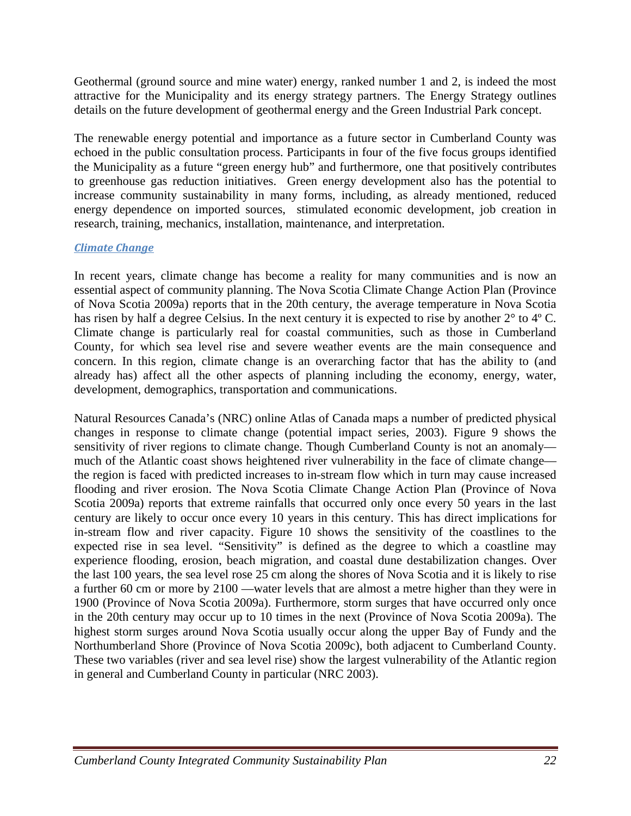Geothermal (ground source and mine water) energy, ranked number 1 and 2, is indeed the most attractive for the Municipality and its energy strategy partners. The Energy Strategy outlines details on the future development of geothermal energy and the Green Industrial Park concept.

The renewable energy potential and importance as a future sector in Cumberland County was echoed in the public consultation process. Participants in four of the five focus groups identified the Municipality as a future "green energy hub" and furthermore, one that positively contributes to greenhouse gas reduction initiatives. Green energy development also has the potential to increase community sustainability in many forms, including, as already mentioned, reduced energy dependence on imported sources, stimulated economic development, job creation in research, training, mechanics, installation, maintenance, and interpretation.

## *Climate Change*

In recent years, climate change has become a reality for many communities and is now an essential aspect of community planning. The Nova Scotia Climate Change Action Plan (Province of Nova Scotia 2009a) reports that in the 20th century, the average temperature in Nova Scotia has risen by half a degree Celsius. In the next century it is expected to rise by another 2° to 4º C. Climate change is particularly real for coastal communities, such as those in Cumberland County, for which sea level rise and severe weather events are the main consequence and concern. In this region, climate change is an overarching factor that has the ability to (and already has) affect all the other aspects of planning including the economy, energy, water, development, demographics, transportation and communications.

Natural Resources Canada's (NRC) online Atlas of Canada maps a number of predicted physical changes in response to climate change (potential impact series, 2003). Figure 9 shows the sensitivity of river regions to climate change. Though Cumberland County is not an anomaly much of the Atlantic coast shows heightened river vulnerability in the face of climate change the region is faced with predicted increases to in-stream flow which in turn may cause increased flooding and river erosion. The Nova Scotia Climate Change Action Plan (Province of Nova Scotia 2009a) reports that extreme rainfalls that occurred only once every 50 years in the last century are likely to occur once every 10 years in this century. This has direct implications for in-stream flow and river capacity. Figure 10 shows the sensitivity of the coastlines to the expected rise in sea level. "Sensitivity" is defined as the degree to which a coastline may experience flooding, erosion, beach migration, and coastal dune destabilization changes. Over the last 100 years, the sea level rose 25 cm along the shores of Nova Scotia and it is likely to rise a further 60 cm or more by 2100 —water levels that are almost a metre higher than they were in 1900 (Province of Nova Scotia 2009a). Furthermore, storm surges that have occurred only once in the 20th century may occur up to 10 times in the next (Province of Nova Scotia 2009a). The highest storm surges around Nova Scotia usually occur along the upper Bay of Fundy and the Northumberland Shore (Province of Nova Scotia 2009c), both adjacent to Cumberland County. These two variables (river and sea level rise) show the largest vulnerability of the Atlantic region in general and Cumberland County in particular (NRC 2003).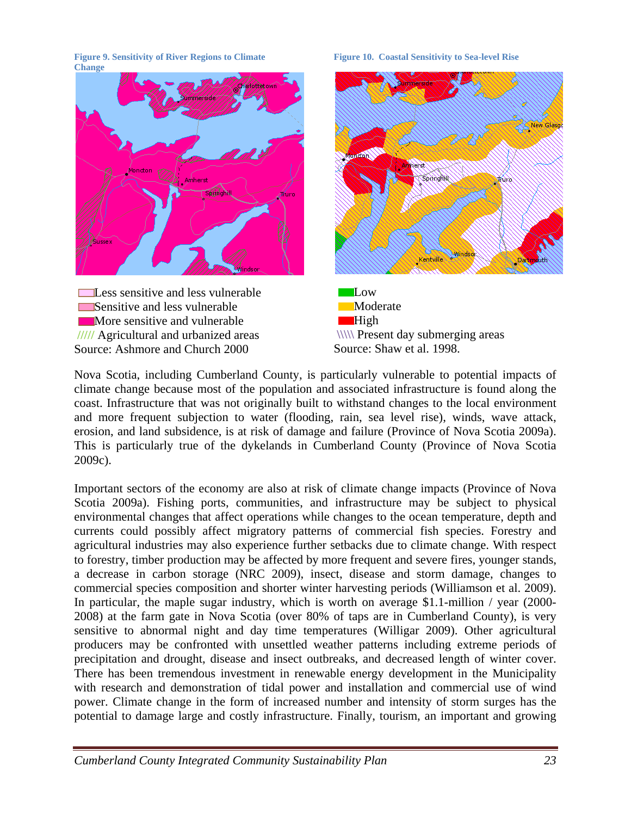**Figure 9. Sensitivity of River Regions to Climate Change** 



Sensitive and less vulnerable **More sensitive and vulnerable /////** Agricultural and urbanized areas Source: Ashmore and Church 2000

#### **Figure 10. Coastal Sensitivity to Sea-level Rise**





Nova Scotia, including Cumberland County, is particularly vulnerable to potential impacts of climate change because most of the population and associated infrastructure is found along the coast. Infrastructure that was not originally built to withstand changes to the local environment and more frequent subjection to water (flooding, rain, sea level rise), winds, wave attack, erosion, and land subsidence, is at risk of damage and failure (Province of Nova Scotia 2009a). This is particularly true of the dykelands in Cumberland County (Province of Nova Scotia 2009c).

Important sectors of the economy are also at risk of climate change impacts (Province of Nova Scotia 2009a). Fishing ports, communities, and infrastructure may be subject to physical environmental changes that affect operations while changes to the ocean temperature, depth and currents could possibly affect migratory patterns of commercial fish species. Forestry and agricultural industries may also experience further setbacks due to climate change. With respect to forestry, timber production may be affected by more frequent and severe fires, younger stands, a decrease in carbon storage (NRC 2009), insect, disease and storm damage, changes to commercial species composition and shorter winter harvesting periods (Williamson et al. 2009). In particular, the maple sugar industry, which is worth on average \$1.1-million / year (2000-2008) at the farm gate in Nova Scotia (over 80% of taps are in Cumberland County), is very sensitive to abnormal night and day time temperatures (Willigar 2009). Other agricultural producers may be confronted with unsettled weather patterns including extreme periods of precipitation and drought, disease and insect outbreaks, and decreased length of winter cover. There has been tremendous investment in renewable energy development in the Municipality with research and demonstration of tidal power and installation and commercial use of wind power. Climate change in the form of increased number and intensity of storm surges has the potential to damage large and costly infrastructure. Finally, tourism, an important and growing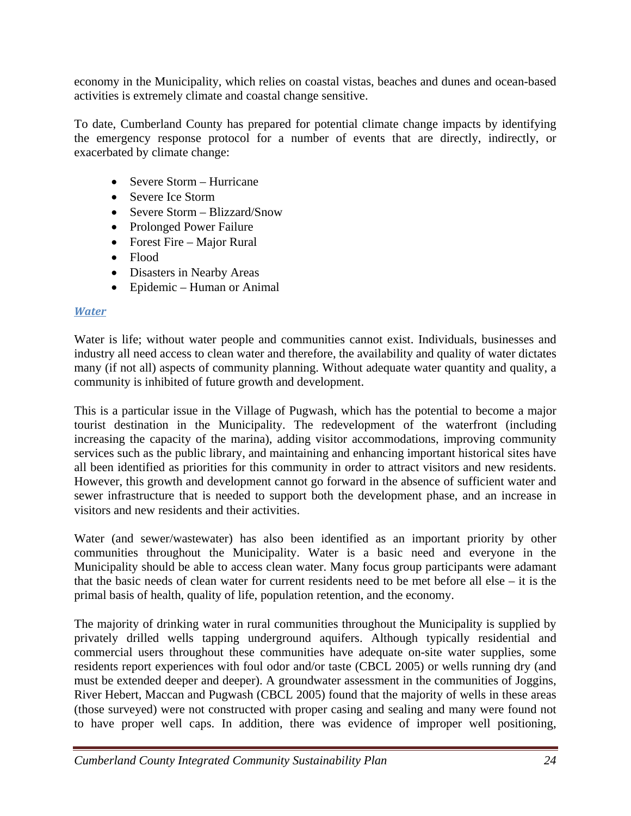economy in the Municipality, which relies on coastal vistas, beaches and dunes and ocean-based activities is extremely climate and coastal change sensitive.

To date, Cumberland County has prepared for potential climate change impacts by identifying the emergency response protocol for a number of events that are directly, indirectly, or exacerbated by climate change:

- Severe Storm Hurricane
- Severe Ice Storm
- Severe Storm Blizzard/Snow
- Prolonged Power Failure
- Forest Fire Major Rural
- Flood
- Disasters in Nearby Areas
- Epidemic Human or Animal

## *Water*

Water is life; without water people and communities cannot exist. Individuals, businesses and industry all need access to clean water and therefore, the availability and quality of water dictates many (if not all) aspects of community planning. Without adequate water quantity and quality, a community is inhibited of future growth and development.

This is a particular issue in the Village of Pugwash, which has the potential to become a major tourist destination in the Municipality. The redevelopment of the waterfront (including increasing the capacity of the marina), adding visitor accommodations, improving community services such as the public library, and maintaining and enhancing important historical sites have all been identified as priorities for this community in order to attract visitors and new residents. However, this growth and development cannot go forward in the absence of sufficient water and sewer infrastructure that is needed to support both the development phase, and an increase in visitors and new residents and their activities.

Water (and sewer/wastewater) has also been identified as an important priority by other communities throughout the Municipality. Water is a basic need and everyone in the Municipality should be able to access clean water. Many focus group participants were adamant that the basic needs of clean water for current residents need to be met before all else – it is the primal basis of health, quality of life, population retention, and the economy.

The majority of drinking water in rural communities throughout the Municipality is supplied by privately drilled wells tapping underground aquifers. Although typically residential and commercial users throughout these communities have adequate on-site water supplies, some residents report experiences with foul odor and/or taste (CBCL 2005) or wells running dry (and must be extended deeper and deeper). A groundwater assessment in the communities of Joggins, River Hebert, Maccan and Pugwash (CBCL 2005) found that the majority of wells in these areas (those surveyed) were not constructed with proper casing and sealing and many were found not to have proper well caps. In addition, there was evidence of improper well positioning,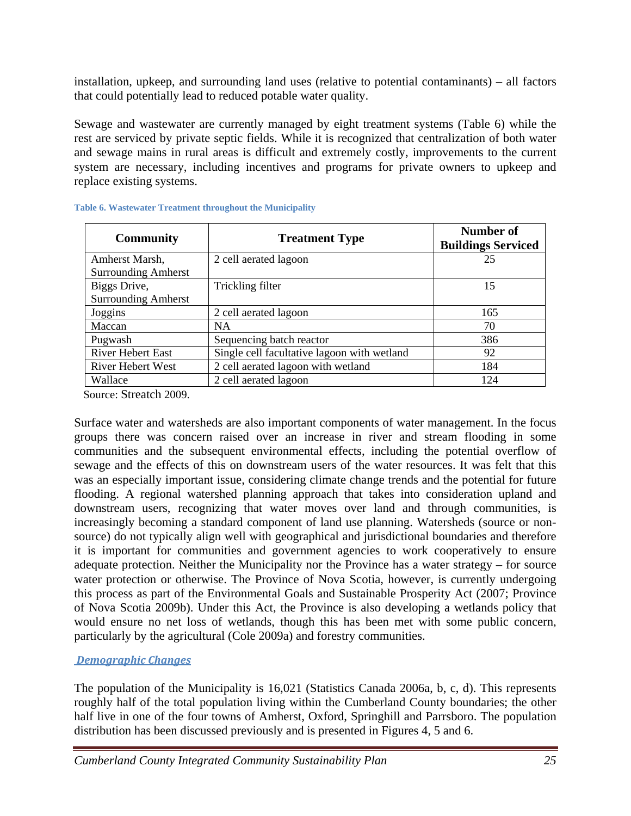installation, upkeep, and surrounding land uses (relative to potential contaminants) – all factors that could potentially lead to reduced potable water quality.

Sewage and wastewater are currently managed by eight treatment systems (Table 6) while the rest are serviced by private septic fields. While it is recognized that centralization of both water and sewage mains in rural areas is difficult and extremely costly, improvements to the current system are necessary, including incentives and programs for private owners to upkeep and replace existing systems.

| <b>Community</b>                             | <b>Treatment Type</b>                       | <b>Number of</b><br><b>Buildings Serviced</b> |
|----------------------------------------------|---------------------------------------------|-----------------------------------------------|
| Amherst Marsh,<br><b>Surrounding Amherst</b> | 2 cell aerated lagoon                       | 25                                            |
| Biggs Drive,<br><b>Surrounding Amherst</b>   | Trickling filter                            | 15                                            |
| Joggins                                      | 2 cell aerated lagoon                       | 165                                           |
| Maccan                                       | <b>NA</b>                                   | 70                                            |
| Pugwash                                      | Sequencing batch reactor                    | 386                                           |
| <b>River Hebert East</b>                     | Single cell facultative lagoon with wetland | 92                                            |
| River Hebert West                            | 2 cell aerated lagoon with wetland          | 184                                           |
| Wallace                                      | 2 cell aerated lagoon                       | 124                                           |

#### **Table 6. Wastewater Treatment throughout the Municipality**

Source: Streatch 2009.

Surface water and watersheds are also important components of water management. In the focus groups there was concern raised over an increase in river and stream flooding in some communities and the subsequent environmental effects, including the potential overflow of sewage and the effects of this on downstream users of the water resources. It was felt that this was an especially important issue, considering climate change trends and the potential for future flooding. A regional watershed planning approach that takes into consideration upland and downstream users, recognizing that water moves over land and through communities, is increasingly becoming a standard component of land use planning. Watersheds (source or nonsource) do not typically align well with geographical and jurisdictional boundaries and therefore it is important for communities and government agencies to work cooperatively to ensure adequate protection. Neither the Municipality nor the Province has a water strategy – for source water protection or otherwise. The Province of Nova Scotia, however, is currently undergoing this process as part of the Environmental Goals and Sustainable Prosperity Act (2007; Province of Nova Scotia 2009b). Under this Act, the Province is also developing a wetlands policy that would ensure no net loss of wetlands, though this has been met with some public concern, particularly by the agricultural (Cole 2009a) and forestry communities.

## *Demographic Changes*

The population of the Municipality is 16,021 (Statistics Canada 2006a, b, c, d). This represents roughly half of the total population living within the Cumberland County boundaries; the other half live in one of the four towns of Amherst, Oxford, Springhill and Parrsboro. The population distribution has been discussed previously and is presented in Figures 4, 5 and 6.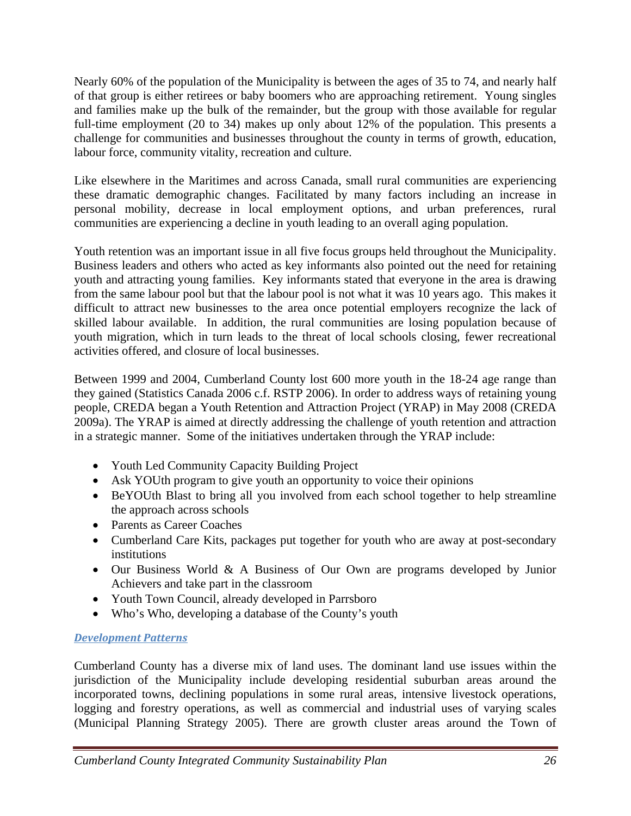Nearly 60% of the population of the Municipality is between the ages of 35 to 74, and nearly half of that group is either retirees or baby boomers who are approaching retirement. Young singles and families make up the bulk of the remainder, but the group with those available for regular full-time employment (20 to 34) makes up only about 12% of the population. This presents a challenge for communities and businesses throughout the county in terms of growth, education, labour force, community vitality, recreation and culture.

Like elsewhere in the Maritimes and across Canada, small rural communities are experiencing these dramatic demographic changes. Facilitated by many factors including an increase in personal mobility, decrease in local employment options, and urban preferences, rural communities are experiencing a decline in youth leading to an overall aging population.

Youth retention was an important issue in all five focus groups held throughout the Municipality. Business leaders and others who acted as key informants also pointed out the need for retaining youth and attracting young families. Key informants stated that everyone in the area is drawing from the same labour pool but that the labour pool is not what it was 10 years ago. This makes it difficult to attract new businesses to the area once potential employers recognize the lack of skilled labour available. In addition, the rural communities are losing population because of youth migration, which in turn leads to the threat of local schools closing, fewer recreational activities offered, and closure of local businesses.

Between 1999 and 2004, Cumberland County lost 600 more youth in the 18-24 age range than they gained (Statistics Canada 2006 c.f. RSTP 2006). In order to address ways of retaining young people, CREDA began a Youth Retention and Attraction Project (YRAP) in May 2008 (CREDA 2009a). The YRAP is aimed at directly addressing the challenge of youth retention and attraction in a strategic manner. Some of the initiatives undertaken through the YRAP include:

- Youth Led Community Capacity Building Project
- Ask YOUth program to give youth an opportunity to voice their opinions
- BeYOUth Blast to bring all you involved from each school together to help streamline the approach across schools
- Parents as Career Coaches
- Cumberland Care Kits, packages put together for youth who are away at post-secondary institutions
- Our Business World & A Business of Our Own are programs developed by Junior Achievers and take part in the classroom
- Youth Town Council, already developed in Parrsboro
- Who's Who, developing a database of the County's youth

## *Development Patterns*

Cumberland County has a diverse mix of land uses. The dominant land use issues within the jurisdiction of the Municipality include developing residential suburban areas around the incorporated towns, declining populations in some rural areas, intensive livestock operations, logging and forestry operations, as well as commercial and industrial uses of varying scales (Municipal Planning Strategy 2005). There are growth cluster areas around the Town of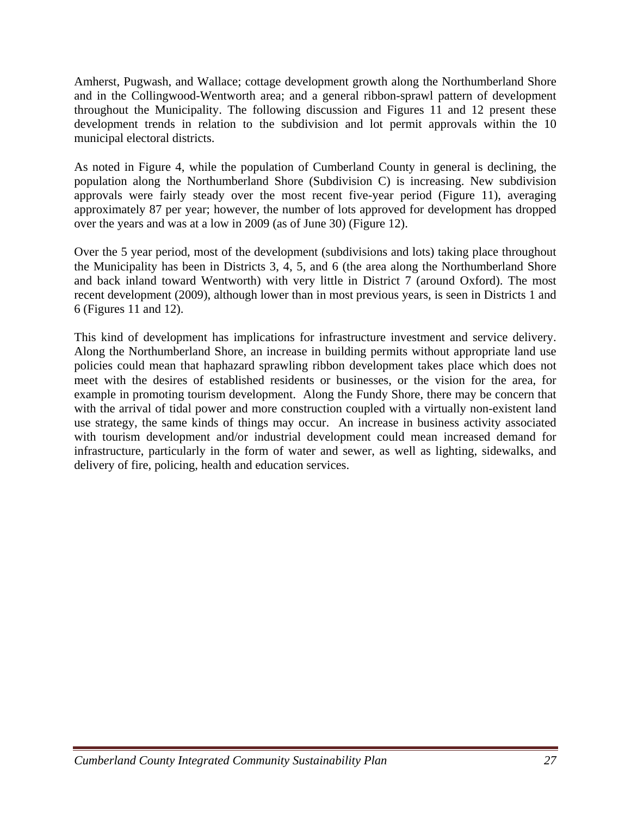Amherst, Pugwash, and Wallace; cottage development growth along the Northumberland Shore and in the Collingwood-Wentworth area; and a general ribbon-sprawl pattern of development throughout the Municipality. The following discussion and Figures 11 and 12 present these development trends in relation to the subdivision and lot permit approvals within the 10 municipal electoral districts.

As noted in Figure 4, while the population of Cumberland County in general is declining, the population along the Northumberland Shore (Subdivision C) is increasing. New subdivision approvals were fairly steady over the most recent five-year period (Figure 11), averaging approximately 87 per year; however, the number of lots approved for development has dropped over the years and was at a low in 2009 (as of June 30) (Figure 12).

Over the 5 year period, most of the development (subdivisions and lots) taking place throughout the Municipality has been in Districts 3, 4, 5, and 6 (the area along the Northumberland Shore and back inland toward Wentworth) with very little in District 7 (around Oxford). The most recent development (2009), although lower than in most previous years, is seen in Districts 1 and 6 (Figures 11 and 12).

This kind of development has implications for infrastructure investment and service delivery. Along the Northumberland Shore, an increase in building permits without appropriate land use policies could mean that haphazard sprawling ribbon development takes place which does not meet with the desires of established residents or businesses, or the vision for the area, for example in promoting tourism development. Along the Fundy Shore, there may be concern that with the arrival of tidal power and more construction coupled with a virtually non-existent land use strategy, the same kinds of things may occur. An increase in business activity associated with tourism development and/or industrial development could mean increased demand for infrastructure, particularly in the form of water and sewer, as well as lighting, sidewalks, and delivery of fire, policing, health and education services.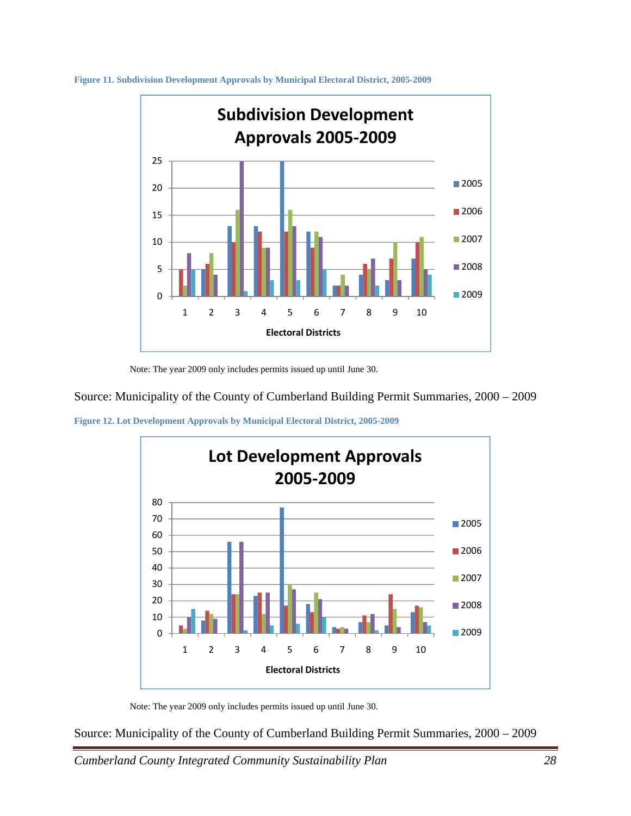

**Figure 11. Subdivision Development Approvals by Municipal Electoral District, 2005-2009** 

Note: The year 2009 only includes permits issued up until June 30.

Source: Municipality of the County of Cumberland Building Permit Summaries, 2000 – 2009





Note: The year 2009 only includes permits issued up until June 30.

Source: Municipality of the County of Cumberland Building Permit Summaries, 2000 – 2009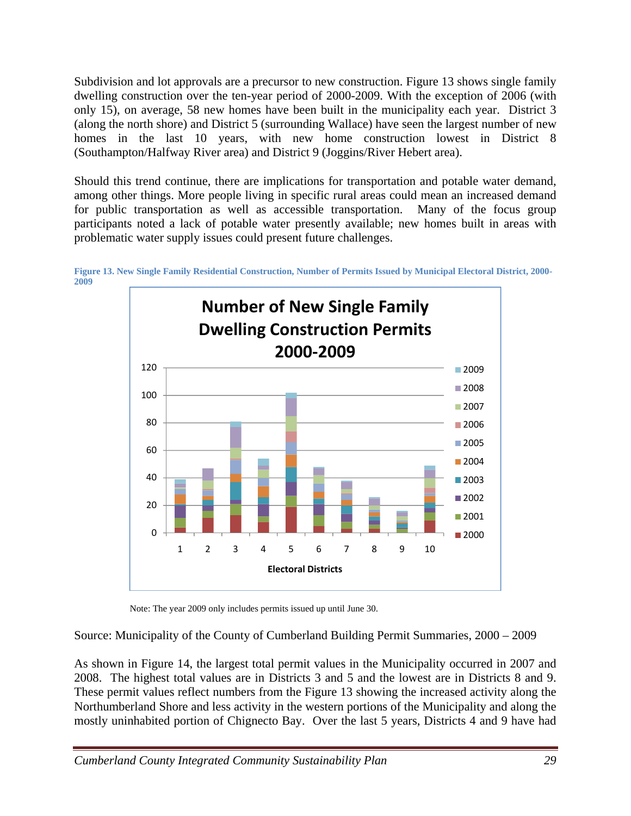Subdivision and lot approvals are a precursor to new construction. Figure 13 shows single family dwelling construction over the ten-year period of 2000-2009. With the exception of 2006 (with only 15), on average, 58 new homes have been built in the municipality each year. District 3 (along the north shore) and District 5 (surrounding Wallace) have seen the largest number of new homes in the last 10 years, with new home construction lowest in District 8 (Southampton/Halfway River area) and District 9 (Joggins/River Hebert area).

Should this trend continue, there are implications for transportation and potable water demand, among other things. More people living in specific rural areas could mean an increased demand for public transportation as well as accessible transportation. Many of the focus group participants noted a lack of potable water presently available; new homes built in areas with problematic water supply issues could present future challenges.



**Figure 13. New Single Family Residential Construction, Number of Permits Issued by Municipal Electoral District, 2000- 2009** 

Note: The year 2009 only includes permits issued up until June 30.

Source: Municipality of the County of Cumberland Building Permit Summaries, 2000 – 2009

As shown in Figure 14, the largest total permit values in the Municipality occurred in 2007 and 2008. The highest total values are in Districts 3 and 5 and the lowest are in Districts 8 and 9. These permit values reflect numbers from the Figure 13 showing the increased activity along the Northumberland Shore and less activity in the western portions of the Municipality and along the mostly uninhabited portion of Chignecto Bay. Over the last 5 years, Districts 4 and 9 have had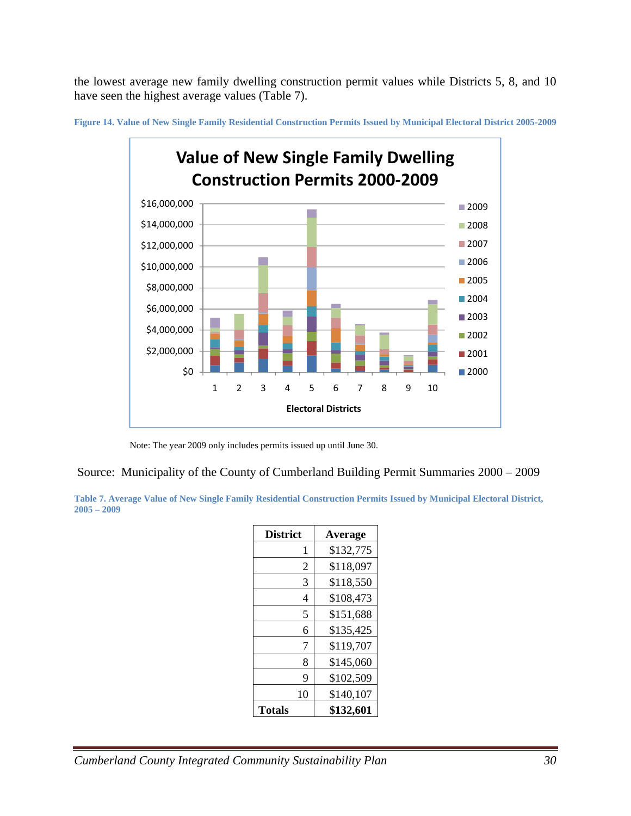the lowest average new family dwelling construction permit values while Districts 5, 8, and 10 have seen the highest average values (Table 7).



**Figure 14. Value of New Single Family Residential Construction Permits Issued by Municipal Electoral District 2005-2009** 

Note: The year 2009 only includes permits issued up until June 30.

Source: Municipality of the County of Cumberland Building Permit Summaries 2000 – 2009

**Table 7. Average Value of New Single Family Residential Construction Permits Issued by Municipal Electoral District, 2005 – 2009** 

| <b>District</b> | Average   |
|-----------------|-----------|
| 1               | \$132,775 |
| 2               | \$118,097 |
| 3               | \$118,550 |
| 4               | \$108,473 |
| 5               | \$151,688 |
| 6               | \$135,425 |
| 7               | \$119,707 |
| 8               | \$145,060 |
| 9               | \$102,509 |
| 10              | \$140,107 |
| Totals          | \$132,601 |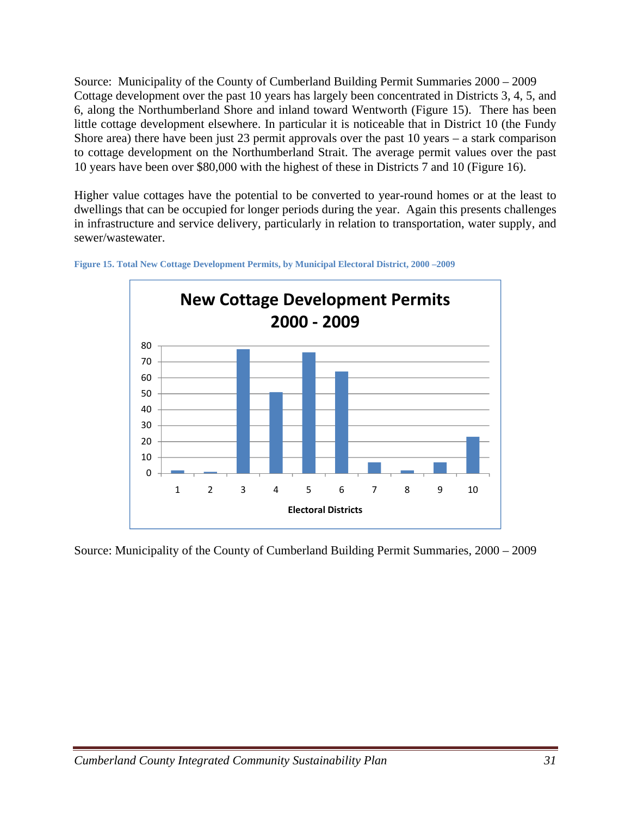Source: Municipality of the County of Cumberland Building Permit Summaries 2000 – 2009 Cottage development over the past 10 years has largely been concentrated in Districts 3, 4, 5, and 6, along the Northumberland Shore and inland toward Wentworth (Figure 15). There has been little cottage development elsewhere. In particular it is noticeable that in District 10 (the Fundy Shore area) there have been just 23 permit approvals over the past  $10$  years – a stark comparison to cottage development on the Northumberland Strait. The average permit values over the past 10 years have been over \$80,000 with the highest of these in Districts 7 and 10 (Figure 16).

Higher value cottages have the potential to be converted to year-round homes or at the least to dwellings that can be occupied for longer periods during the year. Again this presents challenges in infrastructure and service delivery, particularly in relation to transportation, water supply, and sewer/wastewater.





Source: Municipality of the County of Cumberland Building Permit Summaries, 2000 – 2009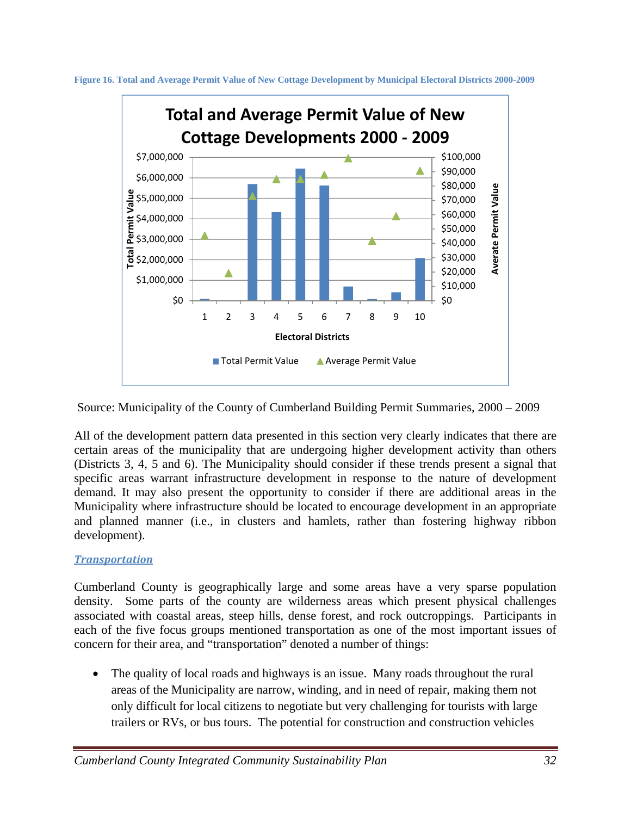



Source: Municipality of the County of Cumberland Building Permit Summaries, 2000 – 2009

All of the development pattern data presented in this section very clearly indicates that there are certain areas of the municipality that are undergoing higher development activity than others (Districts 3, 4, 5 and 6). The Municipality should consider if these trends present a signal that specific areas warrant infrastructure development in response to the nature of development demand. It may also present the opportunity to consider if there are additional areas in the Municipality where infrastructure should be located to encourage development in an appropriate and planned manner (i.e., in clusters and hamlets, rather than fostering highway ribbon development).

# *Transportation*

Cumberland County is geographically large and some areas have a very sparse population density. Some parts of the county are wilderness areas which present physical challenges associated with coastal areas, steep hills, dense forest, and rock outcroppings. Participants in each of the five focus groups mentioned transportation as one of the most important issues of concern for their area, and "transportation" denoted a number of things:

• The quality of local roads and highways is an issue. Many roads throughout the rural areas of the Municipality are narrow, winding, and in need of repair, making them not only difficult for local citizens to negotiate but very challenging for tourists with large trailers or RVs, or bus tours. The potential for construction and construction vehicles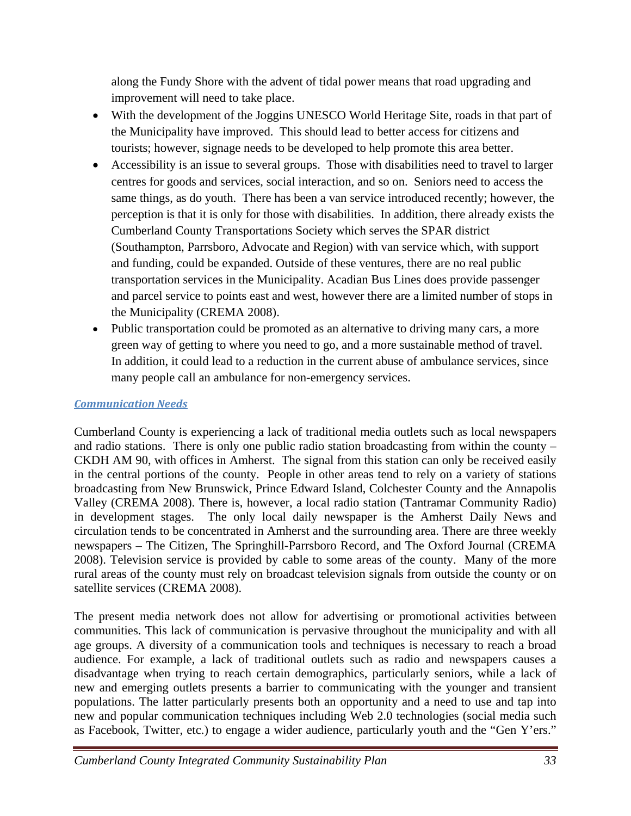along the Fundy Shore with the advent of tidal power means that road upgrading and improvement will need to take place.

- With the development of the Joggins UNESCO World Heritage Site, roads in that part of the Municipality have improved. This should lead to better access for citizens and tourists; however, signage needs to be developed to help promote this area better.
- Accessibility is an issue to several groups. Those with disabilities need to travel to larger centres for goods and services, social interaction, and so on. Seniors need to access the same things, as do youth. There has been a van service introduced recently; however, the perception is that it is only for those with disabilities. In addition, there already exists the Cumberland County Transportations Society which serves the SPAR district (Southampton, Parrsboro, Advocate and Region) with van service which, with support and funding, could be expanded. Outside of these ventures, there are no real public transportation services in the Municipality. Acadian Bus Lines does provide passenger and parcel service to points east and west, however there are a limited number of stops in the Municipality (CREMA 2008).
- Public transportation could be promoted as an alternative to driving many cars, a more green way of getting to where you need to go, and a more sustainable method of travel. In addition, it could lead to a reduction in the current abuse of ambulance services, since many people call an ambulance for non-emergency services.

# *Communication Needs*

Cumberland County is experiencing a lack of traditional media outlets such as local newspapers and radio stations. There is only one public radio station broadcasting from within the county – CKDH AM 90, with offices in Amherst. The signal from this station can only be received easily in the central portions of the county. People in other areas tend to rely on a variety of stations broadcasting from New Brunswick, Prince Edward Island, Colchester County and the Annapolis Valley (CREMA 2008). There is, however, a local radio station (Tantramar Community Radio) in development stages. The only local daily newspaper is the Amherst Daily News and circulation tends to be concentrated in Amherst and the surrounding area. There are three weekly newspapers – The Citizen, The Springhill-Parrsboro Record, and The Oxford Journal (CREMA 2008). Television service is provided by cable to some areas of the county. Many of the more rural areas of the county must rely on broadcast television signals from outside the county or on satellite services (CREMA 2008).

The present media network does not allow for advertising or promotional activities between communities. This lack of communication is pervasive throughout the municipality and with all age groups. A diversity of a communication tools and techniques is necessary to reach a broad audience. For example, a lack of traditional outlets such as radio and newspapers causes a disadvantage when trying to reach certain demographics, particularly seniors, while a lack of new and emerging outlets presents a barrier to communicating with the younger and transient populations. The latter particularly presents both an opportunity and a need to use and tap into new and popular communication techniques including Web 2.0 technologies (social media such as Facebook, Twitter, etc.) to engage a wider audience, particularly youth and the "Gen Y'ers."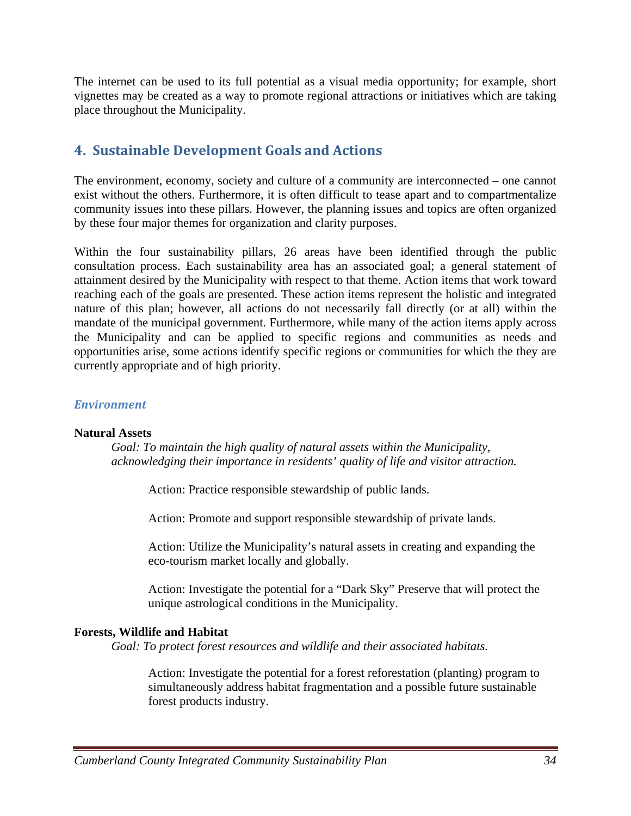The internet can be used to its full potential as a visual media opportunity; for example, short vignettes may be created as a way to promote regional attractions or initiatives which are taking place throughout the Municipality.

# **4. Sustainable Development Goals and Actions**

The environment, economy, society and culture of a community are interconnected – one cannot exist without the others. Furthermore, it is often difficult to tease apart and to compartmentalize community issues into these pillars. However, the planning issues and topics are often organized by these four major themes for organization and clarity purposes.

Within the four sustainability pillars, 26 areas have been identified through the public consultation process. Each sustainability area has an associated goal; a general statement of attainment desired by the Municipality with respect to that theme. Action items that work toward reaching each of the goals are presented. These action items represent the holistic and integrated nature of this plan; however, all actions do not necessarily fall directly (or at all) within the mandate of the municipal government. Furthermore, while many of the action items apply across the Municipality and can be applied to specific regions and communities as needs and opportunities arise, some actions identify specific regions or communities for which the they are currently appropriate and of high priority.

# *Environment*

### **Natural Assets**

*Goal: To maintain the high quality of natural assets within the Municipality, acknowledging their importance in residents' quality of life and visitor attraction.* 

Action: Practice responsible stewardship of public lands.

Action: Promote and support responsible stewardship of private lands.

Action: Utilize the Municipality's natural assets in creating and expanding the eco-tourism market locally and globally.

Action: Investigate the potential for a "Dark Sky" Preserve that will protect the unique astrological conditions in the Municipality.

# **Forests, Wildlife and Habitat**

*Goal: To protect forest resources and wildlife and their associated habitats.* 

Action: Investigate the potential for a forest reforestation (planting) program to simultaneously address habitat fragmentation and a possible future sustainable forest products industry.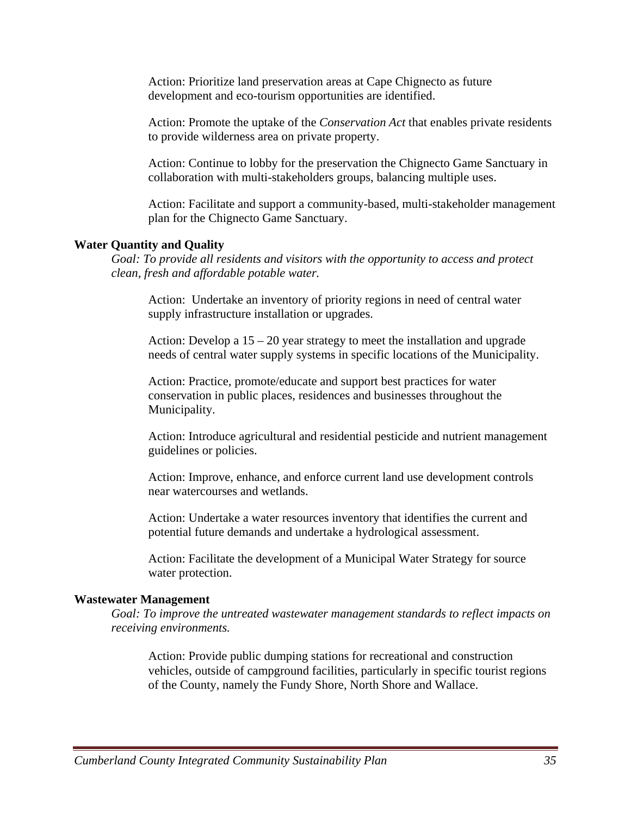Action: Prioritize land preservation areas at Cape Chignecto as future development and eco-tourism opportunities are identified.

Action: Promote the uptake of the *Conservation Act* that enables private residents to provide wilderness area on private property.

Action: Continue to lobby for the preservation the Chignecto Game Sanctuary in collaboration with multi-stakeholders groups, balancing multiple uses.

Action: Facilitate and support a community-based, multi-stakeholder management plan for the Chignecto Game Sanctuary.

#### **Water Quantity and Quality**

*Goal: To provide all residents and visitors with the opportunity to access and protect clean, fresh and affordable potable water.* 

Action: Undertake an inventory of priority regions in need of central water supply infrastructure installation or upgrades.

Action: Develop a  $15 - 20$  year strategy to meet the installation and upgrade needs of central water supply systems in specific locations of the Municipality.

Action: Practice, promote/educate and support best practices for water conservation in public places, residences and businesses throughout the Municipality.

Action: Introduce agricultural and residential pesticide and nutrient management guidelines or policies.

Action: Improve, enhance, and enforce current land use development controls near watercourses and wetlands.

Action: Undertake a water resources inventory that identifies the current and potential future demands and undertake a hydrological assessment.

Action: Facilitate the development of a Municipal Water Strategy for source water protection.

#### **Wastewater Management**

*Goal: To improve the untreated wastewater management standards to reflect impacts on receiving environments.* 

Action: Provide public dumping stations for recreational and construction vehicles, outside of campground facilities, particularly in specific tourist regions of the County, namely the Fundy Shore, North Shore and Wallace.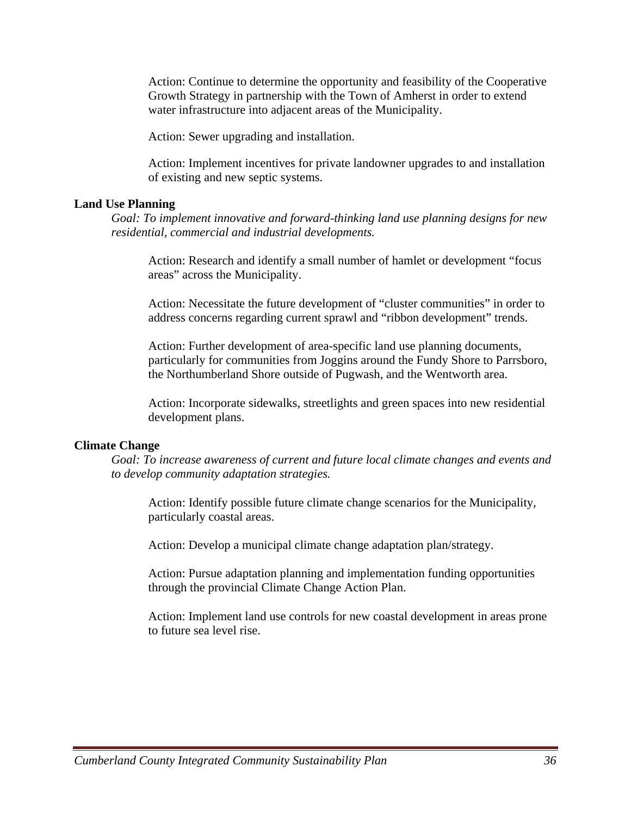Action: Continue to determine the opportunity and feasibility of the Cooperative Growth Strategy in partnership with the Town of Amherst in order to extend water infrastructure into adjacent areas of the Municipality.

Action: Sewer upgrading and installation.

Action: Implement incentives for private landowner upgrades to and installation of existing and new septic systems.

#### **Land Use Planning**

*Goal: To implement innovative and forward-thinking land use planning designs for new residential, commercial and industrial developments.* 

Action: Research and identify a small number of hamlet or development "focus areas" across the Municipality.

Action: Necessitate the future development of "cluster communities" in order to address concerns regarding current sprawl and "ribbon development" trends.

Action: Further development of area-specific land use planning documents, particularly for communities from Joggins around the Fundy Shore to Parrsboro, the Northumberland Shore outside of Pugwash, and the Wentworth area.

Action: Incorporate sidewalks, streetlights and green spaces into new residential development plans.

#### **Climate Change**

*Goal: To increase awareness of current and future local climate changes and events and to develop community adaptation strategies.* 

Action: Identify possible future climate change scenarios for the Municipality, particularly coastal areas.

Action: Develop a municipal climate change adaptation plan/strategy.

Action: Pursue adaptation planning and implementation funding opportunities through the provincial Climate Change Action Plan.

Action: Implement land use controls for new coastal development in areas prone to future sea level rise.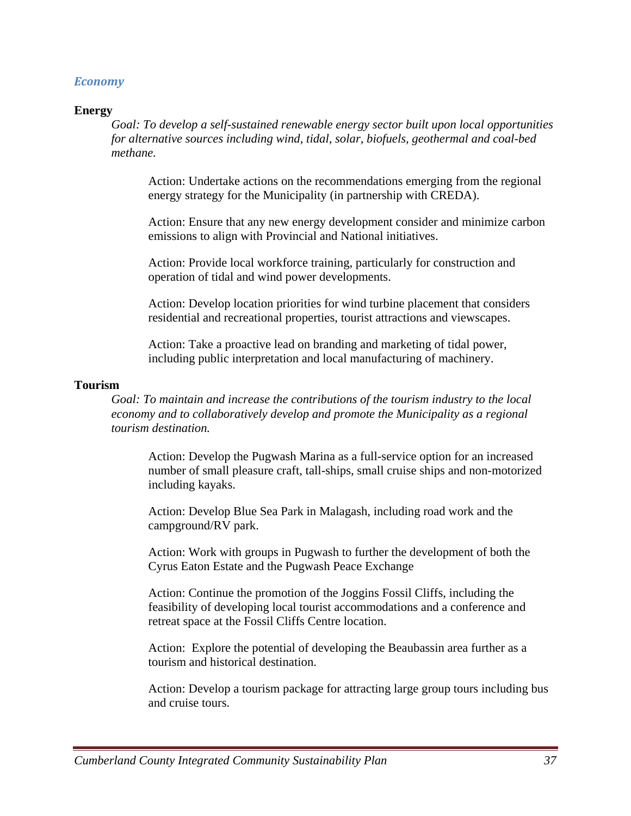# *Economy*

#### **Energy**

*Goal: To develop a self-sustained renewable energy sector built upon local opportunities for alternative sources including wind, tidal, solar, biofuels, geothermal and coal-bed methane.* 

Action: Undertake actions on the recommendations emerging from the regional energy strategy for the Municipality (in partnership with CREDA).

Action: Ensure that any new energy development consider and minimize carbon emissions to align with Provincial and National initiatives.

Action: Provide local workforce training, particularly for construction and operation of tidal and wind power developments.

Action: Develop location priorities for wind turbine placement that considers residential and recreational properties, tourist attractions and viewscapes.

Action: Take a proactive lead on branding and marketing of tidal power, including public interpretation and local manufacturing of machinery.

#### **Tourism**

*Goal: To maintain and increase the contributions of the tourism industry to the local economy and to collaboratively develop and promote the Municipality as a regional tourism destination.* 

Action: Develop the Pugwash Marina as a full-service option for an increased number of small pleasure craft, tall-ships, small cruise ships and non-motorized including kayaks.

Action: Develop Blue Sea Park in Malagash, including road work and the campground/RV park.

Action: Work with groups in Pugwash to further the development of both the Cyrus Eaton Estate and the Pugwash Peace Exchange

Action: Continue the promotion of the Joggins Fossil Cliffs, including the feasibility of developing local tourist accommodations and a conference and retreat space at the Fossil Cliffs Centre location.

Action: Explore the potential of developing the Beaubassin area further as a tourism and historical destination.

Action: Develop a tourism package for attracting large group tours including bus and cruise tours.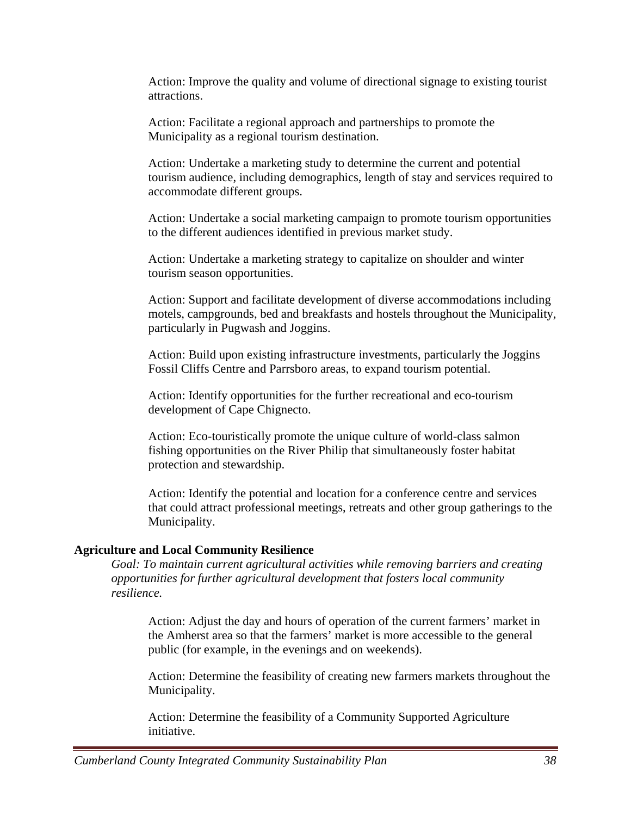Action: Improve the quality and volume of directional signage to existing tourist attractions.

Action: Facilitate a regional approach and partnerships to promote the Municipality as a regional tourism destination.

Action: Undertake a marketing study to determine the current and potential tourism audience, including demographics, length of stay and services required to accommodate different groups.

Action: Undertake a social marketing campaign to promote tourism opportunities to the different audiences identified in previous market study.

Action: Undertake a marketing strategy to capitalize on shoulder and winter tourism season opportunities.

Action: Support and facilitate development of diverse accommodations including motels, campgrounds, bed and breakfasts and hostels throughout the Municipality, particularly in Pugwash and Joggins.

Action: Build upon existing infrastructure investments, particularly the Joggins Fossil Cliffs Centre and Parrsboro areas, to expand tourism potential.

Action: Identify opportunities for the further recreational and eco-tourism development of Cape Chignecto.

Action: Eco-touristically promote the unique culture of world-class salmon fishing opportunities on the River Philip that simultaneously foster habitat protection and stewardship.

Action: Identify the potential and location for a conference centre and services that could attract professional meetings, retreats and other group gatherings to the Municipality.

# **Agriculture and Local Community Resilience**

*Goal: To maintain current agricultural activities while removing barriers and creating opportunities for further agricultural development that fosters local community resilience.* 

Action: Adjust the day and hours of operation of the current farmers' market in the Amherst area so that the farmers' market is more accessible to the general public (for example, in the evenings and on weekends).

Action: Determine the feasibility of creating new farmers markets throughout the Municipality.

Action: Determine the feasibility of a Community Supported Agriculture initiative.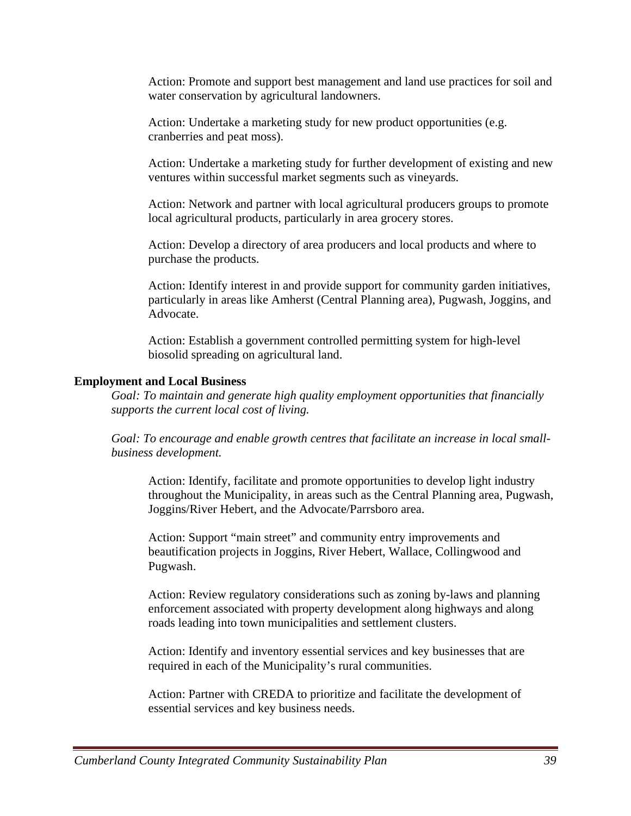Action: Promote and support best management and land use practices for soil and water conservation by agricultural landowners.

Action: Undertake a marketing study for new product opportunities (e.g. cranberries and peat moss).

Action: Undertake a marketing study for further development of existing and new ventures within successful market segments such as vineyards.

Action: Network and partner with local agricultural producers groups to promote local agricultural products, particularly in area grocery stores.

Action: Develop a directory of area producers and local products and where to purchase the products.

Action: Identify interest in and provide support for community garden initiatives, particularly in areas like Amherst (Central Planning area), Pugwash, Joggins, and Advocate.

Action: Establish a government controlled permitting system for high-level biosolid spreading on agricultural land.

# **Employment and Local Business**

*Goal: To maintain and generate high quality employment opportunities that financially supports the current local cost of living.* 

*Goal: To encourage and enable growth centres that facilitate an increase in local small business development.* 

Action: Identify, facilitate and promote opportunities to develop light industry throughout the Municipality, in areas such as the Central Planning area, Pugwash, Joggins/River Hebert, and the Advocate/Parrsboro area.

Action: Support "main street" and community entry improvements and beautification projects in Joggins, River Hebert, Wallace, Collingwood and Pugwash.

Action: Review regulatory considerations such as zoning by-laws and planning enforcement associated with property development along highways and along roads leading into town municipalities and settlement clusters.

Action: Identify and inventory essential services and key businesses that are required in each of the Municipality's rural communities.

Action: Partner with CREDA to prioritize and facilitate the development of essential services and key business needs.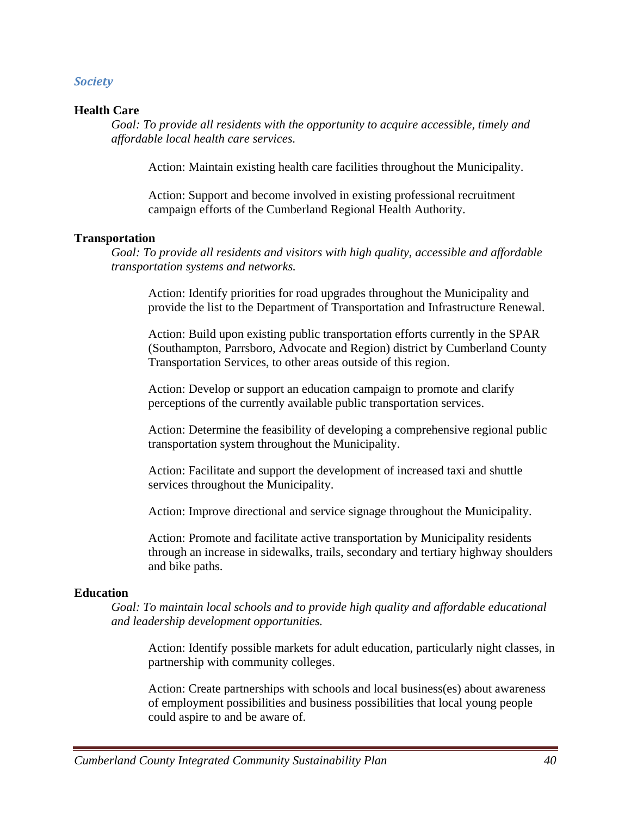## *Society*

### **Health Care**

*Goal: To provide all residents with the opportunity to acquire accessible, timely and affordable local health care services.* 

Action: Maintain existing health care facilities throughout the Municipality.

Action: Support and become involved in existing professional recruitment campaign efforts of the Cumberland Regional Health Authority.

### **Transportation**

*Goal: To provide all residents and visitors with high quality, accessible and affordable transportation systems and networks.* 

Action: Identify priorities for road upgrades throughout the Municipality and provide the list to the Department of Transportation and Infrastructure Renewal.

Action: Build upon existing public transportation efforts currently in the SPAR (Southampton, Parrsboro, Advocate and Region) district by Cumberland County Transportation Services, to other areas outside of this region.

Action: Develop or support an education campaign to promote and clarify perceptions of the currently available public transportation services.

Action: Determine the feasibility of developing a comprehensive regional public transportation system throughout the Municipality.

Action: Facilitate and support the development of increased taxi and shuttle services throughout the Municipality.

Action: Improve directional and service signage throughout the Municipality.

Action: Promote and facilitate active transportation by Municipality residents through an increase in sidewalks, trails, secondary and tertiary highway shoulders and bike paths.

### **Education**

*Goal: To maintain local schools and to provide high quality and affordable educational and leadership development opportunities.* 

Action: Identify possible markets for adult education, particularly night classes, in partnership with community colleges.

Action: Create partnerships with schools and local business(es) about awareness of employment possibilities and business possibilities that local young people could aspire to and be aware of.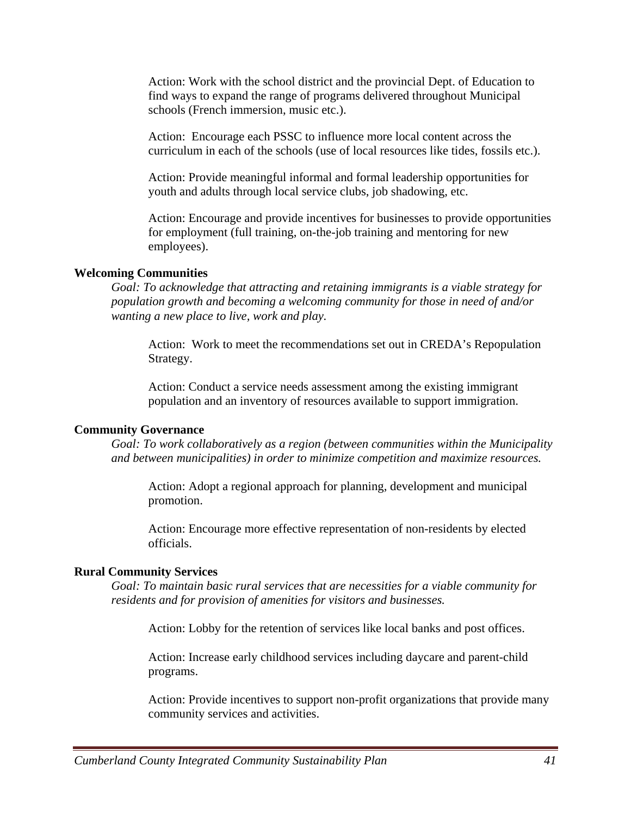Action: Work with the school district and the provincial Dept. of Education to find ways to expand the range of programs delivered throughout Municipal schools (French immersion, music etc.).

Action: Encourage each PSSC to influence more local content across the curriculum in each of the schools (use of local resources like tides, fossils etc.).

Action: Provide meaningful informal and formal leadership opportunities for youth and adults through local service clubs, job shadowing, etc.

Action: Encourage and provide incentives for businesses to provide opportunities for employment (full training, on-the-job training and mentoring for new employees).

#### **Welcoming Communities**

*Goal: To acknowledge that attracting and retaining immigrants is a viable strategy for population growth and becoming a welcoming community for those in need of and/or wanting a new place to live, work and play.* 

Action: Work to meet the recommendations set out in CREDA's Repopulation Strategy.

Action: Conduct a service needs assessment among the existing immigrant population and an inventory of resources available to support immigration.

#### **Community Governance**

*Goal: To work collaboratively as a region (between communities within the Municipality and between municipalities) in order to minimize competition and maximize resources.* 

Action: Adopt a regional approach for planning, development and municipal promotion.

Action: Encourage more effective representation of non-residents by elected officials.

#### **Rural Community Services**

*Goal: To maintain basic rural services that are necessities for a viable community for residents and for provision of amenities for visitors and businesses.* 

Action: Lobby for the retention of services like local banks and post offices.

Action: Increase early childhood services including daycare and parent-child programs.

Action: Provide incentives to support non-profit organizations that provide many community services and activities.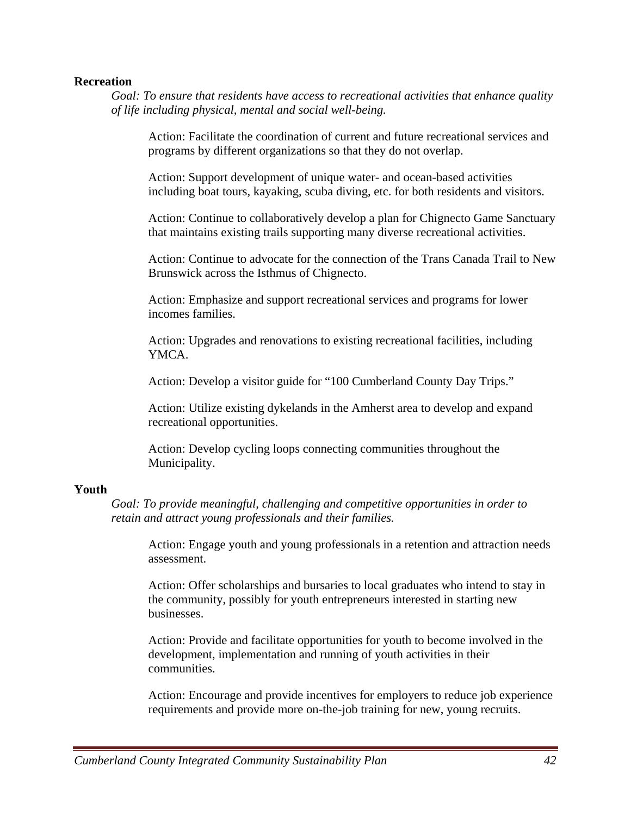#### **Recreation**

*Goal: To ensure that residents have access to recreational activities that enhance quality of life including physical, mental and social well-being.* 

Action: Facilitate the coordination of current and future recreational services and programs by different organizations so that they do not overlap.

Action: Support development of unique water- and ocean-based activities including boat tours, kayaking, scuba diving, etc. for both residents and visitors.

Action: Continue to collaboratively develop a plan for Chignecto Game Sanctuary that maintains existing trails supporting many diverse recreational activities.

Action: Continue to advocate for the connection of the Trans Canada Trail to New Brunswick across the Isthmus of Chignecto.

Action: Emphasize and support recreational services and programs for lower incomes families.

Action: Upgrades and renovations to existing recreational facilities, including YMCA.

Action: Develop a visitor guide for "100 Cumberland County Day Trips."

Action: Utilize existing dykelands in the Amherst area to develop and expand recreational opportunities.

Action: Develop cycling loops connecting communities throughout the Municipality.

### **Youth**

*Goal: To provide meaningful, challenging and competitive opportunities in order to retain and attract young professionals and their families.* 

Action: Engage youth and young professionals in a retention and attraction needs assessment.

Action: Offer scholarships and bursaries to local graduates who intend to stay in the community, possibly for youth entrepreneurs interested in starting new businesses.

Action: Provide and facilitate opportunities for youth to become involved in the development, implementation and running of youth activities in their communities.

Action: Encourage and provide incentives for employers to reduce job experience requirements and provide more on-the-job training for new, young recruits.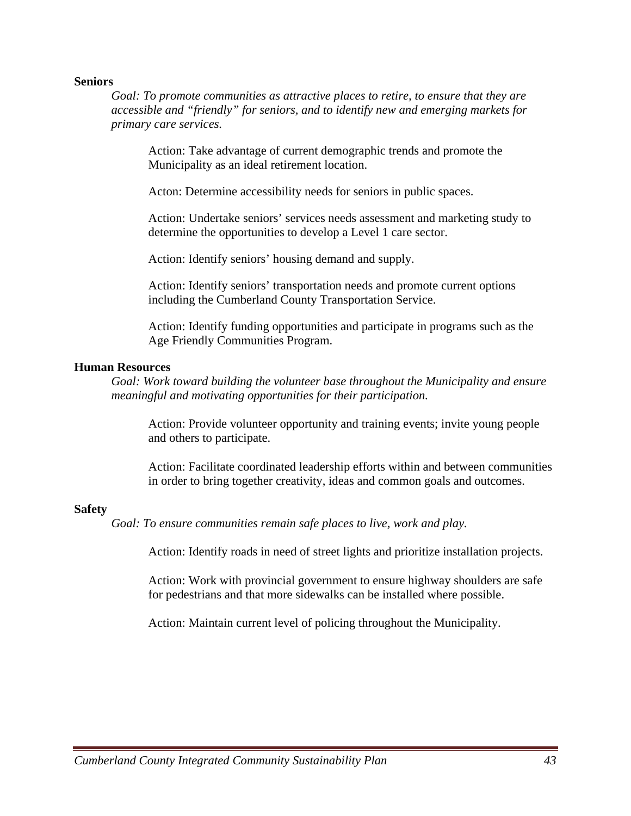#### **Seniors**

*Goal: To promote communities as attractive places to retire, to ensure that they are accessible and "friendly" for seniors, and to identify new and emerging markets for primary care services.* 

Action: Take advantage of current demographic trends and promote the Municipality as an ideal retirement location.

Acton: Determine accessibility needs for seniors in public spaces.

Action: Undertake seniors' services needs assessment and marketing study to determine the opportunities to develop a Level 1 care sector.

Action: Identify seniors' housing demand and supply.

Action: Identify seniors' transportation needs and promote current options including the Cumberland County Transportation Service.

Action: Identify funding opportunities and participate in programs such as the Age Friendly Communities Program.

#### **Human Resources**

*Goal: Work toward building the volunteer base throughout the Municipality and ensure meaningful and motivating opportunities for their participation.* 

Action: Provide volunteer opportunity and training events; invite young people and others to participate.

Action: Facilitate coordinated leadership efforts within and between communities in order to bring together creativity, ideas and common goals and outcomes.

#### **Safety**

*Goal: To ensure communities remain safe places to live, work and play.* 

Action: Identify roads in need of street lights and prioritize installation projects.

Action: Work with provincial government to ensure highway shoulders are safe for pedestrians and that more sidewalks can be installed where possible.

Action: Maintain current level of policing throughout the Municipality.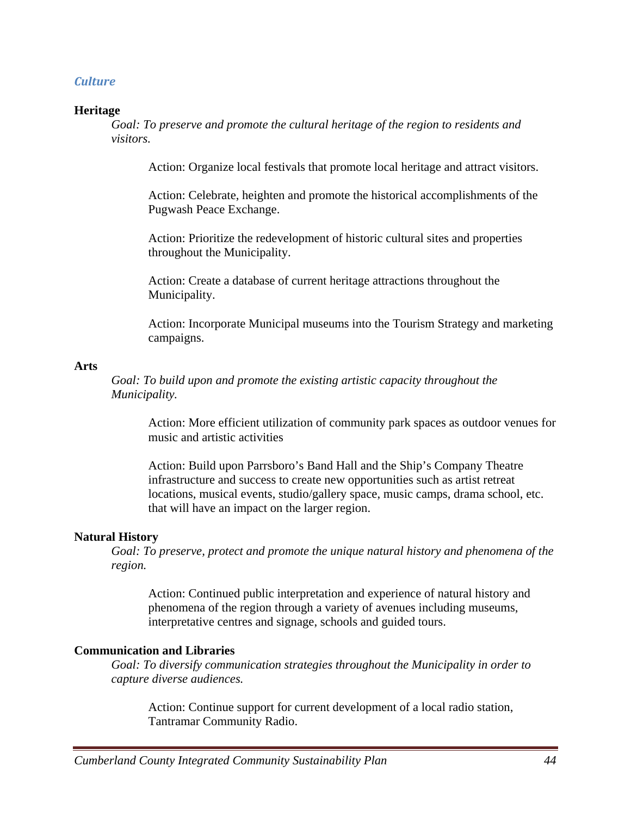### *Culture*

#### **Heritage**

*Goal: To preserve and promote the cultural heritage of the region to residents and visitors.* 

Action: Organize local festivals that promote local heritage and attract visitors.

Action: Celebrate, heighten and promote the historical accomplishments of the Pugwash Peace Exchange.

Action: Prioritize the redevelopment of historic cultural sites and properties throughout the Municipality.

Action: Create a database of current heritage attractions throughout the Municipality.

Action: Incorporate Municipal museums into the Tourism Strategy and marketing campaigns.

#### **Arts**

*Goal: To build upon and promote the existing artistic capacity throughout the Municipality.* 

Action: More efficient utilization of community park spaces as outdoor venues for music and artistic activities

Action: Build upon Parrsboro's Band Hall and the Ship's Company Theatre infrastructure and success to create new opportunities such as artist retreat locations, musical events, studio/gallery space, music camps, drama school, etc. that will have an impact on the larger region.

#### **Natural History**

*Goal: To preserve, protect and promote the unique natural history and phenomena of the region.* 

Action: Continued public interpretation and experience of natural history and phenomena of the region through a variety of avenues including museums, interpretative centres and signage, schools and guided tours.

#### **Communication and Libraries**

*Goal: To diversify communication strategies throughout the Municipality in order to capture diverse audiences.* 

Action: Continue support for current development of a local radio station, Tantramar Community Radio.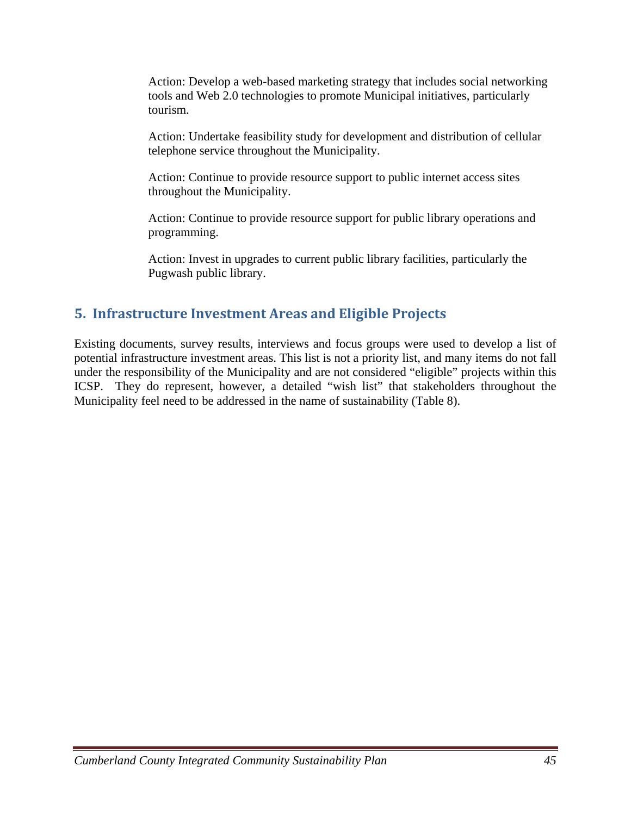Action: Develop a web-based marketing strategy that includes social networking tools and Web 2.0 technologies to promote Municipal initiatives, particularly tourism.

Action: Undertake feasibility study for development and distribution of cellular telephone service throughout the Municipality.

Action: Continue to provide resource support to public internet access sites throughout the Municipality.

Action: Continue to provide resource support for public library operations and programming.

Action: Invest in upgrades to current public library facilities, particularly the Pugwash public library.

# **5. Infrastructure Investment Areas and Eligible Projects**

Existing documents, survey results, interviews and focus groups were used to develop a list of potential infrastructure investment areas. This list is not a priority list, and many items do not fall under the responsibility of the Municipality and are not considered "eligible" projects within this ICSP. They do represent, however, a detailed "wish list" that stakeholders throughout the Municipality feel need to be addressed in the name of sustainability (Table 8).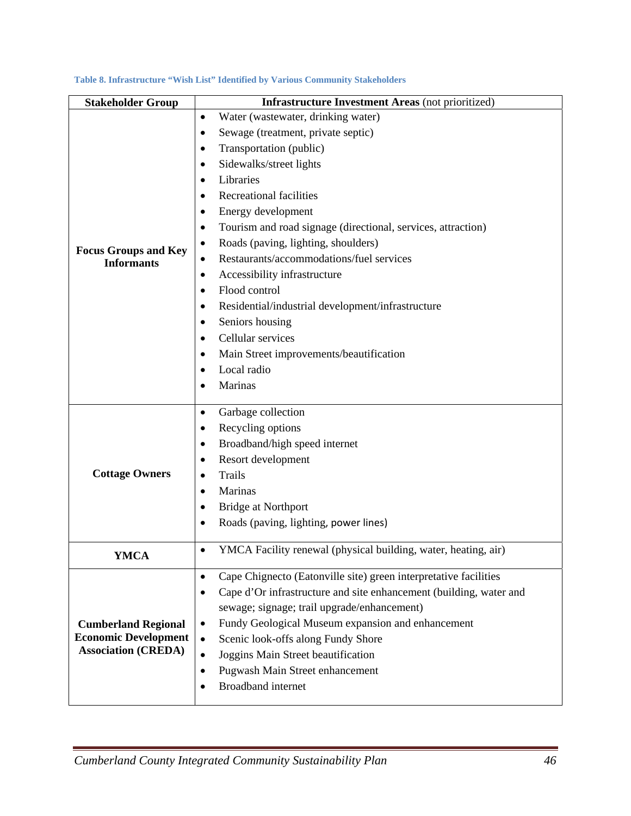| <b>Stakeholder Group</b>                         | <b>Infrastructure Investment Areas</b> (not prioritized)                        |
|--------------------------------------------------|---------------------------------------------------------------------------------|
|                                                  | Water (wastewater, drinking water)<br>$\bullet$                                 |
|                                                  | Sewage (treatment, private septic)<br>٠                                         |
|                                                  | Transportation (public)<br>٠                                                    |
|                                                  | Sidewalks/street lights<br>$\bullet$                                            |
|                                                  | Libraries<br>٠                                                                  |
|                                                  | <b>Recreational facilities</b><br>٠                                             |
|                                                  | Energy development<br>٠                                                         |
|                                                  | Tourism and road signage (directional, services, attraction)<br>$\bullet$       |
|                                                  | Roads (paving, lighting, shoulders)<br>$\bullet$                                |
| <b>Focus Groups and Key</b><br><b>Informants</b> | Restaurants/accommodations/fuel services<br>$\bullet$                           |
|                                                  | Accessibility infrastructure<br>$\bullet$                                       |
|                                                  | Flood control<br>٠                                                              |
|                                                  | Residential/industrial development/infrastructure<br>٠                          |
|                                                  | Seniors housing<br>٠                                                            |
|                                                  | Cellular services<br>$\bullet$                                                  |
|                                                  | Main Street improvements/beautification<br>٠                                    |
|                                                  | Local radio<br>$\bullet$                                                        |
|                                                  | Marinas<br>$\bullet$                                                            |
|                                                  |                                                                                 |
|                                                  | Garbage collection<br>$\bullet$                                                 |
|                                                  | Recycling options<br>$\bullet$                                                  |
|                                                  | Broadband/high speed internet<br>$\bullet$                                      |
|                                                  | Resort development<br>٠                                                         |
| <b>Cottage Owners</b>                            | <b>Trails</b><br>$\bullet$                                                      |
|                                                  | Marinas<br>$\bullet$                                                            |
|                                                  | <b>Bridge at Northport</b><br>$\bullet$                                         |
|                                                  | Roads (paving, lighting, power lines)<br>$\bullet$                              |
|                                                  | YMCA Facility renewal (physical building, water, heating, air)<br>$\bullet$     |
| YMCA                                             |                                                                                 |
|                                                  | Cape Chignecto (Eatonville site) green interpretative facilities<br>$\bullet$   |
|                                                  | Cape d'Or infrastructure and site enhancement (building, water and<br>$\bullet$ |
|                                                  | sewage; signage; trail upgrade/enhancement)                                     |
| <b>Cumberland Regional</b>                       | Fundy Geological Museum expansion and enhancement<br>$\bullet$                  |
| <b>Economic Development</b>                      | Scenic look-offs along Fundy Shore<br>$\bullet$                                 |
| <b>Association (CREDA)</b>                       | Joggins Main Street beautification<br>$\bullet$                                 |
|                                                  | Pugwash Main Street enhancement<br>$\bullet$                                    |
|                                                  | <b>Broadband</b> internet<br>٠                                                  |
|                                                  |                                                                                 |

#### **Table 8. Infrastructure "Wish List" Identified by Various Community Stakeholders**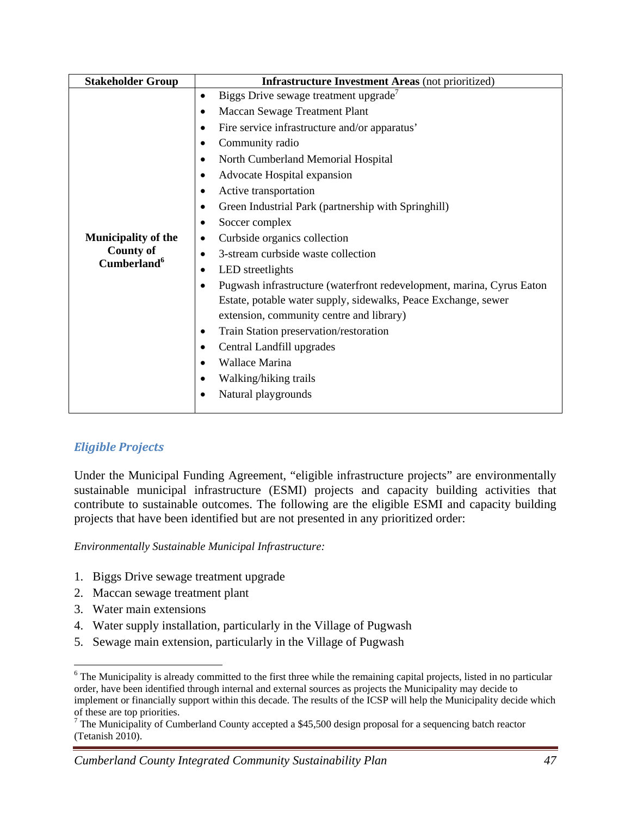| Biggs Drive sewage treatment upgrade<br>$\bullet$<br>Maccan Sewage Treatment Plant<br>$\bullet$<br>Fire service infrastructure and/or apparatus'<br>$\bullet$<br>Community radio<br>$\bullet$<br>North Cumberland Memorial Hospital<br>٠<br>Advocate Hospital expansion<br>٠<br>Active transportation<br>٠<br>Green Industrial Park (partnership with Springhill)<br>٠<br>Soccer complex<br>٠<br><b>Municipality of the</b><br>Curbside organics collection<br>٠ |
|------------------------------------------------------------------------------------------------------------------------------------------------------------------------------------------------------------------------------------------------------------------------------------------------------------------------------------------------------------------------------------------------------------------------------------------------------------------|
| <b>County of</b><br>3-stream curbside waste collection<br>Cumberland <sup>6</sup>                                                                                                                                                                                                                                                                                                                                                                                |

# *Eligible Projects*

Under the Municipal Funding Agreement, "eligible infrastructure projects" are environmentally sustainable municipal infrastructure (ESMI) projects and capacity building activities that contribute to sustainable outcomes. The following are the eligible ESMI and capacity building projects that have been identified but are not presented in any prioritized order:

*Environmentally Sustainable Municipal Infrastructure:* 

- 1. Biggs Drive sewage treatment upgrade
- 2. Maccan sewage treatment plant
- 3. Water main extensions
- 4. Water supply installation, particularly in the Village of Pugwash
- 5. Sewage main extension, particularly in the Village of Pugwash

 $\overline{a}$ <sup>6</sup> The Municipality is already committed to the first three while the remaining capital projects, listed in no particular order, have been identified through internal and external sources as projects the Municipality may decide to implement or financially support within this decade. The results of the ICSP will help the Municipality decide which of these are top priorities.

<sup>&</sup>lt;sup>7</sup> The Municipality of Cumberland County accepted a \$45,500 design proposal for a sequencing batch reactor (Tetanish 2010).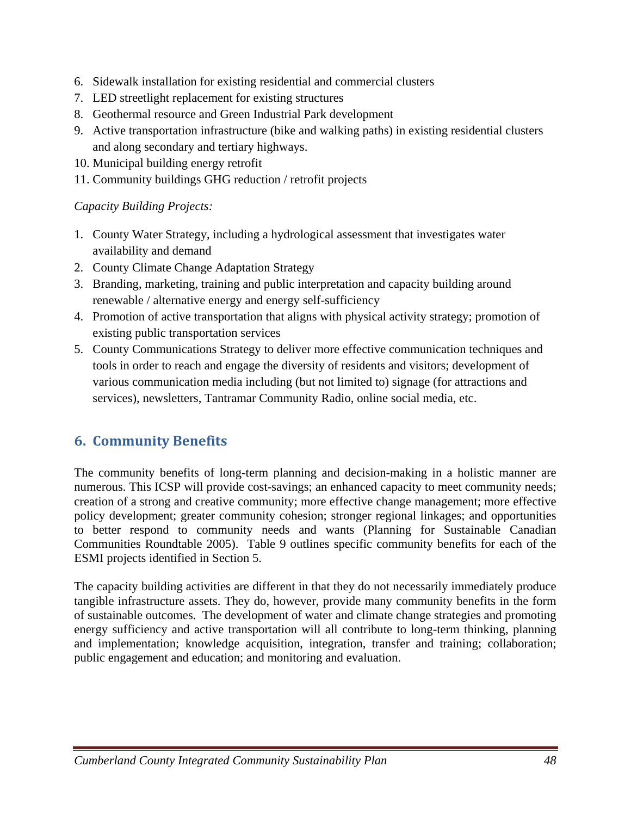- 6. Sidewalk installation for existing residential and commercial clusters
- 7. LED streetlight replacement for existing structures
- 8. Geothermal resource and Green Industrial Park development
- 9. Active transportation infrastructure (bike and walking paths) in existing residential clusters and along secondary and tertiary highways.
- 10. Municipal building energy retrofit
- 11. Community buildings GHG reduction / retrofit projects

*Capacity Building Projects:* 

- 1. County Water Strategy, including a hydrological assessment that investigates water availability and demand
- 2. County Climate Change Adaptation Strategy
- 3. Branding, marketing, training and public interpretation and capacity building around renewable / alternative energy and energy self-sufficiency
- 4. Promotion of active transportation that aligns with physical activity strategy; promotion of existing public transportation services
- 5. County Communications Strategy to deliver more effective communication techniques and tools in order to reach and engage the diversity of residents and visitors; development of various communication media including (but not limited to) signage (for attractions and services), newsletters, Tantramar Community Radio, online social media, etc.

# **6. Community Benefits**

The community benefits of long-term planning and decision-making in a holistic manner are numerous. This ICSP will provide cost-savings; an enhanced capacity to meet community needs; creation of a strong and creative community; more effective change management; more effective policy development; greater community cohesion; stronger regional linkages; and opportunities to better respond to community needs and wants (Planning for Sustainable Canadian Communities Roundtable 2005). Table 9 outlines specific community benefits for each of the ESMI projects identified in Section 5.

The capacity building activities are different in that they do not necessarily immediately produce tangible infrastructure assets. They do, however, provide many community benefits in the form of sustainable outcomes. The development of water and climate change strategies and promoting energy sufficiency and active transportation will all contribute to long-term thinking, planning and implementation; knowledge acquisition, integration, transfer and training; collaboration; public engagement and education; and monitoring and evaluation.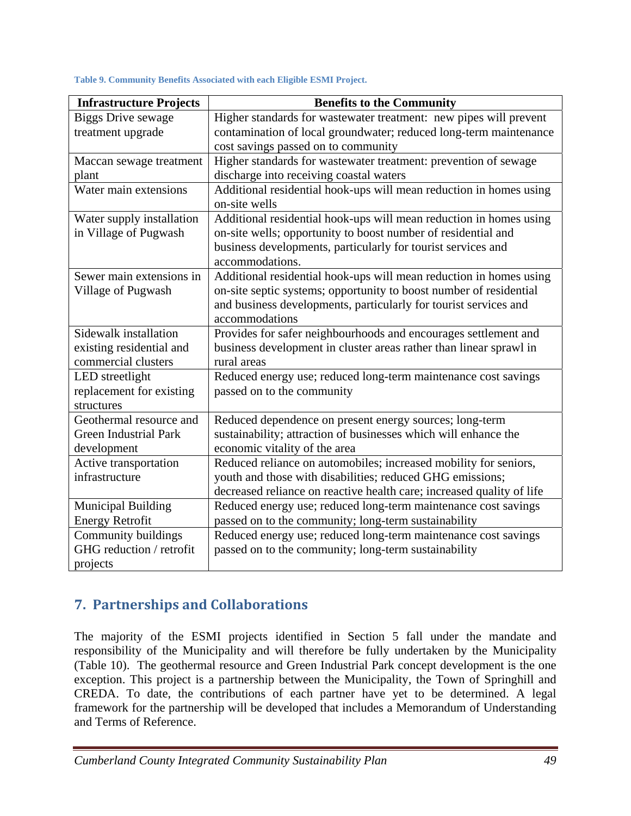| <b>Infrastructure Projects</b> | <b>Benefits to the Community</b>                                      |
|--------------------------------|-----------------------------------------------------------------------|
| <b>Biggs Drive sewage</b>      | Higher standards for wastewater treatment: new pipes will prevent     |
| treatment upgrade              | contamination of local groundwater; reduced long-term maintenance     |
|                                | cost savings passed on to community                                   |
| Maccan sewage treatment        | Higher standards for wastewater treatment: prevention of sewage       |
| plant                          | discharge into receiving coastal waters                               |
| Water main extensions          | Additional residential hook-ups will mean reduction in homes using    |
|                                | on-site wells                                                         |
| Water supply installation      | Additional residential hook-ups will mean reduction in homes using    |
| in Village of Pugwash          | on-site wells; opportunity to boost number of residential and         |
|                                | business developments, particularly for tourist services and          |
|                                | accommodations.                                                       |
| Sewer main extensions in       | Additional residential hook-ups will mean reduction in homes using    |
| Village of Pugwash             | on-site septic systems; opportunity to boost number of residential    |
|                                | and business developments, particularly for tourist services and      |
|                                | accommodations                                                        |
| Sidewalk installation          | Provides for safer neighbourhoods and encourages settlement and       |
| existing residential and       | business development in cluster areas rather than linear sprawl in    |
| commercial clusters            | rural areas                                                           |
| LED streetlight                | Reduced energy use; reduced long-term maintenance cost savings        |
| replacement for existing       | passed on to the community                                            |
| structures                     |                                                                       |
| Geothermal resource and        | Reduced dependence on present energy sources; long-term               |
| <b>Green Industrial Park</b>   | sustainability; attraction of businesses which will enhance the       |
| development                    | economic vitality of the area                                         |
| Active transportation          | Reduced reliance on automobiles; increased mobility for seniors,      |
| infrastructure                 | youth and those with disabilities; reduced GHG emissions;             |
|                                | decreased reliance on reactive health care; increased quality of life |
| <b>Municipal Building</b>      | Reduced energy use; reduced long-term maintenance cost savings        |
| <b>Energy Retrofit</b>         | passed on to the community; long-term sustainability                  |
| Community buildings            | Reduced energy use; reduced long-term maintenance cost savings        |
| GHG reduction / retrofit       | passed on to the community; long-term sustainability                  |
| projects                       |                                                                       |

**Table 9. Community Benefits Associated with each Eligible ESMI Project.** 

# **7. Partnerships and Collaborations**

The majority of the ESMI projects identified in Section 5 fall under the mandate and responsibility of the Municipality and will therefore be fully undertaken by the Municipality (Table 10). The geothermal resource and Green Industrial Park concept development is the one exception. This project is a partnership between the Municipality, the Town of Springhill and CREDA. To date, the contributions of each partner have yet to be determined. A legal framework for the partnership will be developed that includes a Memorandum of Understanding and Terms of Reference.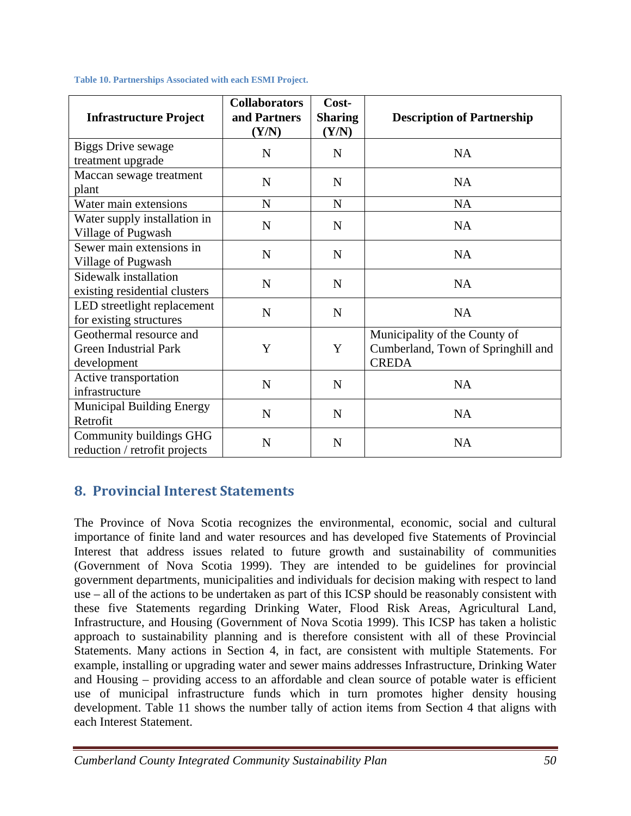| <b>Infrastructure Project</b>                                          | <b>Collaborators</b><br>and Partners<br>(Y/N) | Cost-<br><b>Sharing</b><br>(Y/N) | <b>Description of Partnership</b>                                                   |
|------------------------------------------------------------------------|-----------------------------------------------|----------------------------------|-------------------------------------------------------------------------------------|
| <b>Biggs Drive sewage</b><br>treatment upgrade                         | N                                             | N                                | <b>NA</b>                                                                           |
| Maccan sewage treatment<br>plant                                       | N                                             | N                                | <b>NA</b>                                                                           |
| Water main extensions                                                  | $\mathbf N$                                   | N                                | <b>NA</b>                                                                           |
| Water supply installation in<br>Village of Pugwash                     | N                                             | N                                | <b>NA</b>                                                                           |
| Sewer main extensions in<br>Village of Pugwash                         | N                                             | N                                | <b>NA</b>                                                                           |
| Sidewalk installation<br>existing residential clusters                 | N                                             | N                                | <b>NA</b>                                                                           |
| LED streetlight replacement<br>for existing structures                 | N                                             | N                                | NA                                                                                  |
| Geothermal resource and<br><b>Green Industrial Park</b><br>development | Y                                             | Y                                | Municipality of the County of<br>Cumberland, Town of Springhill and<br><b>CREDA</b> |
| Active transportation<br>infrastructure                                | N                                             | $\mathbf N$                      | NA                                                                                  |
| <b>Municipal Building Energy</b><br>Retrofit                           | N                                             | N                                | <b>NA</b>                                                                           |
| Community buildings GHG<br>reduction / retrofit projects               | N                                             | N                                | <b>NA</b>                                                                           |

**Table 10. Partnerships Associated with each ESMI Project.** 

# **8. Provincial Interest Statements**

The Province of Nova Scotia recognizes the environmental, economic, social and cultural importance of finite land and water resources and has developed five Statements of Provincial Interest that address issues related to future growth and sustainability of communities (Government of Nova Scotia 1999). They are intended to be guidelines for provincial government departments, municipalities and individuals for decision making with respect to land use – all of the actions to be undertaken as part of this ICSP should be reasonably consistent with these five Statements regarding Drinking Water, Flood Risk Areas, Agricultural Land, Infrastructure, and Housing (Government of Nova Scotia 1999). This ICSP has taken a holistic approach to sustainability planning and is therefore consistent with all of these Provincial Statements. Many actions in Section 4, in fact, are consistent with multiple Statements. For example, installing or upgrading water and sewer mains addresses Infrastructure, Drinking Water and Housing – providing access to an affordable and clean source of potable water is efficient use of municipal infrastructure funds which in turn promotes higher density housing development. Table 11 shows the number tally of action items from Section 4 that aligns with each Interest Statement.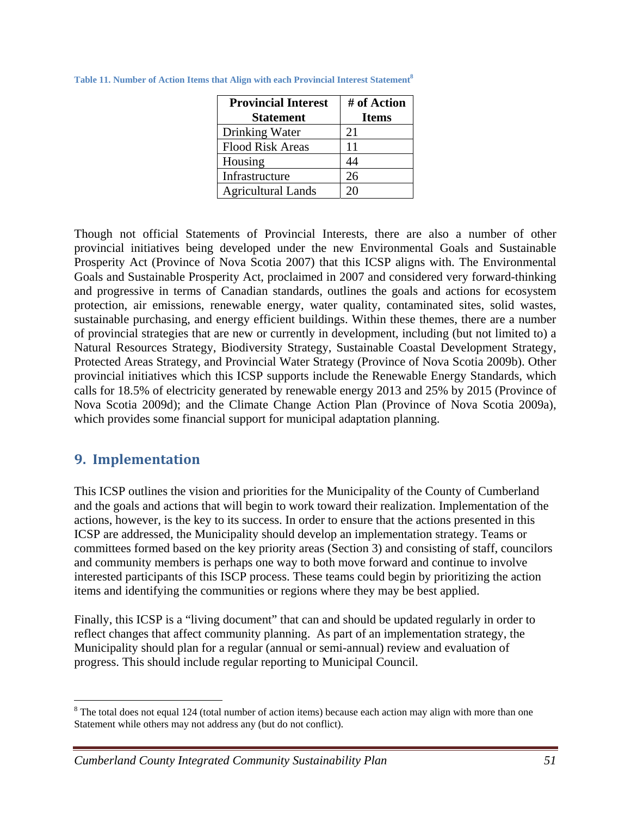| <b>Provincial Interest</b> | # of Action  |
|----------------------------|--------------|
| <b>Statement</b>           | <b>Items</b> |
| Drinking Water             | 21           |
| <b>Flood Risk Areas</b>    | 11           |
| Housing                    | 14           |
| Infrastructure             | 26           |
| <b>Agricultural Lands</b>  | 20           |

**Table 11. Number of Action Items that Align with each Provincial Interest Statement8**

Though not official Statements of Provincial Interests, there are also a number of other provincial initiatives being developed under the new Environmental Goals and Sustainable Prosperity Act (Province of Nova Scotia 2007) that this ICSP aligns with. The Environmental Goals and Sustainable Prosperity Act, proclaimed in 2007 and considered very forward-thinking and progressive in terms of Canadian standards, outlines the goals and actions for ecosystem protection, air emissions, renewable energy, water quality, contaminated sites, solid wastes, sustainable purchasing, and energy efficient buildings. Within these themes, there are a number of provincial strategies that are new or currently in development, including (but not limited to) a Natural Resources Strategy, Biodiversity Strategy, Sustainable Coastal Development Strategy, Protected Areas Strategy, and Provincial Water Strategy (Province of Nova Scotia 2009b). Other provincial initiatives which this ICSP supports include the Renewable Energy Standards, which calls for 18.5% of electricity generated by renewable energy 2013 and 25% by 2015 (Province of Nova Scotia 2009d); and the Climate Change Action Plan (Province of Nova Scotia 2009a), which provides some financial support for municipal adaptation planning.

# **9. Implementation**

 $\overline{a}$ 

This ICSP outlines the vision and priorities for the Municipality of the County of Cumberland and the goals and actions that will begin to work toward their realization. Implementation of the actions, however, is the key to its success. In order to ensure that the actions presented in this ICSP are addressed, the Municipality should develop an implementation strategy. Teams or committees formed based on the key priority areas (Section 3) and consisting of staff, councilors and community members is perhaps one way to both move forward and continue to involve interested participants of this ISCP process. These teams could begin by prioritizing the action items and identifying the communities or regions where they may be best applied.

Finally, this ICSP is a "living document" that can and should be updated regularly in order to reflect changes that affect community planning. As part of an implementation strategy, the Municipality should plan for a regular (annual or semi-annual) review and evaluation of progress. This should include regular reporting to Municipal Council.

 $8$  The total does not equal 124 (total number of action items) because each action may align with more than one Statement while others may not address any (but do not conflict).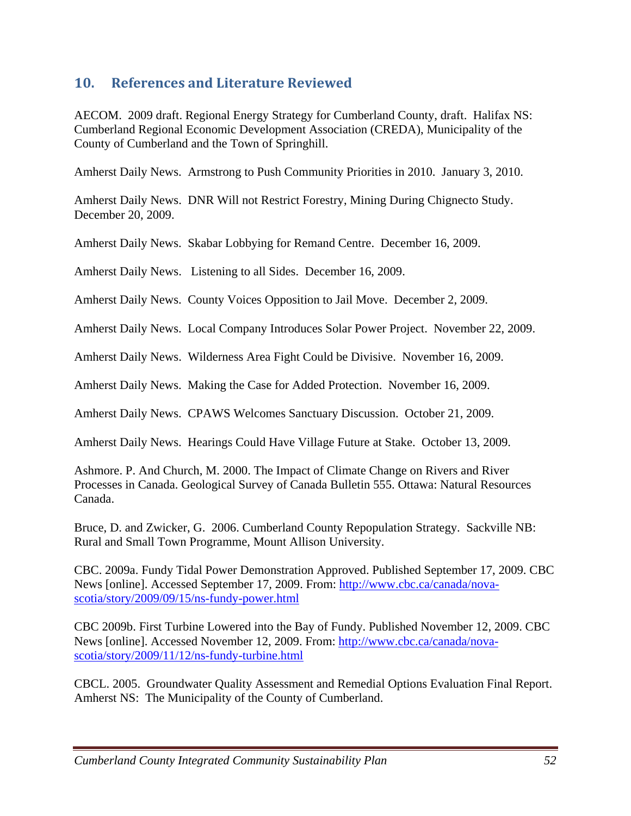# **10. References and Literature Reviewed**

AECOM. 2009 draft. Regional Energy Strategy for Cumberland County, draft. Halifax NS: Cumberland Regional Economic Development Association (CREDA), Municipality of the County of Cumberland and the Town of Springhill.

Amherst Daily News. Armstrong to Push Community Priorities in 2010. January 3, 2010.

Amherst Daily News. DNR Will not Restrict Forestry, Mining During Chignecto Study. December 20, 2009.

Amherst Daily News. Skabar Lobbying for Remand Centre. December 16, 2009.

Amherst Daily News. Listening to all Sides. December 16, 2009.

Amherst Daily News. County Voices Opposition to Jail Move. December 2, 2009.

Amherst Daily News. Local Company Introduces Solar Power Project. November 22, 2009.

Amherst Daily News. Wilderness Area Fight Could be Divisive. November 16, 2009.

Amherst Daily News. Making the Case for Added Protection. November 16, 2009.

Amherst Daily News. CPAWS Welcomes Sanctuary Discussion. October 21, 2009.

Amherst Daily News. Hearings Could Have Village Future at Stake. October 13, 2009.

Ashmore. P. And Church, M. 2000. The Impact of Climate Change on Rivers and River Processes in Canada. Geological Survey of Canada Bulletin 555. Ottawa: Natural Resources Canada.

Bruce, D. and Zwicker, G. 2006. Cumberland County Repopulation Strategy. Sackville NB: Rural and Small Town Programme, Mount Allison University.

CBC. 2009a. Fundy Tidal Power Demonstration Approved. Published September 17, 2009. CBC News [online]. Accessed September 17, 2009. From: http://www.cbc.ca/canada/novascotia/story/2009/09/15/ns-fundy-power.html

CBC 2009b. First Turbine Lowered into the Bay of Fundy. Published November 12, 2009. CBC News [online]. Accessed November 12, 2009. From: http://www.cbc.ca/canada/novascotia/story/2009/11/12/ns-fundy-turbine.html

CBCL. 2005. Groundwater Quality Assessment and Remedial Options Evaluation Final Report. Amherst NS: The Municipality of the County of Cumberland.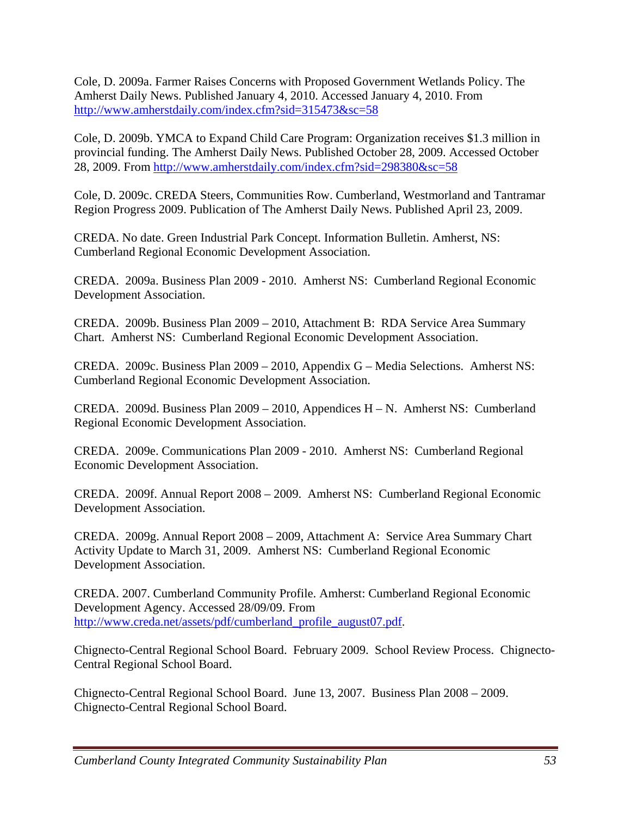Cole, D. 2009a. Farmer Raises Concerns with Proposed Government Wetlands Policy. The Amherst Daily News. Published January 4, 2010. Accessed January 4, 2010. From http://www.amherstdaily.com/index.cfm?sid=315473&sc=58

Cole, D. 2009b. YMCA to Expand Child Care Program: Organization receives \$1.3 million in provincial funding. The Amherst Daily News. Published October 28, 2009. Accessed October 28, 2009. From http://www.amherstdaily.com/index.cfm?sid=298380&sc=58

Cole, D. 2009c. CREDA Steers, Communities Row. Cumberland, Westmorland and Tantramar Region Progress 2009. Publication of The Amherst Daily News. Published April 23, 2009.

CREDA. No date. Green Industrial Park Concept. Information Bulletin. Amherst, NS: Cumberland Regional Economic Development Association.

CREDA. 2009a. Business Plan 2009 - 2010. Amherst NS: Cumberland Regional Economic Development Association.

CREDA. 2009b. Business Plan 2009 – 2010, Attachment B: RDA Service Area Summary Chart. Amherst NS: Cumberland Regional Economic Development Association.

CREDA. 2009c. Business Plan 2009 – 2010, Appendix G – Media Selections. Amherst NS: Cumberland Regional Economic Development Association.

CREDA. 2009d. Business Plan 2009 – 2010, Appendices H – N. Amherst NS: Cumberland Regional Economic Development Association.

CREDA. 2009e. Communications Plan 2009 - 2010. Amherst NS: Cumberland Regional Economic Development Association.

CREDA. 2009f. Annual Report 2008 – 2009. Amherst NS: Cumberland Regional Economic Development Association.

CREDA. 2009g. Annual Report 2008 – 2009, Attachment A: Service Area Summary Chart Activity Update to March 31, 2009. Amherst NS: Cumberland Regional Economic Development Association.

CREDA. 2007. Cumberland Community Profile. Amherst: Cumberland Regional Economic Development Agency. Accessed 28/09/09. From http://www.creda.net/assets/pdf/cumberland\_profile\_august07.pdf.

Chignecto-Central Regional School Board. February 2009. School Review Process. Chignecto-Central Regional School Board.

Chignecto-Central Regional School Board. June 13, 2007. Business Plan 2008 – 2009. Chignecto-Central Regional School Board.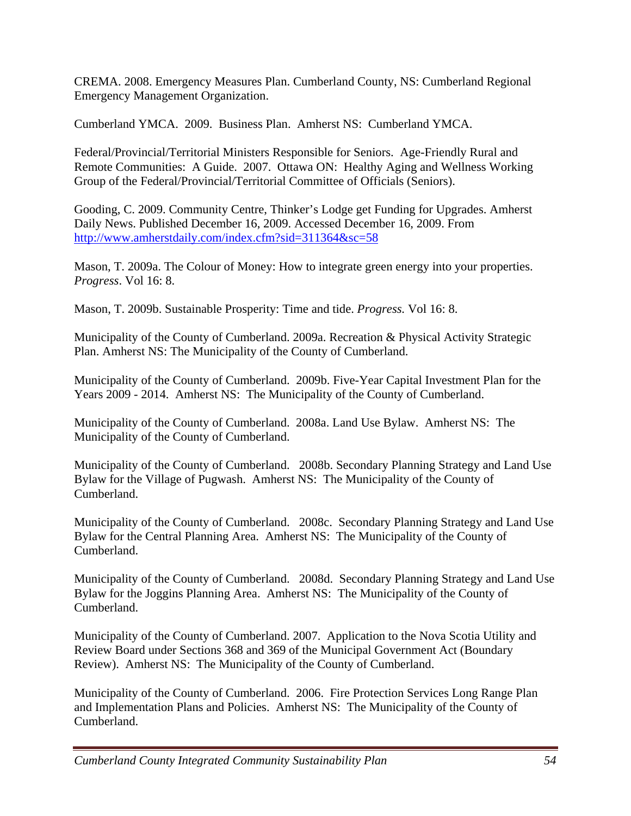CREMA. 2008. Emergency Measures Plan. Cumberland County, NS: Cumberland Regional Emergency Management Organization.

Cumberland YMCA. 2009. Business Plan. Amherst NS: Cumberland YMCA.

Federal/Provincial/Territorial Ministers Responsible for Seniors. Age-Friendly Rural and Remote Communities: A Guide. 2007. Ottawa ON: Healthy Aging and Wellness Working Group of the Federal/Provincial/Territorial Committee of Officials (Seniors).

Gooding, C. 2009. Community Centre, Thinker's Lodge get Funding for Upgrades. Amherst Daily News. Published December 16, 2009. Accessed December 16, 2009. From http://www.amherstdaily.com/index.cfm?sid=311364&sc=58

Mason, T. 2009a. The Colour of Money: How to integrate green energy into your properties. *Progress*. Vol 16: 8.

Mason, T. 2009b. Sustainable Prosperity: Time and tide. *Progress.* Vol 16: 8.

Municipality of the County of Cumberland. 2009a. Recreation & Physical Activity Strategic Plan. Amherst NS: The Municipality of the County of Cumberland.

Municipality of the County of Cumberland. 2009b. Five-Year Capital Investment Plan for the Years 2009 - 2014. Amherst NS: The Municipality of the County of Cumberland.

Municipality of the County of Cumberland. 2008a. Land Use Bylaw. Amherst NS: The Municipality of the County of Cumberland.

Municipality of the County of Cumberland. 2008b. Secondary Planning Strategy and Land Use Bylaw for the Village of Pugwash. Amherst NS: The Municipality of the County of Cumberland.

Municipality of the County of Cumberland. 2008c. Secondary Planning Strategy and Land Use Bylaw for the Central Planning Area. Amherst NS: The Municipality of the County of Cumberland.

Municipality of the County of Cumberland. 2008d. Secondary Planning Strategy and Land Use Bylaw for the Joggins Planning Area. Amherst NS: The Municipality of the County of Cumberland.

Municipality of the County of Cumberland. 2007. Application to the Nova Scotia Utility and Review Board under Sections 368 and 369 of the Municipal Government Act (Boundary Review). Amherst NS: The Municipality of the County of Cumberland.

Municipality of the County of Cumberland. 2006. Fire Protection Services Long Range Plan and Implementation Plans and Policies. Amherst NS: The Municipality of the County of Cumberland.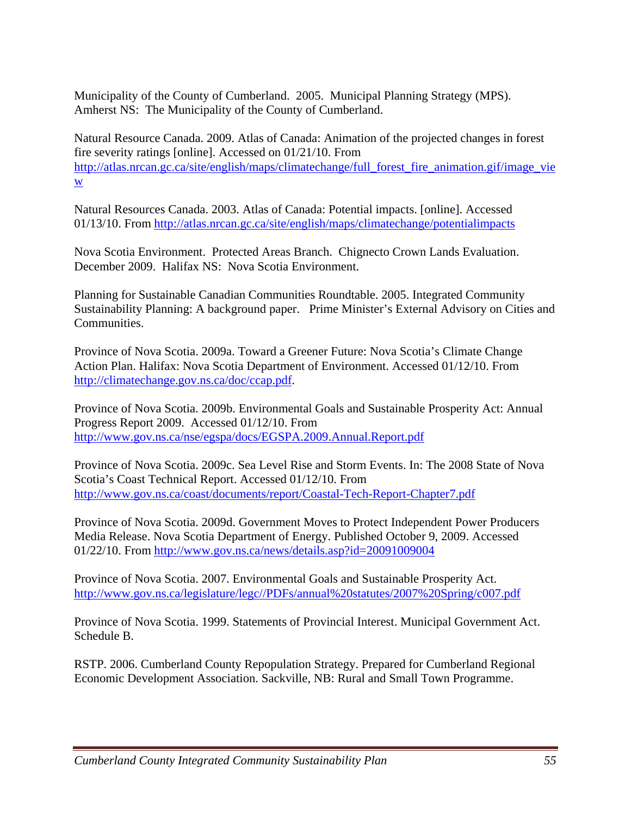Municipality of the County of Cumberland. 2005. Municipal Planning Strategy (MPS). Amherst NS: The Municipality of the County of Cumberland.

Natural Resource Canada. 2009. Atlas of Canada: Animation of the projected changes in forest fire severity ratings [online]. Accessed on 01/21/10. From http://atlas.nrcan.gc.ca/site/english/maps/climatechange/full\_forest\_fire\_animation.gif/image\_vie w

Natural Resources Canada. 2003. Atlas of Canada: Potential impacts. [online]. Accessed 01/13/10. From http://atlas.nrcan.gc.ca/site/english/maps/climatechange/potentialimpacts

Nova Scotia Environment. Protected Areas Branch. Chignecto Crown Lands Evaluation. December 2009. Halifax NS: Nova Scotia Environment.

Planning for Sustainable Canadian Communities Roundtable. 2005. Integrated Community Sustainability Planning: A background paper. Prime Minister's External Advisory on Cities and Communities.

Province of Nova Scotia. 2009a. Toward a Greener Future: Nova Scotia's Climate Change Action Plan. Halifax: Nova Scotia Department of Environment. Accessed 01/12/10. From http://climatechange.gov.ns.ca/doc/ccap.pdf.

Province of Nova Scotia. 2009b. Environmental Goals and Sustainable Prosperity Act: Annual Progress Report 2009. Accessed 01/12/10. From http://www.gov.ns.ca/nse/egspa/docs/EGSPA.2009.Annual.Report.pdf

Province of Nova Scotia. 2009c. Sea Level Rise and Storm Events. In: The 2008 State of Nova Scotia's Coast Technical Report. Accessed 01/12/10. From http://www.gov.ns.ca/coast/documents/report/Coastal-Tech-Report-Chapter7.pdf

Province of Nova Scotia. 2009d. Government Moves to Protect Independent Power Producers Media Release. Nova Scotia Department of Energy. Published October 9, 2009. Accessed 01/22/10. From http://www.gov.ns.ca/news/details.asp?id=20091009004

Province of Nova Scotia. 2007. Environmental Goals and Sustainable Prosperity Act. http://www.gov.ns.ca/legislature/legc//PDFs/annual%20statutes/2007%20Spring/c007.pdf

Province of Nova Scotia. 1999. Statements of Provincial Interest. Municipal Government Act. Schedule B.

RSTP. 2006. Cumberland County Repopulation Strategy. Prepared for Cumberland Regional Economic Development Association. Sackville, NB: Rural and Small Town Programme.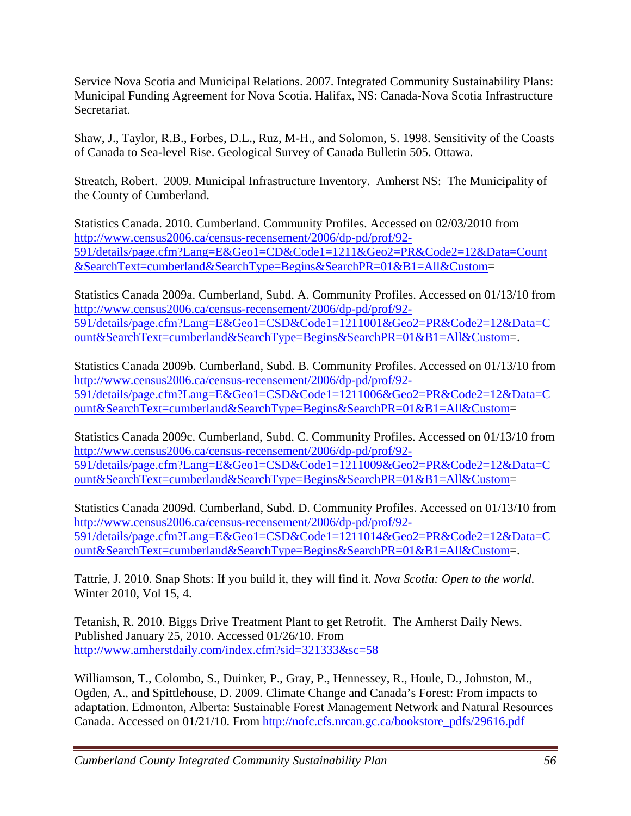Service Nova Scotia and Municipal Relations. 2007. Integrated Community Sustainability Plans: Municipal Funding Agreement for Nova Scotia. Halifax, NS: Canada-Nova Scotia Infrastructure Secretariat.

Shaw, J., Taylor, R.B., Forbes, D.L., Ruz, M-H., and Solomon, S. 1998. Sensitivity of the Coasts of Canada to Sea-level Rise. Geological Survey of Canada Bulletin 505. Ottawa.

Streatch, Robert. 2009. Municipal Infrastructure Inventory. Amherst NS: The Municipality of the County of Cumberland.

Statistics Canada. 2010. Cumberland. Community Profiles. Accessed on 02/03/2010 from http://www.census2006.ca/census-recensement/2006/dp-pd/prof/92- 591/details/page.cfm?Lang=E&Geo1=CD&Code1=1211&Geo2=PR&Code2=12&Data=Count &SearchText=cumberland&SearchType=Begins&SearchPR=01&B1=All&Custom=

Statistics Canada 2009a. Cumberland, Subd. A. Community Profiles. Accessed on 01/13/10 from http://www.census2006.ca/census-recensement/2006/dp-pd/prof/92- 591/details/page.cfm?Lang=E&Geo1=CSD&Code1=1211001&Geo2=PR&Code2=12&Data=C ount&SearchText=cumberland&SearchType=Begins&SearchPR=01&B1=All&Custom=.

Statistics Canada 2009b. Cumberland, Subd. B. Community Profiles. Accessed on 01/13/10 from http://www.census2006.ca/census-recensement/2006/dp-pd/prof/92- 591/details/page.cfm?Lang=E&Geo1=CSD&Code1=1211006&Geo2=PR&Code2=12&Data=C ount&SearchText=cumberland&SearchType=Begins&SearchPR=01&B1=All&Custom=

Statistics Canada 2009c. Cumberland, Subd. C. Community Profiles. Accessed on 01/13/10 from http://www.census2006.ca/census-recensement/2006/dp-pd/prof/92- 591/details/page.cfm?Lang=E&Geo1=CSD&Code1=1211009&Geo2=PR&Code2=12&Data=C ount&SearchText=cumberland&SearchType=Begins&SearchPR=01&B1=All&Custom=

Statistics Canada 2009d. Cumberland, Subd. D. Community Profiles. Accessed on 01/13/10 from http://www.census2006.ca/census-recensement/2006/dp-pd/prof/92- 591/details/page.cfm?Lang=E&Geo1=CSD&Code1=1211014&Geo2=PR&Code2=12&Data=C ount&SearchText=cumberland&SearchType=Begins&SearchPR=01&B1=All&Custom=.

Tattrie, J. 2010. Snap Shots: If you build it, they will find it. *Nova Scotia: Open to the world*. Winter 2010, Vol 15, 4.

Tetanish, R. 2010. Biggs Drive Treatment Plant to get Retrofit. The Amherst Daily News. Published January 25, 2010. Accessed 01/26/10. From http://www.amherstdaily.com/index.cfm?sid=321333&sc=58

Williamson, T., Colombo, S., Duinker, P., Gray, P., Hennessey, R., Houle, D., Johnston, M., Ogden, A., and Spittlehouse, D. 2009. Climate Change and Canada's Forest: From impacts to adaptation. Edmonton, Alberta: Sustainable Forest Management Network and Natural Resources Canada. Accessed on 01/21/10. From http://nofc.cfs.nrcan.gc.ca/bookstore\_pdfs/29616.pdf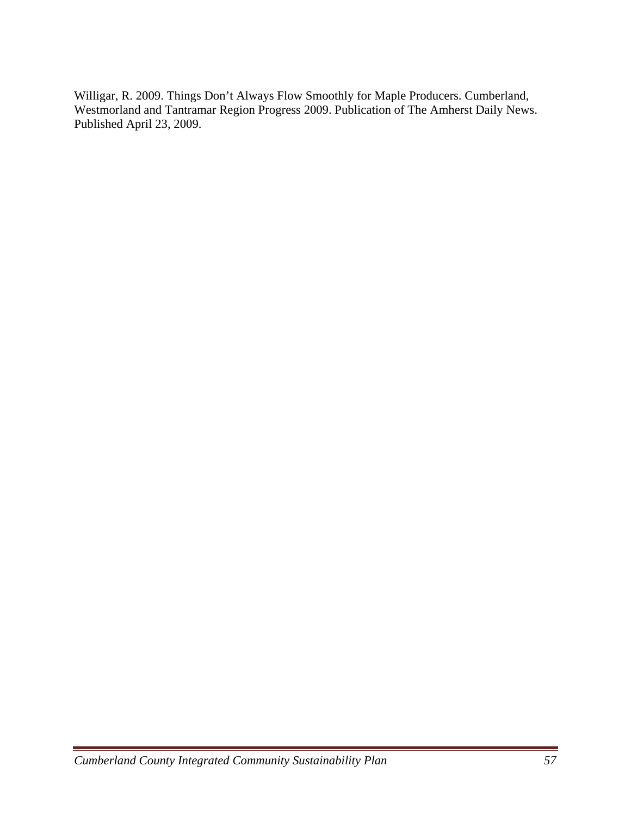Willigar, R. 2009. Things Don't Always Flow Smoothly for Maple Producers. Cumberland, Westmorland and Tantramar Region Progress 2009. Publication of The Amherst Daily News. Published April 23, 2009.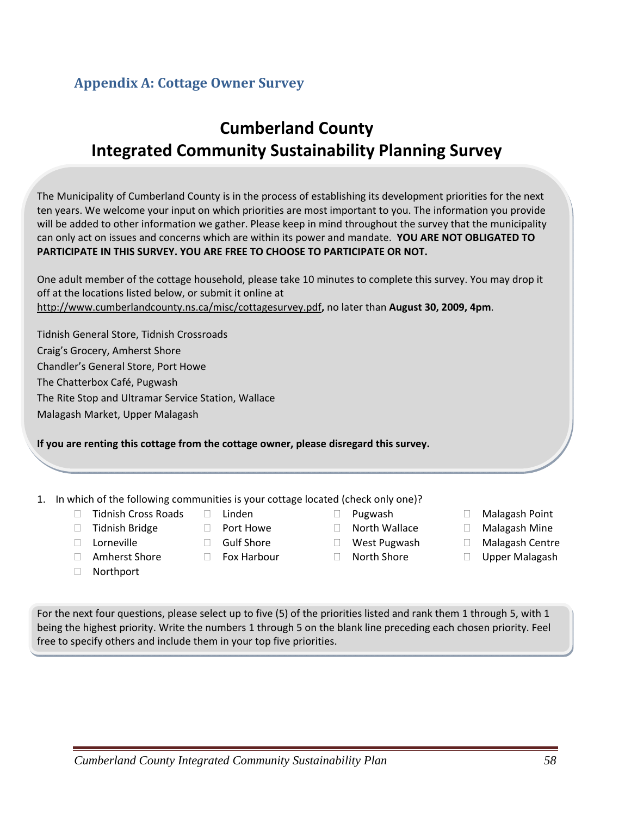# **Appendix A: Cottage Owner Survey**

# **Cumberland County Integrated Community Sustainability Planning Survey**

The Municipality of Cumberland County is in the process of establishing its development priorities for the next ten years. We welcome your input on which priorities are most important to you. The information you provide will be added to other information we gather. Please keep in mind throughout the survey that the municipality can only act on issues and concerns which are within its power and mandate. **YOU ARE NOT OBLIGATED TO PARTICIPATE IN THIS SURVEY. YOU ARE FREE TO CHOOSE TO PARTICIPATE OR NOT.**

| One adult member of the cottage household, please take 10 minutes to complete this survey. You may drop it |
|------------------------------------------------------------------------------------------------------------|
| off at the locations listed below, or submit it online at                                                  |
| http://www.cumberlandcounty.ns.ca/misc/cottagesurvey.pdf, no later than August 30, 2009, 4pm.              |

Tidnish General Store, Tidnish Crossroads Craig's Grocery, Amherst Shore Chandler's General Store, Port Howe The Chatterbox Café, Pugwash The Rite Stop and Ultramar Service Station, Wallace Malagash Market, Upper Malagash

**If you are renting this cottage from the cottage owner, please disregard this survey.**

#### 1. In which of the following communities is your cottage located (check only one)? Linden

- □ Tidnish Cross Roads
- □ Tidnish Bridge

□ Amherst Shore

- Lorneville
	- □ Gulf Shore

□ Port Howe

- □ Fox Harbour
- Pugwash □ North Wallace
- West Pugwash
- □ North Shore
- □ Malagash Point
- Malagash Mine
- Malagash Centre
- □ Upper Malagash

Northport

For the next four questions, please select up to five (5) of the priorities listed and rank them 1 through 5, with 1 being the highest priority. Write the numbers 1 through 5 on the blank line preceding each chosen priority. Feel free to specify others and include them in your top five priorities.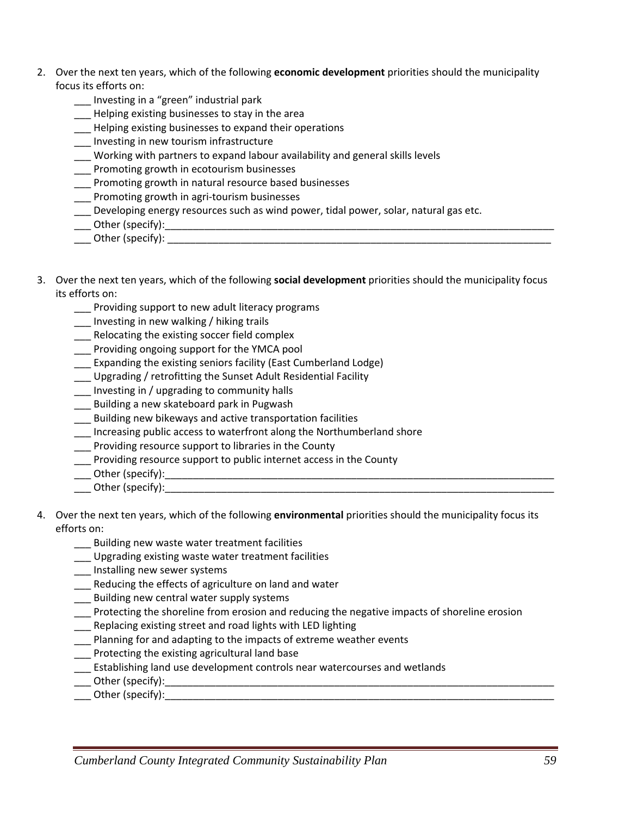- 2. Over the next ten years, which of the following **economic development** priorities should the municipality focus its efforts on:
	- \_\_\_ Investing in a "green" industrial park
	- **\_\_\_** Helping existing businesses to stay in the area
	- **\_\_\_** Helping existing businesses to expand their operations
	- \_\_\_ Investing in new tourism infrastructure
	- \_\_\_ Working with partners to expand labour availability and general skills levels
	- Promoting growth in ecotourism businesses
	- \_\_\_ Promoting growth in natural resource based businesses
	- \_\_\_ Promoting growth in agri‐tourism businesses
	- \_\_\_ Developing energy resources such as wind power, tidal power, solar, natural gas etc.
	- \_\_\_ Other (specify):\_\_\_\_\_\_\_\_\_\_\_\_\_\_\_\_\_\_\_\_\_\_\_\_\_\_\_\_\_\_\_\_\_\_\_\_\_\_\_\_\_\_\_\_\_\_\_\_\_\_\_\_\_\_\_\_\_\_\_\_\_\_\_\_\_\_\_\_\_
	- Other (specify): **with a set of the set of the set of the set of the set of the set of the set of the set of the set of the set of the set of the set of the set of the set of the set of the set of the set of the set of the**
- 3. Over the next ten years, which of the following **social development** priorities should the municipality focus its efforts on:
	- \_\_\_ Providing support to new adult literacy programs
	- \_\_\_ Investing in new walking / hiking trails
	- Relocating the existing soccer field complex
	- \_\_\_ Providing ongoing support for the YMCA pool
	- \_\_\_ Expanding the existing seniors facility (East Cumberland Lodge)
	- \_\_\_ Upgrading / retrofitting the Sunset Adult Residential Facility
	- \_\_\_ Investing in / upgrading to community halls
	- \_\_\_ Building a new skateboard park in Pugwash
	- \_\_\_ Building new bikeways and active transportation facilities
	- \_\_\_ Increasing public access to waterfront along the Northumberland shore
	- \_\_\_ Providing resource support to libraries in the County
	- \_\_\_ Providing resource support to public internet access in the County
	- \_\_\_ Other (specify):\_\_\_\_\_\_\_\_\_\_\_\_\_\_\_\_\_\_\_\_\_\_\_\_\_\_\_\_\_\_\_\_\_\_\_\_\_\_\_\_\_\_\_\_\_\_\_\_\_\_\_\_\_\_\_\_\_\_\_\_\_\_\_\_\_\_\_\_\_
	- \_\_\_ Other (specify):\_\_\_\_\_\_\_\_\_\_\_\_\_\_\_\_\_\_\_\_\_\_\_\_\_\_\_\_\_\_\_\_\_\_\_\_\_\_\_\_\_\_\_\_\_\_\_\_\_\_\_\_\_\_\_\_\_\_\_\_\_\_\_\_\_\_\_\_\_
- 4. Over the next ten years, which of the following **environmental** priorities should the municipality focus its efforts on:
	- \_\_\_ Building new waste water treatment facilities
	- \_\_\_ Upgrading existing waste water treatment facilities
	- \_\_\_ Installing new sewer systems
	- Reducing the effects of agriculture on land and water
	- \_\_\_ Building new central water supply systems
	- \_\_\_ Protecting the shoreline from erosion and reducing the negative impacts of shoreline erosion
	- Replacing existing street and road lights with LED lighting
	- \_\_\_ Planning for and adapting to the impacts of extreme weather events
	- \_\_\_ Protecting the existing agricultural land base
	- \_\_\_ Establishing land use development controls near watercourses and wetlands
	- \_\_\_ Other (specify):\_\_\_\_\_\_\_\_\_\_\_\_\_\_\_\_\_\_\_\_\_\_\_\_\_\_\_\_\_\_\_\_\_\_\_\_\_\_\_\_\_\_\_\_\_\_\_\_\_\_\_\_\_\_\_\_\_\_\_\_\_\_\_\_\_\_\_\_\_
	- $\blacksquare$  Other (specify):  $\blacksquare$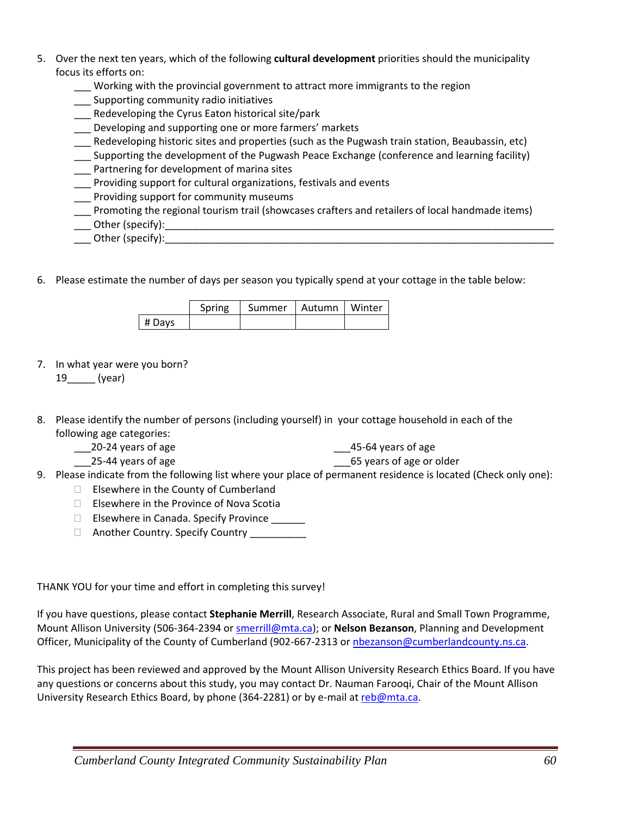- 5. Over the next ten years, which of the following **cultural development** priorities should the municipality focus its efforts on:
	- Working with the provincial government to attract more immigrants to the region
	- \_\_\_ Supporting community radio initiatives
	- \_\_\_ Redeveloping the Cyrus Eaton historical site/park
	- **\_\_\_** Developing and supporting one or more farmers' markets
	- \_\_\_ Redeveloping historic sites and properties (such as the Pugwash train station, Beaubassin, etc)
	- \_\_\_ Supporting the development of the Pugwash Peace Exchange (conference and learning facility)
	- Partnering for development of marina sites
	- \_\_\_ Providing support for cultural organizations, festivals and events
	- Providing support for community museums
	- \_\_\_ Promoting the regional tourism trail (showcases crafters and retailers of local handmade items)
	- \_\_\_ Other (specify):\_\_\_\_\_\_\_\_\_\_\_\_\_\_\_\_\_\_\_\_\_\_\_\_\_\_\_\_\_\_\_\_\_\_\_\_\_\_\_\_\_\_\_\_\_\_\_\_\_\_\_\_\_\_\_\_\_\_\_\_\_\_\_\_\_\_\_\_\_
	- \_\_\_ Other (specify):\_\_\_\_\_\_\_\_\_\_\_\_\_\_\_\_\_\_\_\_\_\_\_\_\_\_\_\_\_\_\_\_\_\_\_\_\_\_\_\_\_\_\_\_\_\_\_\_\_\_\_\_\_\_\_\_\_\_\_\_\_\_\_\_\_\_\_\_\_
- 6. Please estimate the number of days per season you typically spend at your cottage in the table below:

|        | Spring | Summer   Autumn   Winter |  |
|--------|--------|--------------------------|--|
| # Days |        |                          |  |

7. In what year were you born?

19\_\_\_\_\_ (year)

- 8. Please identify the number of persons (including yourself) in your cottage household in each of the following age categories:
	- \_\_\_20‐24 years of age
- \_\_\_45‐64 years of age
- \_\_\_25‐44 years of age \_\_\_65 years of age or older
- 9. Please indicate from the following list where your place of permanent residence is located (Check only one):
	- $\Box$  Elsewhere in the County of Cumberland
	- $\Box$  Elsewhere in the Province of Nova Scotia
	- □ Elsewhere in Canada. Specify Province \_\_\_\_\_\_\_
	- □ Another Country. Specify Country \_\_\_\_\_\_\_

### THANK YOU for your time and effort in completing this survey!

If you have questions, please contact **Stephanie Merrill**, Research Associate, Rural and Small Town Programme, Mount Allison University (506‐364‐2394 or smerrill@mta.ca); or **Nelson Bezanson**, Planning and Development Officer, Municipality of the County of Cumberland (902-667-2313 or nbezanson@cumberlandcounty.ns.ca.

This project has been reviewed and approved by the Mount Allison University Research Ethics Board. If you have any questions or concerns about this study, you may contact Dr. Nauman Farooqi, Chair of the Mount Allison University Research Ethics Board, by phone (364-2281) or by e-mail at reb@mta.ca.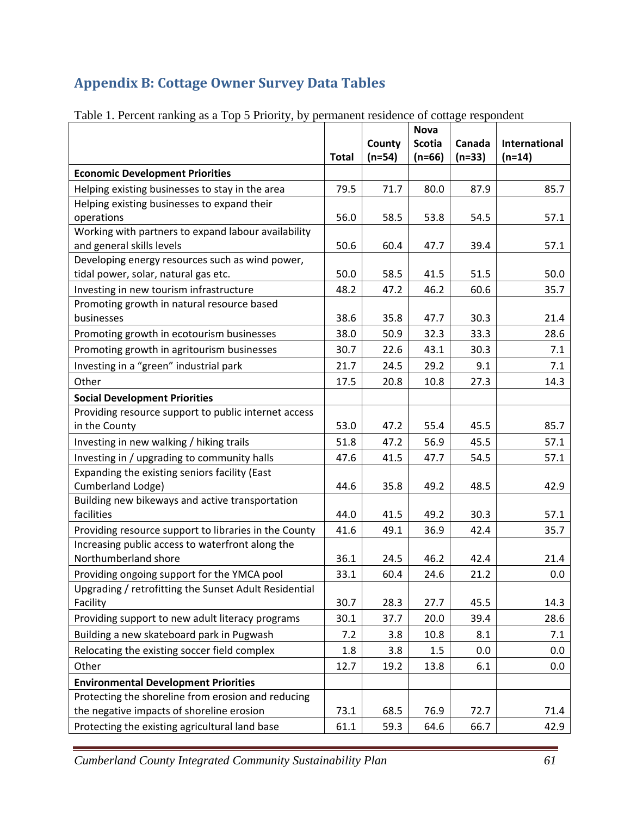# **Appendix B: Cottage Owner Survey Data Tables**

|                                                       |              |          | <b>Nova</b>   |          |               |
|-------------------------------------------------------|--------------|----------|---------------|----------|---------------|
|                                                       |              | County   | <b>Scotia</b> | Canada   | International |
|                                                       | <b>Total</b> | $(n=54)$ | $(n=66)$      | $(n=33)$ | $(n=14)$      |
| <b>Economic Development Priorities</b>                |              |          |               |          |               |
| Helping existing businesses to stay in the area       | 79.5         | 71.7     | 80.0          | 87.9     | 85.7          |
| Helping existing businesses to expand their           |              |          |               |          |               |
| operations                                            | 56.0         | 58.5     | 53.8          | 54.5     | 57.1          |
| Working with partners to expand labour availability   |              |          |               |          |               |
| and general skills levels                             | 50.6         | 60.4     | 47.7          | 39.4     | 57.1          |
| Developing energy resources such as wind power,       |              |          |               |          |               |
| tidal power, solar, natural gas etc.                  | 50.0         | 58.5     | 41.5          | 51.5     | 50.0          |
| Investing in new tourism infrastructure               | 48.2         | 47.2     | 46.2          | 60.6     | 35.7          |
| Promoting growth in natural resource based            |              |          |               |          |               |
| businesses                                            | 38.6         | 35.8     | 47.7          | 30.3     | 21.4          |
| Promoting growth in ecotourism businesses             | 38.0         | 50.9     | 32.3          | 33.3     | 28.6          |
| Promoting growth in agritourism businesses            | 30.7         | 22.6     | 43.1          | 30.3     | 7.1           |
| Investing in a "green" industrial park                | 21.7         | 24.5     | 29.2          | 9.1      | 7.1           |
| Other                                                 | 17.5         | 20.8     | 10.8          | 27.3     | 14.3          |
| <b>Social Development Priorities</b>                  |              |          |               |          |               |
| Providing resource support to public internet access  |              |          |               |          |               |
| in the County                                         | 53.0         | 47.2     | 55.4          | 45.5     | 85.7          |
| Investing in new walking / hiking trails              | 51.8         | 47.2     | 56.9          | 45.5     | 57.1          |
| Investing in / upgrading to community halls           | 47.6         | 41.5     | 47.7          | 54.5     | 57.1          |
| Expanding the existing seniors facility (East         |              |          |               |          |               |
| Cumberland Lodge)                                     | 44.6         | 35.8     | 49.2          | 48.5     | 42.9          |
| Building new bikeways and active transportation       |              |          |               |          |               |
| facilities                                            | 44.0         | 41.5     | 49.2          | 30.3     | 57.1          |
| Providing resource support to libraries in the County | 41.6         | 49.1     | 36.9          | 42.4     | 35.7          |
| Increasing public access to waterfront along the      |              |          |               |          |               |
| Northumberland shore                                  | 36.1         | 24.5     | 46.2          | 42.4     | 21.4          |
| Providing ongoing support for the YMCA pool           | 33.1         | 60.4     | 24.6          | 21.2     | 0.0           |
| Upgrading / retrofitting the Sunset Adult Residential |              |          |               |          |               |
| Facility                                              | 30.7         | 28.3     | 27.7          | 45.5     | 14.3          |
| Providing support to new adult literacy programs      | 30.1         | 37.7     | 20.0          | 39.4     | 28.6          |
| Building a new skateboard park in Pugwash             | 7.2          | 3.8      | 10.8          | 8.1      | 7.1           |
| Relocating the existing soccer field complex          | 1.8          | 3.8      | 1.5           | 0.0      | 0.0           |
| Other                                                 | 12.7         | 19.2     | 13.8          | 6.1      | 0.0           |
| <b>Environmental Development Priorities</b>           |              |          |               |          |               |
| Protecting the shoreline from erosion and reducing    |              |          |               |          |               |
| the negative impacts of shoreline erosion             | 73.1         | 68.5     | 76.9          | 72.7     | 71.4          |
| Protecting the existing agricultural land base        | 61.1         | 59.3     | 64.6          | 66.7     | 42.9          |

Table 1. Percent ranking as a Top 5 Priority, by permanent residence of cottage respondent

*Cumberland County Integrated Community Sustainability Plan 61*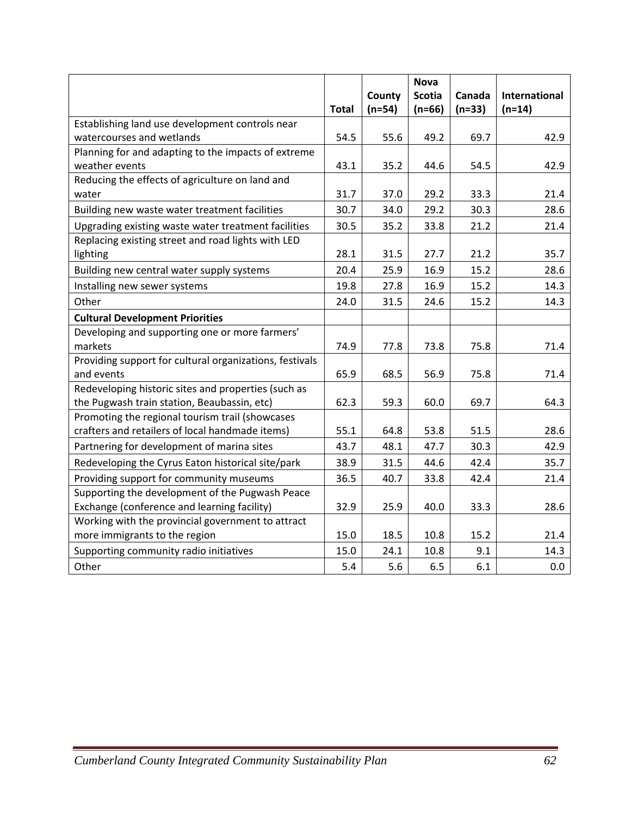|                                                         |              |          | <b>Nova</b>   |          |               |
|---------------------------------------------------------|--------------|----------|---------------|----------|---------------|
|                                                         |              | County   | <b>Scotia</b> | Canada   | International |
|                                                         | <b>Total</b> | $(n=54)$ | $(n=66)$      | $(n=33)$ | $(n=14)$      |
| Establishing land use development controls near         |              |          |               |          |               |
| watercourses and wetlands                               | 54.5         | 55.6     | 49.2          | 69.7     | 42.9          |
| Planning for and adapting to the impacts of extreme     |              |          |               |          |               |
| weather events                                          | 43.1         | 35.2     | 44.6          | 54.5     | 42.9          |
| Reducing the effects of agriculture on land and         |              |          |               |          |               |
| water                                                   | 31.7         | 37.0     | 29.2          | 33.3     | 21.4          |
| Building new waste water treatment facilities           | 30.7         | 34.0     | 29.2          | 30.3     | 28.6          |
| Upgrading existing waste water treatment facilities     | 30.5         | 35.2     | 33.8          | 21.2     | 21.4          |
| Replacing existing street and road lights with LED      |              |          |               |          |               |
| lighting                                                | 28.1         | 31.5     | 27.7          | 21.2     | 35.7          |
| Building new central water supply systems               | 20.4         | 25.9     | 16.9          | 15.2     | 28.6          |
| Installing new sewer systems                            | 19.8         | 27.8     | 16.9          | 15.2     | 14.3          |
| Other                                                   | 24.0         | 31.5     | 24.6          | 15.2     | 14.3          |
| <b>Cultural Development Priorities</b>                  |              |          |               |          |               |
| Developing and supporting one or more farmers'          |              |          |               |          |               |
| markets                                                 | 74.9         | 77.8     | 73.8          | 75.8     | 71.4          |
| Providing support for cultural organizations, festivals |              |          |               |          |               |
| and events                                              | 65.9         | 68.5     | 56.9          | 75.8     | 71.4          |
| Redeveloping historic sites and properties (such as     |              |          |               |          |               |
| the Pugwash train station, Beaubassin, etc)             | 62.3         | 59.3     | 60.0          | 69.7     | 64.3          |
| Promoting the regional tourism trail (showcases         |              |          |               |          |               |
| crafters and retailers of local handmade items)         | 55.1         | 64.8     | 53.8          | 51.5     | 28.6          |
| Partnering for development of marina sites              | 43.7         | 48.1     | 47.7          | 30.3     | 42.9          |
| Redeveloping the Cyrus Eaton historical site/park       | 38.9         | 31.5     | 44.6          | 42.4     | 35.7          |
| Providing support for community museums                 | 36.5         | 40.7     | 33.8          | 42.4     | 21.4          |
| Supporting the development of the Pugwash Peace         |              |          |               |          |               |
| Exchange (conference and learning facility)             | 32.9         | 25.9     | 40.0          | 33.3     | 28.6          |
| Working with the provincial government to attract       |              |          |               |          |               |
| more immigrants to the region                           | 15.0         | 18.5     | 10.8          | 15.2     | 21.4          |
| Supporting community radio initiatives                  | 15.0         | 24.1     | 10.8          | 9.1      | 14.3          |
| Other                                                   | 5.4          | 5.6      | 6.5           | 6.1      | 0.0           |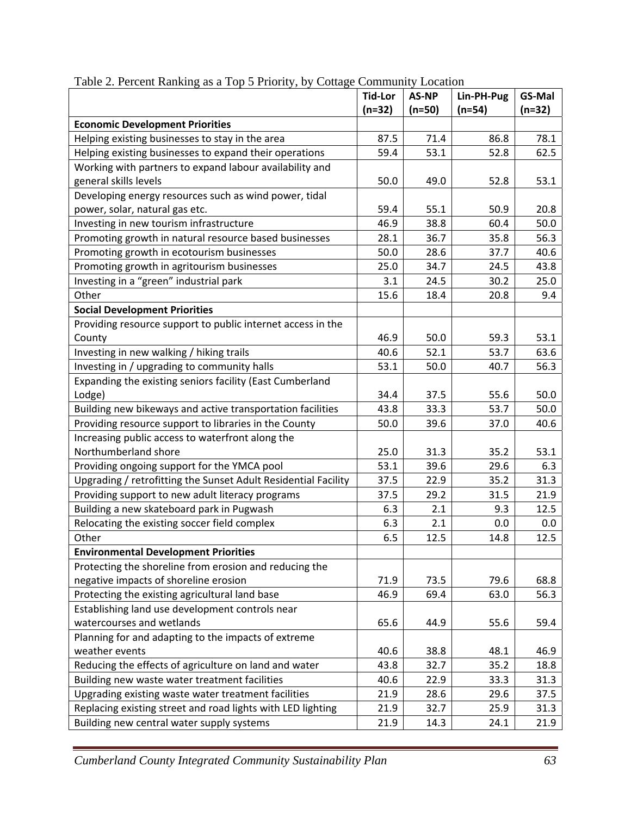|                                                                | <b>Tid-Lor</b> | <b>AS-NP</b> | Lin-PH-Pug | GS-Mal   |
|----------------------------------------------------------------|----------------|--------------|------------|----------|
|                                                                | $(n=32)$       | $(n=50)$     | $(n=54)$   | $(n=32)$ |
| <b>Economic Development Priorities</b>                         |                |              |            |          |
| Helping existing businesses to stay in the area                | 87.5           | 71.4         | 86.8       | 78.1     |
| Helping existing businesses to expand their operations         | 59.4           | 53.1         | 52.8       | 62.5     |
| Working with partners to expand labour availability and        |                |              |            |          |
| general skills levels                                          | 50.0           | 49.0         | 52.8       | 53.1     |
| Developing energy resources such as wind power, tidal          |                |              |            |          |
| power, solar, natural gas etc.                                 | 59.4           | 55.1         | 50.9       | 20.8     |
| Investing in new tourism infrastructure                        | 46.9           | 38.8         | 60.4       | 50.0     |
| Promoting growth in natural resource based businesses          | 28.1           | 36.7         | 35.8       | 56.3     |
| Promoting growth in ecotourism businesses                      | 50.0           | 28.6         | 37.7       | 40.6     |
| Promoting growth in agritourism businesses                     | 25.0           | 34.7         | 24.5       | 43.8     |
| Investing in a "green" industrial park                         | $3.1\,$        | 24.5         | 30.2       | 25.0     |
| Other                                                          | 15.6           | 18.4         | 20.8       | 9.4      |
| <b>Social Development Priorities</b>                           |                |              |            |          |
| Providing resource support to public internet access in the    |                |              |            |          |
| County                                                         | 46.9           | 50.0         | 59.3       | 53.1     |
| Investing in new walking / hiking trails                       | 40.6           | 52.1         | 53.7       | 63.6     |
| Investing in / upgrading to community halls                    | 53.1           | 50.0         | 40.7       | 56.3     |
| Expanding the existing seniors facility (East Cumberland       |                |              |            |          |
| Lodge)                                                         | 34.4           | 37.5         | 55.6       | 50.0     |
| Building new bikeways and active transportation facilities     | 43.8           | 33.3         | 53.7       | 50.0     |
| Providing resource support to libraries in the County          | 50.0           | 39.6         | 37.0       | 40.6     |
| Increasing public access to waterfront along the               |                |              |            |          |
| Northumberland shore                                           | 25.0           | 31.3         | 35.2       | 53.1     |
| Providing ongoing support for the YMCA pool                    | 53.1           | 39.6         | 29.6       | 6.3      |
| Upgrading / retrofitting the Sunset Adult Residential Facility | 37.5           | 22.9         | 35.2       | 31.3     |
| Providing support to new adult literacy programs               | 37.5           | 29.2         | 31.5       | 21.9     |
| Building a new skateboard park in Pugwash                      | 6.3            | 2.1          | 9.3        | 12.5     |
| Relocating the existing soccer field complex                   | 6.3            | 2.1          | 0.0        | 0.0      |
| Other                                                          | 6.5            | 12.5         | 14.8       | 12.5     |
| <b>Environmental Development Priorities</b>                    |                |              |            |          |
| Protecting the shoreline from erosion and reducing the         |                |              |            |          |
| negative impacts of shoreline erosion                          | 71.9           | 73.5         | 79.6       | 68.8     |
| Protecting the existing agricultural land base                 | 46.9           | 69.4         | 63.0       | 56.3     |
| Establishing land use development controls near                |                |              |            |          |
| watercourses and wetlands                                      | 65.6           | 44.9         | 55.6       | 59.4     |
| Planning for and adapting to the impacts of extreme            |                |              |            |          |
| weather events                                                 | 40.6           | 38.8         | 48.1       | 46.9     |
| Reducing the effects of agriculture on land and water          | 43.8           | 32.7         | 35.2       | 18.8     |
| Building new waste water treatment facilities                  | 40.6           | 22.9         | 33.3       | 31.3     |
| Upgrading existing waste water treatment facilities            | 21.9           | 28.6         | 29.6       | 37.5     |
| Replacing existing street and road lights with LED lighting    | 21.9           | 32.7         | 25.9       | 31.3     |
| Building new central water supply systems                      | 21.9           | 14.3         | 24.1       | 21.9     |

Table 2. Percent Ranking as a Top 5 Priority, by Cottage Community Location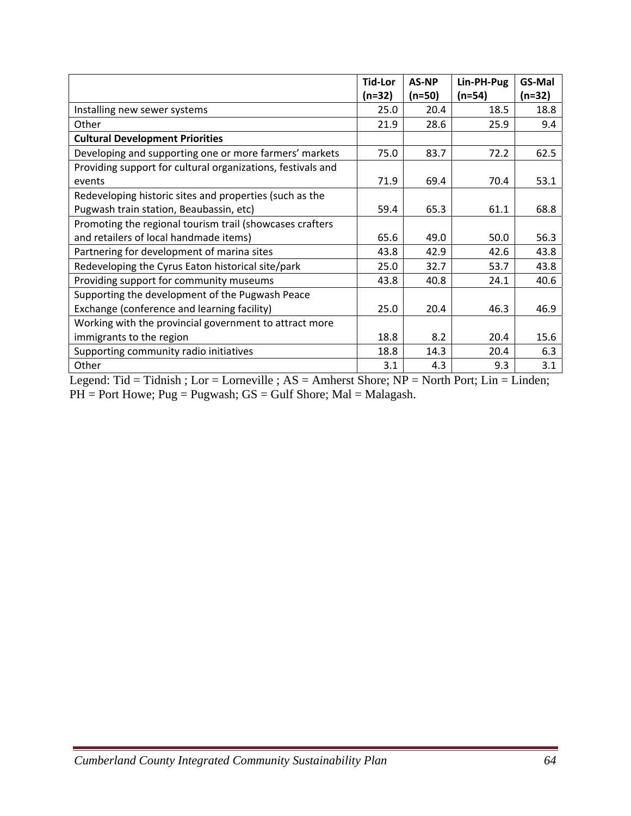|                                                             | <b>Tid-Lor</b> | <b>AS-NP</b> | Lin-PH-Pug | <b>GS-Mal</b> |
|-------------------------------------------------------------|----------------|--------------|------------|---------------|
|                                                             | $(n=32)$       | $(n=50)$     | $(n=54)$   | $(n=32)$      |
| Installing new sewer systems                                | 25.0           | 20.4         | 18.5       | 18.8          |
| Other                                                       | 21.9           | 28.6         | 25.9       | 9.4           |
| <b>Cultural Development Priorities</b>                      |                |              |            |               |
| Developing and supporting one or more farmers' markets      | 75.0           | 83.7         | 72.2       | 62.5          |
| Providing support for cultural organizations, festivals and |                |              |            |               |
| events                                                      | 71.9           | 69.4         | 70.4       | 53.1          |
| Redeveloping historic sites and properties (such as the     |                |              |            |               |
| Pugwash train station, Beaubassin, etc)                     | 59.4           | 65.3         | 61.1       | 68.8          |
| Promoting the regional tourism trail (showcases crafters    |                |              |            |               |
| and retailers of local handmade items)                      | 65.6           | 49.0         | 50.0       | 56.3          |
| Partnering for development of marina sites                  | 43.8           | 42.9         | 42.6       | 43.8          |
| Redeveloping the Cyrus Eaton historical site/park           | 25.0           | 32.7         | 53.7       | 43.8          |
| Providing support for community museums                     | 43.8           | 40.8         | 24.1       | 40.6          |
| Supporting the development of the Pugwash Peace             |                |              |            |               |
| Exchange (conference and learning facility)                 | 25.0           | 20.4         | 46.3       | 46.9          |
| Working with the provincial government to attract more      |                |              |            |               |
| immigrants to the region                                    | 18.8           | 8.2          | 20.4       | 15.6          |
| Supporting community radio initiatives                      | 18.8           | 14.3         | 20.4       | 6.3           |
| Other                                                       | 3.1            | 4.3          | 9.3        | 3.1           |

Legend: Tid = Tidnish ; Lor = Lorneville ;  $AS =$  Amherst Shore;  $NP =$  North Port; Lin = Linden;  $PH =$  Port Howe; Pug = Pugwash;  $GS =$  Gulf Shore; Mal = Malagash.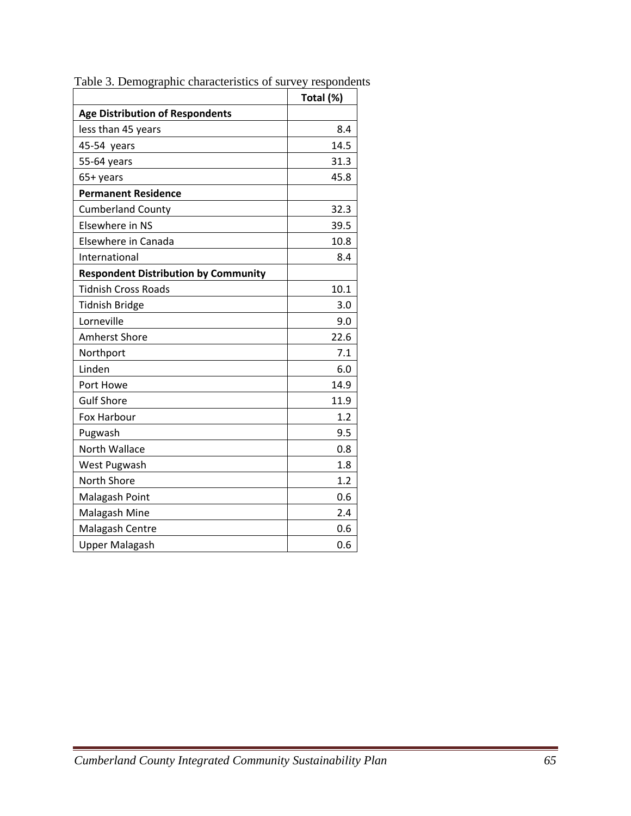|                                             | Total (%) |
|---------------------------------------------|-----------|
| <b>Age Distribution of Respondents</b>      |           |
| less than 45 years                          | 8.4       |
| 45-54 years                                 | 14.5      |
| 55-64 years                                 | 31.3      |
| 65+ years                                   | 45.8      |
| <b>Permanent Residence</b>                  |           |
| <b>Cumberland County</b>                    | 32.3      |
| Elsewhere in NS                             | 39.5      |
| Elsewhere in Canada                         | 10.8      |
| International                               | 8.4       |
| <b>Respondent Distribution by Community</b> |           |
| <b>Tidnish Cross Roads</b>                  | 10.1      |
| <b>Tidnish Bridge</b>                       | 3.0       |
| Lorneville                                  | 9.0       |
| <b>Amherst Shore</b>                        | 22.6      |
| Northport                                   | 7.1       |
| Linden                                      | 6.0       |
| Port Howe                                   | 14.9      |
| <b>Gulf Shore</b>                           | 11.9      |
| Fox Harbour                                 | 1.2       |
| Pugwash                                     | 9.5       |
| North Wallace                               | 0.8       |
| West Pugwash                                | 1.8       |
| North Shore                                 | 1.2       |
| Malagash Point                              | 0.6       |
| Malagash Mine                               | 2.4       |
| Malagash Centre                             | 0.6       |
| <b>Upper Malagash</b>                       | 0.6       |

Table 3. Demographic characteristics of survey respondents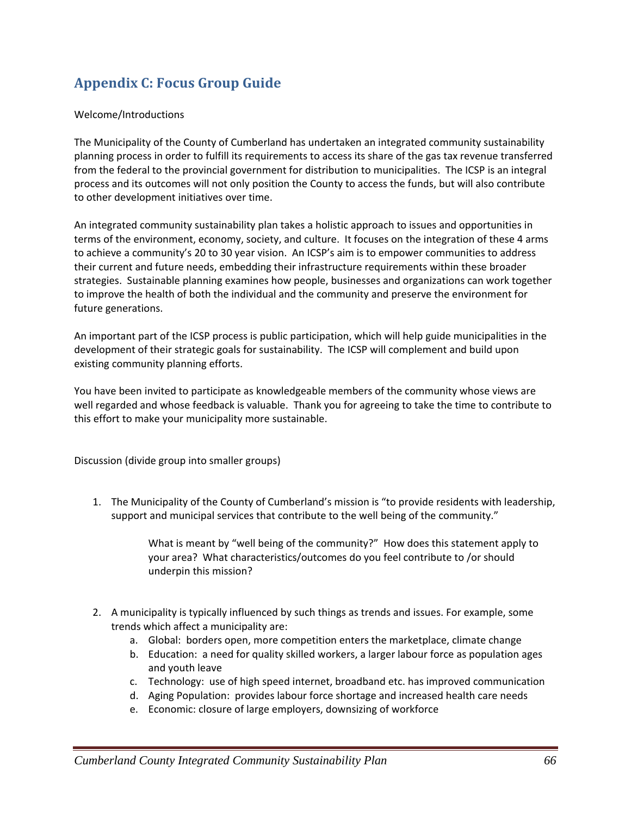## **Appendix C: Focus Group Guide**

#### Welcome/Introductions

The Municipality of the County of Cumberland has undertaken an integrated community sustainability planning process in order to fulfill its requirements to access its share of the gas tax revenue transferred from the federal to the provincial government for distribution to municipalities. The ICSP is an integral process and its outcomes will not only position the County to access the funds, but will also contribute to other development initiatives over time.

An integrated community sustainability plan takes a holistic approach to issues and opportunities in terms of the environment, economy, society, and culture. It focuses on the integration of these 4 arms to achieve a community's 20 to 30 year vision. An ICSP's aim is to empower communities to address their current and future needs, embedding their infrastructure requirements within these broader strategies. Sustainable planning examines how people, businesses and organizations can work together to improve the health of both the individual and the community and preserve the environment for future generations.

An important part of the ICSP process is public participation, which will help guide municipalities in the development of their strategic goals for sustainability. The ICSP will complement and build upon existing community planning efforts.

You have been invited to participate as knowledgeable members of the community whose views are well regarded and whose feedback is valuable. Thank you for agreeing to take the time to contribute to this effort to make your municipality more sustainable.

Discussion (divide group into smaller groups)

1. The Municipality of the County of Cumberland's mission is "to provide residents with leadership, support and municipal services that contribute to the well being of the community."

> What is meant by "well being of the community?" How does this statement apply to your area? What characteristics/outcomes do you feel contribute to /or should underpin this mission?

- 2. A municipality is typically influenced by such things as trends and issues. For example, some trends which affect a municipality are:
	- a. Global: borders open, more competition enters the marketplace, climate change
	- b. Education: a need for quality skilled workers, a larger labour force as population ages and youth leave
	- c. Technology: use of high speed internet, broadband etc. has improved communication
	- d. Aging Population: provides labour force shortage and increased health care needs
	- e. Economic: closure of large employers, downsizing of workforce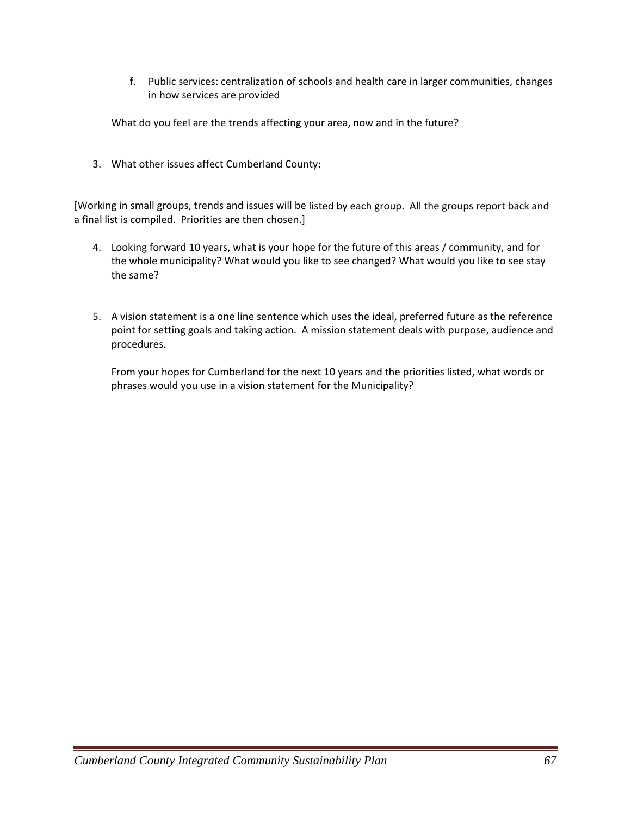f. Public services: centralization of schools and health care in larger communities, changes in how services are provided

What do you feel are the trends affecting your area, now and in the future?

3. What other issues affect Cumberland County:

[Working in small groups, trends and issues will be listed by each group. All the groups report back and a final list is compiled. Priorities are then chosen.]

- 4. Looking forward 10 years, what is your hope for the future of this areas / community, and for the whole municipality? What would you like to see changed? What would you like to see stay the same?
- 5. A vision statement is a one line sentence which uses the ideal, preferred future as the reference point for setting goals and taking action. A mission statement deals with purpose, audience and procedures.

From your hopes for Cumberland for the next 10 years and the priorities listed, what words or phrases would you use in a vision statement for the Municipality?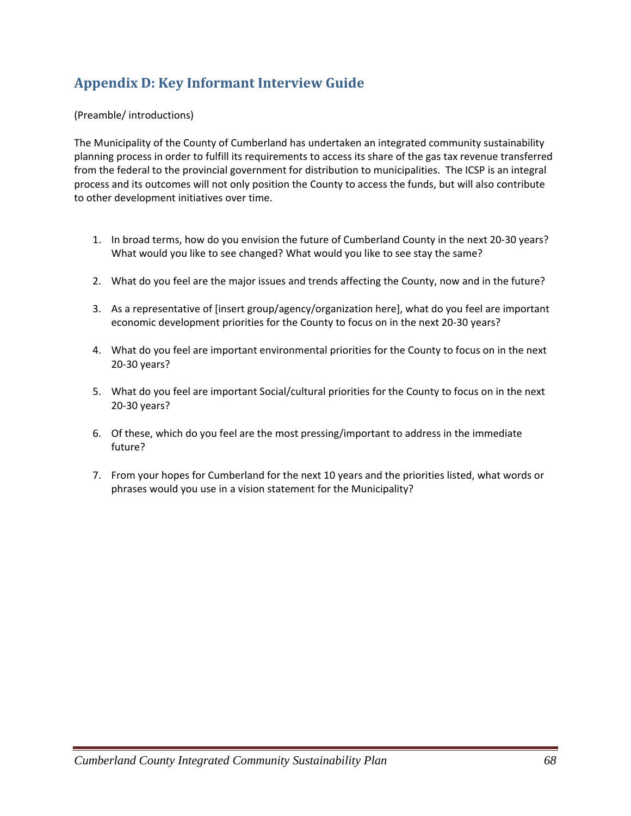## **Appendix D: Key Informant Interview Guide**

#### (Preamble/ introductions)

The Municipality of the County of Cumberland has undertaken an integrated community sustainability planning process in order to fulfill its requirements to access its share of the gas tax revenue transferred from the federal to the provincial government for distribution to municipalities. The ICSP is an integral process and its outcomes will not only position the County to access the funds, but will also contribute to other development initiatives over time.

- 1. In broad terms, how do you envision the future of Cumberland County in the next 20‐30 years? What would you like to see changed? What would you like to see stay the same?
- 2. What do you feel are the major issues and trends affecting the County, now and in the future?
- 3. As a representative of [insert group/agency/organization here], what do you feel are important economic development priorities for the County to focus on in the next 20‐30 years?
- 4. What do you feel are important environmental priorities for the County to focus on in the next 20‐30 years?
- 5. What do you feel are important Social/cultural priorities for the County to focus on in the next 20‐30 years?
- 6. Of these, which do you feel are the most pressing/important to address in the immediate future?
- 7. From your hopes for Cumberland for the next 10 years and the priorities listed, what words or phrases would you use in a vision statement for the Municipality?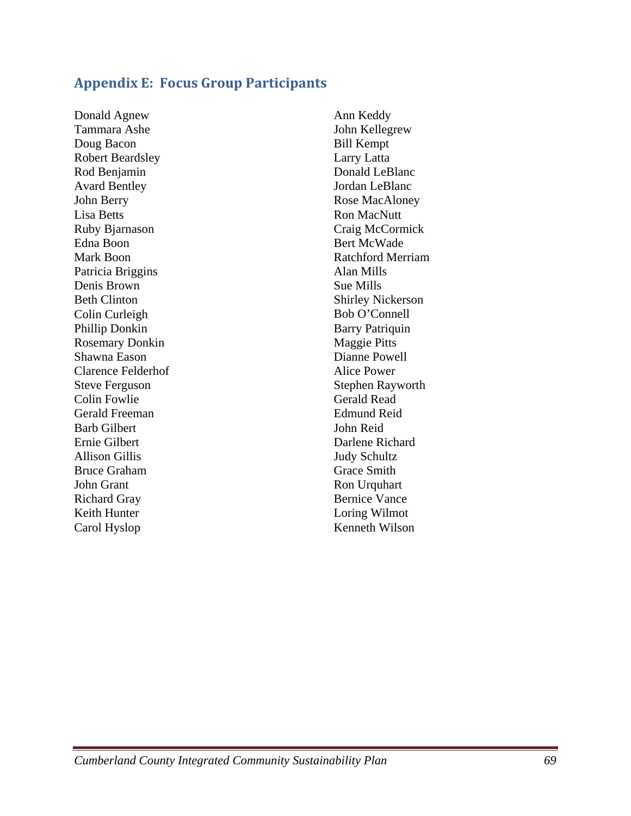### **Appendix E: Focus Group Participants**

Donald Agnew Tammara Ashe Doug Bacon Robert Beardsley Rod Benjamin Avard Bentley John Berry Lisa Betts Ruby Bjarnason Edna Boon Mark Boon Patricia Briggins Denis Brown Beth Clinton Colin Curleigh Phillip Donkin Rosemary Donkin Shawna Eason Clarence Felderhof Steve Ferguson Colin Fowlie Gerald Freeman Barb Gilbert Ernie Gilbert Allison Gillis Bruce Graham John Grant Richard Gray Keith Hunter Carol Hyslop

Ann Keddy John Kellegrew Bill Kempt Larry Latta Donald LeBlanc Jordan LeBlanc Rose MacAloney Ron MacNutt Craig McCormick Bert McWade Ratchford Merriam Alan Mills Sue Mills Shirley Nickerson Bob O'Connell Barry Patriquin Maggie Pitts Dianne Powell Alice Power Stephen Rayworth Gerald Read Edmund Reid John Reid Darlene Richard Judy Schultz Grace Smith Ron Urquhart Bernice Vance Loring Wilmot Kenneth Wilson